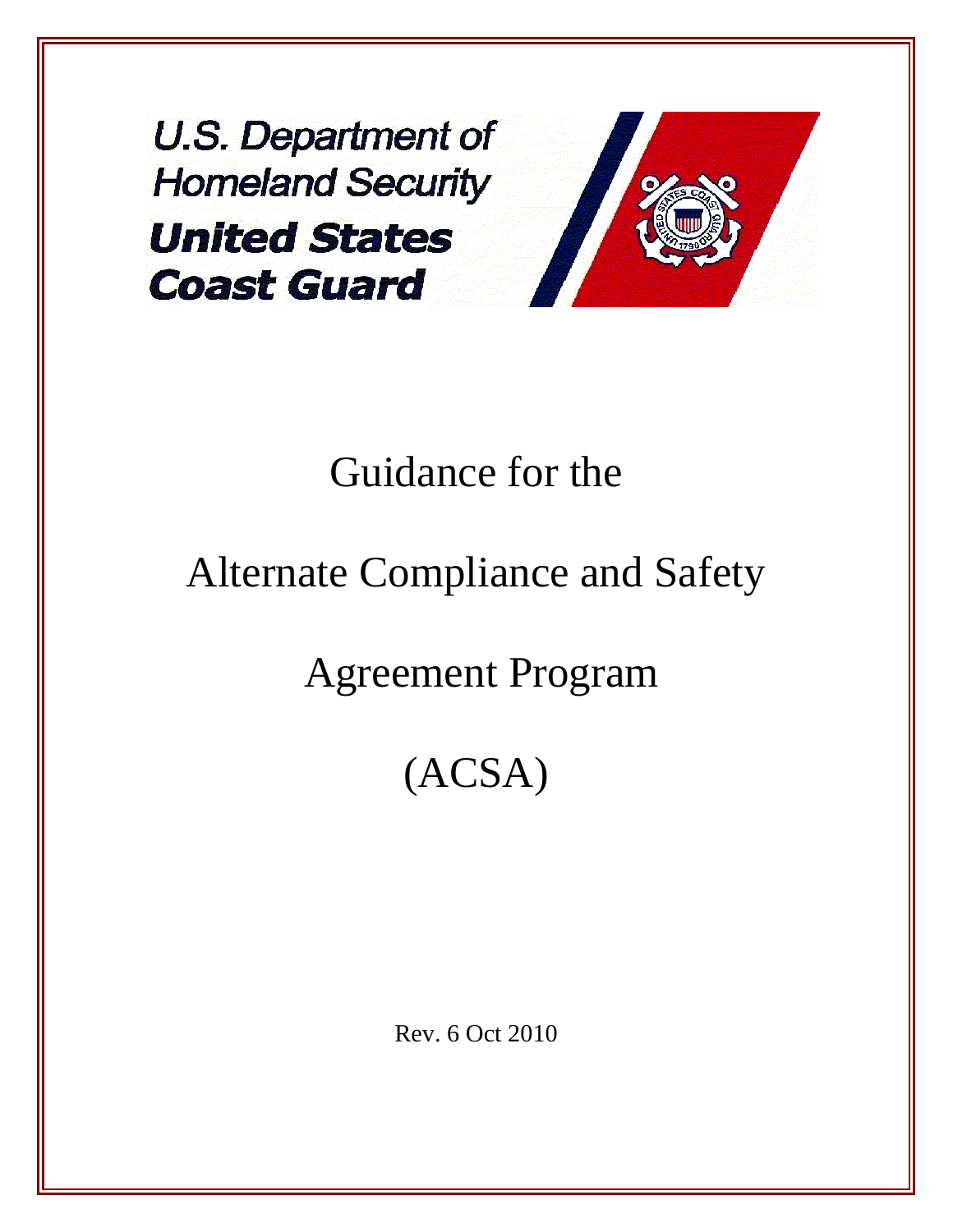U.S. Department of **Homeland Security United States Coast Guard** 



# Guidance for the

# Alternate Compliance and Safety

# Agreement Program

# (ACSA)

Rev. 6 Oct 2010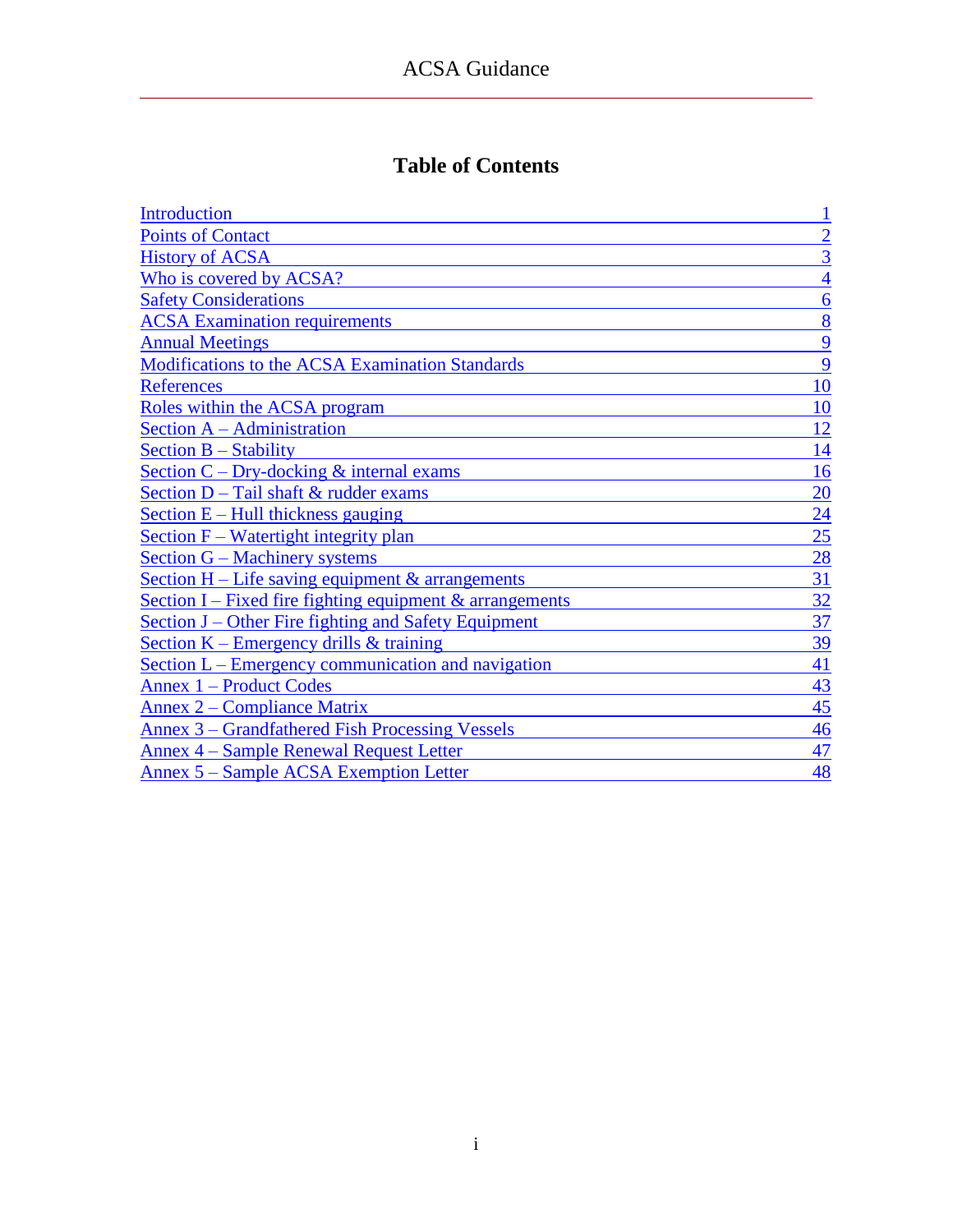### **Table of Contents**

| Introduction                                                              |                 |
|---------------------------------------------------------------------------|-----------------|
| <b>Points of Contact</b>                                                  | $\overline{2}$  |
| <b>History of ACSA</b>                                                    | $\overline{3}$  |
| Who is covered by ACSA?                                                   | $\overline{4}$  |
| <b>Safety Considerations</b>                                              | 6               |
| <b>ACSA</b> Examination requirements                                      | 8               |
| <b>Annual Meetings</b>                                                    | 9               |
| <b>Modifications to the ACSA Examination Standards</b>                    | 9               |
| <b>References</b>                                                         | 10              |
| Roles within the ACSA program                                             | 10              |
| Section A – Administration                                                | 12              |
| Section $B -$ Stability                                                   | 14              |
| Section $C$ – Dry-docking $\&$ internal exams                             | 16              |
| Section D - Tail shaft & rudder exams                                     | 20              |
| Section $E$ – Hull thickness gauging                                      | $\overline{24}$ |
| Section F – Watertight integrity plan                                     | 25              |
| Section G – Machinery systems                                             | 28              |
| <u>Section H – Life saving equipment <math>\&amp;</math> arrangements</u> | 31              |
| Section I – Fixed fire fighting equipment $\&$ arrangements               | 32              |
| Section J – Other Fire fighting and Safety Equipment                      | 37              |
| Section $K$ – Emergency drills & training                                 | 39              |
| <u>Section L – Emergency communication and navigation</u>                 | 41              |
| <b>Annex 1 – Product Codes</b>                                            | 43              |
| <u>Annex 2 – Compliance Matrix</u>                                        | 45              |
| Annex 3 – Grandfathered Fish Processing Vessels                           | 46              |
| <b>Annex 4 – Sample Renewal Request Letter</b>                            | 47              |
| <b>Annex 5 – Sample ACSA Exemption Letter</b>                             | 48              |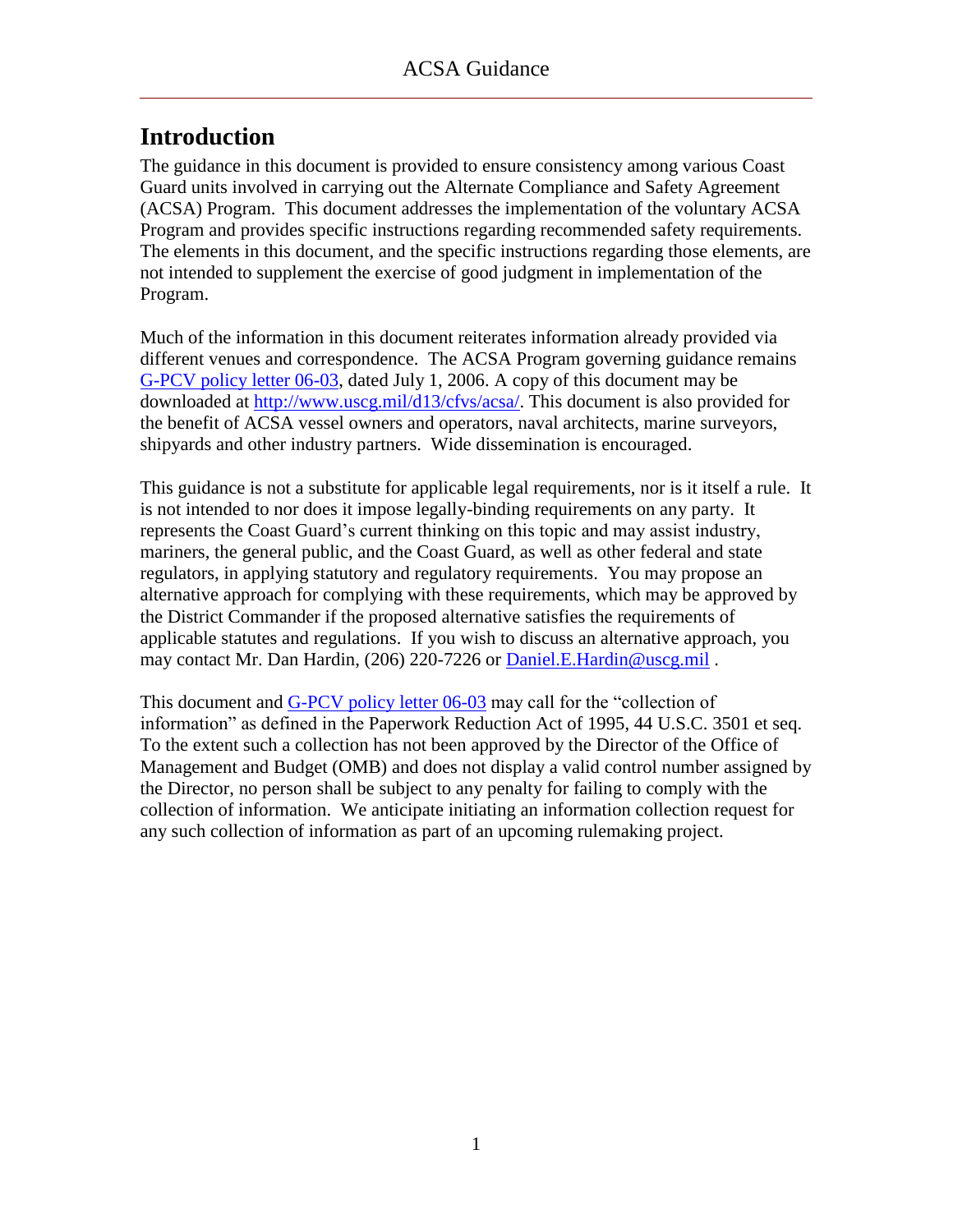### <span id="page-2-0"></span>**Introduction**

The guidance in this document is provided to ensure consistency among various Coast Guard units involved in carrying out the Alternate Compliance and Safety Agreement (ACSA) Program. This document addresses the implementation of the voluntary ACSA Program and provides specific instructions regarding recommended safety requirements. The elements in this document, and the specific instructions regarding those elements, are not intended to supplement the exercise of good judgment in implementation of the Program.

Much of the information in this document reiterates information already provided via different venues and correspondence. The ACSA Program governing guidance remains [G-PCV policy letter 06-03,](ACSA_References/G-PCV_Policy_Ltr_06-03.pdf) dated July 1, 2006. A copy of this document may be downloaded at [http://www.uscg.mil/d13/cfvs/acsa/.](http://www.uscg.mil/d13/cfvs/acsa/) This document is also provided for the benefit of ACSA vessel owners and operators, naval architects, marine surveyors, shipyards and other industry partners. Wide dissemination is encouraged.

This guidance is not a substitute for applicable legal requirements, nor is it itself a rule. It is not intended to nor does it impose legally-binding requirements on any party. It represents the Coast Guard's current thinking on this topic and may assist industry, mariners, the general public, and the Coast Guard, as well as other federal and state regulators, in applying statutory and regulatory requirements. You may propose an alternative approach for complying with these requirements, which may be approved by the District Commander if the proposed alternative satisfies the requirements of applicable statutes and regulations. If you wish to discuss an alternative approach, you may contact Mr. Dan Hardin, (206) 220-7226 or [Daniel.E.Hardin@uscg.mil](mailto:Daniel.E.Hardin@uscg.mil).

This document and [G-PCV policy letter 06-03](ACSA_References/G-PCV_Policy_Ltr_06-03.pdf) may call for the "collection of information" as defined in the Paperwork Reduction Act of 1995, 44 U.S.C. 3501 et seq. To the extent such a collection has not been approved by the Director of the Office of Management and Budget (OMB) and does not display a valid control number assigned by the Director, no person shall be subject to any penalty for failing to comply with the collection of information. We anticipate initiating an information collection request for any such collection of information as part of an upcoming rulemaking project.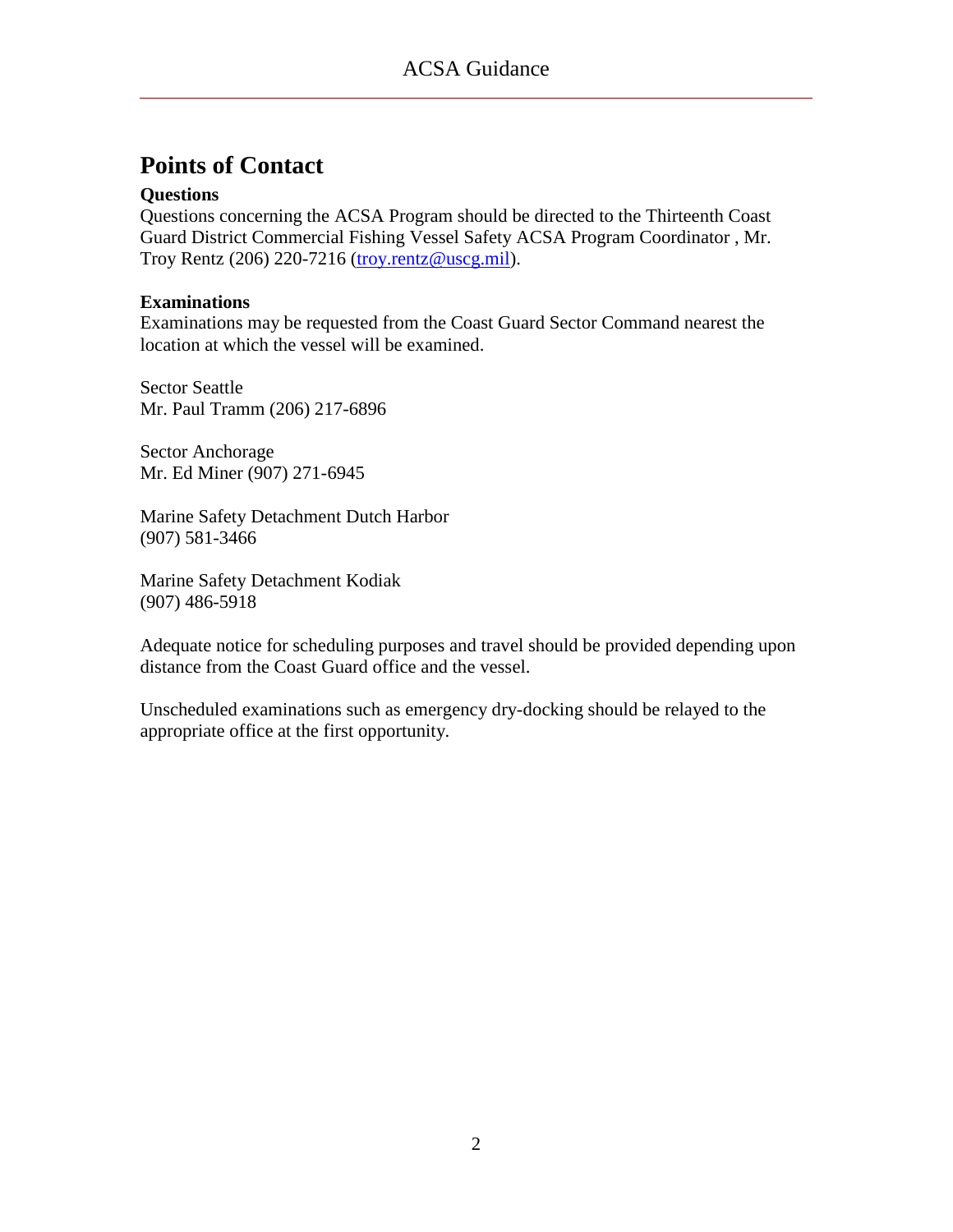### <span id="page-3-0"></span>**Points of Contact**

#### **Questions**

Questions concerning the ACSA Program should be directed to the Thirteenth Coast Guard District Commercial Fishing Vessel Safety ACSA Program Coordinator , Mr. Troy Rentz (206) 220-7216 [\(troy.rentz@uscg.mil\)](mailto:troy.rentz@uscg.mil).

#### **Examinations**

Examinations may be requested from the Coast Guard Sector Command nearest the location at which the vessel will be examined.

Sector Seattle Mr. Paul Tramm (206) 217-6896

Sector Anchorage Mr. Ed Miner (907) 271-6945

Marine Safety Detachment Dutch Harbor (907) 581-3466

Marine Safety Detachment Kodiak (907) 486-5918

Adequate notice for scheduling purposes and travel should be provided depending upon distance from the Coast Guard office and the vessel.

Unscheduled examinations such as emergency dry-docking should be relayed to the appropriate office at the first opportunity.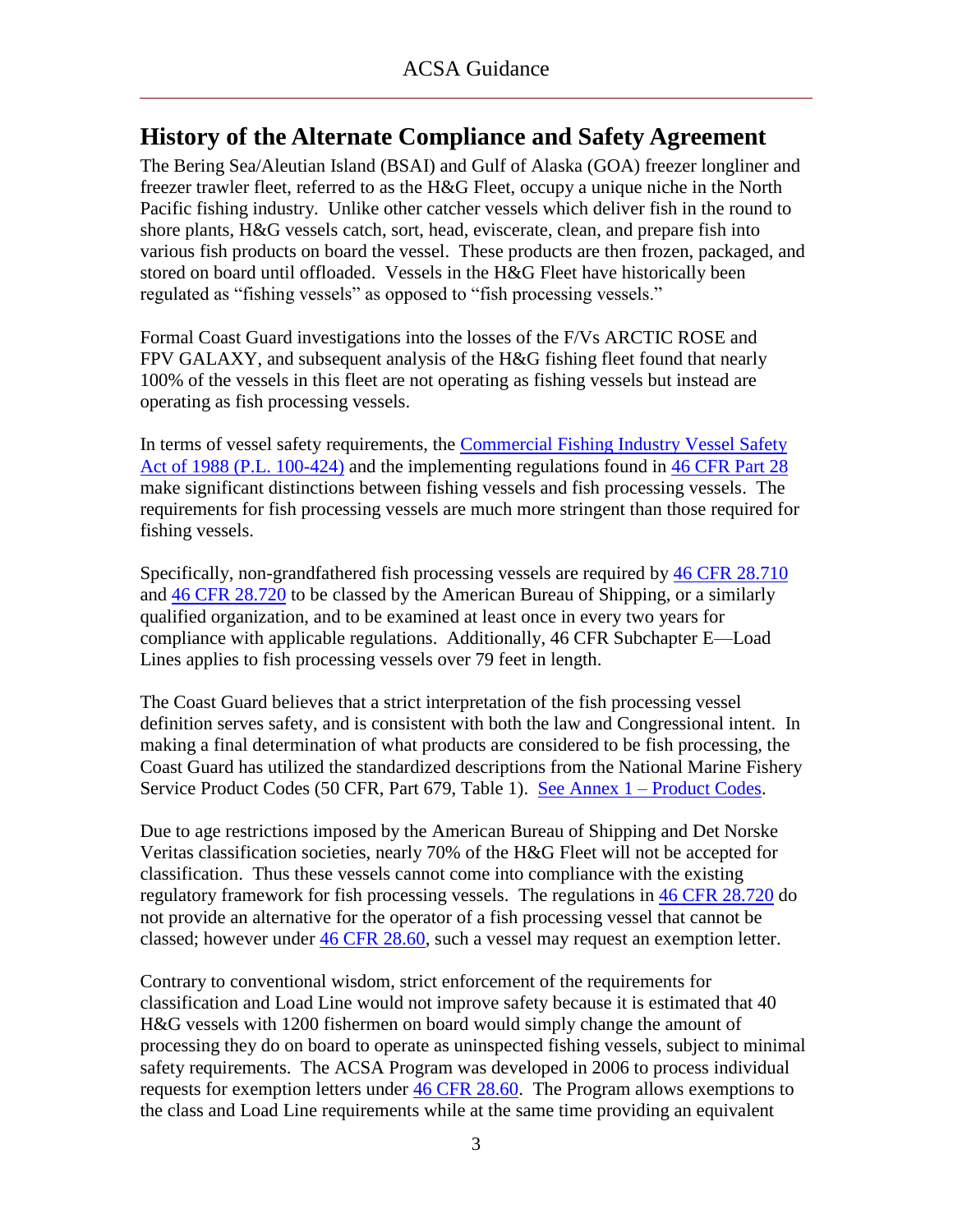### <span id="page-4-0"></span>**History of the Alternate Compliance and Safety Agreement**

The Bering Sea/Aleutian Island (BSAI) and Gulf of Alaska (GOA) freezer longliner and freezer trawler fleet, referred to as the H&G Fleet, occupy a unique niche in the North Pacific fishing industry. Unlike other catcher vessels which deliver fish in the round to shore plants, H&G vessels catch, sort, head, eviscerate, clean, and prepare fish into various fish products on board the vessel. These products are then frozen, packaged, and stored on board until offloaded. Vessels in the H&G Fleet have historically been regulated as "fishing vessels" as opposed to "fish processing vessels."

Formal Coast Guard investigations into the losses of the F/Vs ARCTIC ROSE and FPV GALAXY, and subsequent analysis of the H&G fishing fleet found that nearly 100% of the vessels in this fleet are not operating as fishing vessels but instead are operating as fish processing vessels.

In terms of vessel safety requirements, the [Commercial Fishing Industry Vessel Safety](ACSA_References/Commercial_Fishing_Industry_Vessel_Safety_Act_of_1988.pdf)  [Act of 1988 \(P.L. 100-424\)](ACSA_References/Commercial_Fishing_Industry_Vessel_Safety_Act_of_1988.pdf) and the implementing regulations found in [46 CFR Part 28](ACSA_References/FishVslRegsAll.pdf) make significant distinctions between fishing vessels and fish processing vessels. The requirements for fish processing vessels are much more stringent than those required for fishing vessels.

Specifically, non-grandfathered fish processing vessels are required by [46 CFR 28.710](ACSA_References/46cfr28.710.pdf) and [46 CFR 28.720](ACSA_References/46cfr28.720.pdf) to be classed by the American Bureau of Shipping, or a similarly qualified organization, and to be examined at least once in every two years for compliance with applicable regulations. Additionally, 46 CFR Subchapter E—Load Lines applies to fish processing vessels over 79 feet in length.

The Coast Guard believes that a strict interpretation of the fish processing vessel definition serves safety, and is consistent with both the law and Congressional intent. In making a final determination of what products are considered to be fish processing, the Coast Guard has utilized the standardized descriptions from the National Marine Fishery Service Product Codes (50 CFR, Part 679, Table 1). See Annex 1 – [Product Codes.](#page-44-0)

Due to age restrictions imposed by the American Bureau of Shipping and Det Norske Veritas classification societies, nearly 70% of the H&G Fleet will not be accepted for classification. Thus these vessels cannot come into compliance with the existing regulatory framework for fish processing vessels. The regulations in [46 CFR 28.720](ACSA_References/46cfr28.720.pdf) do not provide an alternative for the operator of a fish processing vessel that cannot be classed; however under [46 CFR 28.60,](ACSA_References/46cfr28.60.pdf) such a vessel may request an exemption letter.

Contrary to conventional wisdom, strict enforcement of the requirements for classification and Load Line would not improve safety because it is estimated that 40 H&G vessels with 1200 fishermen on board would simply change the amount of processing they do on board to operate as uninspected fishing vessels, subject to minimal safety requirements. The ACSA Program was developed in 2006 to process individual requests for exemption letters under [46 CFR 28.60.](ACSA_References/46cfr28.60.pdf) The Program allows exemptions to the class and Load Line requirements while at the same time providing an equivalent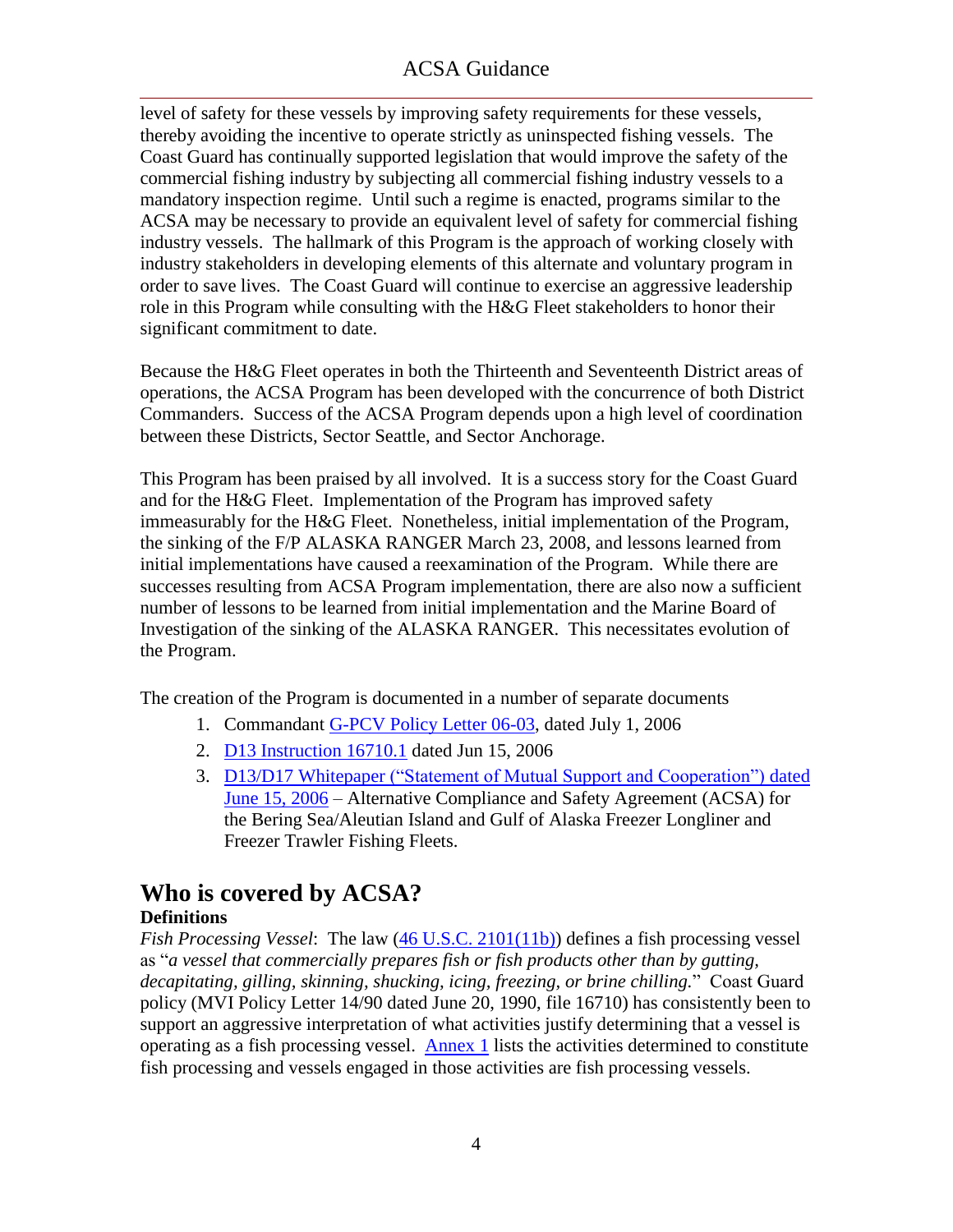level of safety for these vessels by improving safety requirements for these vessels, thereby avoiding the incentive to operate strictly as uninspected fishing vessels. The Coast Guard has continually supported legislation that would improve the safety of the commercial fishing industry by subjecting all commercial fishing industry vessels to a mandatory inspection regime. Until such a regime is enacted, programs similar to the ACSA may be necessary to provide an equivalent level of safety for commercial fishing industry vessels. The hallmark of this Program is the approach of working closely with industry stakeholders in developing elements of this alternate and voluntary program in order to save lives. The Coast Guard will continue to exercise an aggressive leadership role in this Program while consulting with the H&G Fleet stakeholders to honor their significant commitment to date.

Because the H&G Fleet operates in both the Thirteenth and Seventeenth District areas of operations, the ACSA Program has been developed with the concurrence of both District Commanders. Success of the ACSA Program depends upon a high level of coordination between these Districts, Sector Seattle, and Sector Anchorage.

This Program has been praised by all involved. It is a success story for the Coast Guard and for the H&G Fleet. Implementation of the Program has improved safety immeasurably for the H&G Fleet. Nonetheless, initial implementation of the Program, the sinking of the F/P ALASKA RANGER March 23, 2008, and lessons learned from initial implementations have caused a reexamination of the Program. While there are successes resulting from ACSA Program implementation, there are also now a sufficient number of lessons to be learned from initial implementation and the Marine Board of Investigation of the sinking of the ALASKA RANGER. This necessitates evolution of the Program.

The creation of the Program is documented in a number of separate documents

- 1. Commandant [G-PCV Policy Letter 06-03,](ACSA_References/G-PCV_Policy_Ltr_06-03.pdf) dated July 1, 2006
- 2. [D13 Instruction 16710.1](ACSA_References/Signed_ACSA_Dist_Inst.pdf) dated Jun 15, 2006
- 3. D13/D17 Whitepaper ("Statement of Mutual Support and Cooperation") dated [June 15, 2006](file://D13MS-DSTFPS1/Commands/D13/dp_Prevention_Division/dpi_Inspections_&_Investigations_Branch/CFISH/ACSA/ACSA%20Guides/2010%20ACSA%20Guide/ACSA_References/ColorSignedACSA.pdf) – Alternative Compliance and Safety Agreement (ACSA) for the Bering Sea/Aleutian Island and Gulf of Alaska Freezer Longliner and Freezer Trawler Fishing Fleets.

### <span id="page-5-0"></span>**Who is covered by ACSA?**

### **Definitions**

*Fish Processing Vessel*: The law [\(46 U.S.C. 2101\(11b\)\)](ACSA_References/2101USC11b.pdf) defines a fish processing vessel as "*a vessel that commercially prepares fish or fish products other than by gutting, decapitating, gilling, skinning, shucking, icing, freezing, or brine chilling.*‖ Coast Guard policy (MVI Policy Letter 14/90 dated June 20, 1990, file 16710) has consistently been to support an aggressive interpretation of what activities justify determining that a vessel is operating as a fish processing vessel. [Annex 1](#page-44-0) lists the activities determined to constitute fish processing and vessels engaged in those activities are fish processing vessels.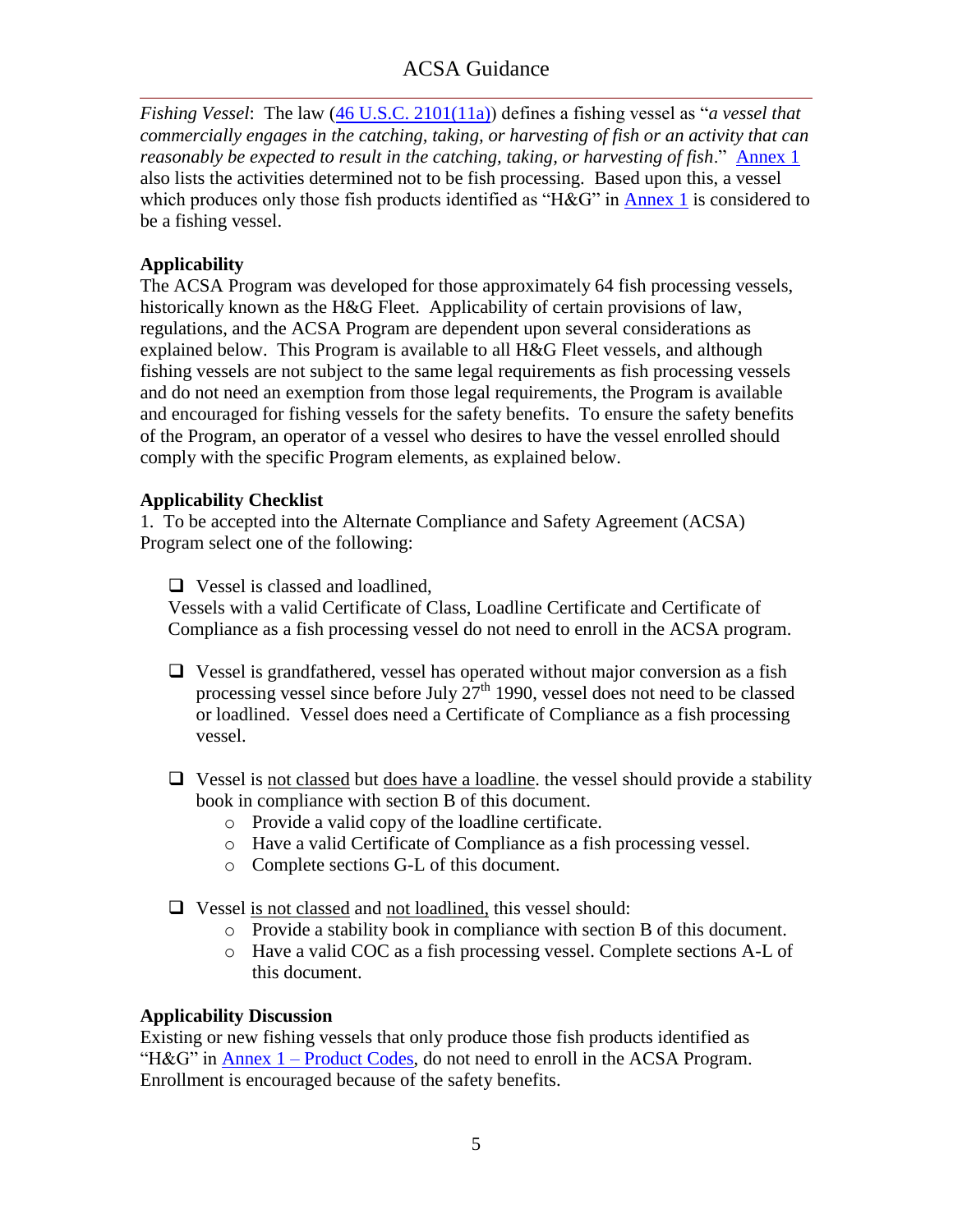*Fishing Vessel*: The law [\(46 U.S.C. 2101\(11a\)\)](ACSA_References/2101USC11a.pdf) defines a fishing vessel as "a vessel that *commercially engages in the catching, taking, or harvesting of fish or an activity that can reasonably be expected to result in the catching, taking, or harvesting of fish.*" [Annex 1](#page-44-0) also lists the activities determined not to be fish processing. Based upon this, a vessel which produces only those fish products identified as " $H\&G$ " in [Annex 1](#page-44-0) is considered to be a fishing vessel.

### **Applicability**

The ACSA Program was developed for those approximately 64 fish processing vessels, historically known as the H&G Fleet. Applicability of certain provisions of law, regulations, and the ACSA Program are dependent upon several considerations as explained below. This Program is available to all H&G Fleet vessels, and although fishing vessels are not subject to the same legal requirements as fish processing vessels and do not need an exemption from those legal requirements, the Program is available and encouraged for fishing vessels for the safety benefits. To ensure the safety benefits of the Program, an operator of a vessel who desires to have the vessel enrolled should comply with the specific Program elements, as explained below.

#### **Applicability Checklist**

1. To be accepted into the Alternate Compliance and Safety Agreement (ACSA) Program select one of the following:

□ Vessel is classed and loadlined,

Vessels with a valid Certificate of Class, Loadline Certificate and Certificate of Compliance as a fish processing vessel do not need to enroll in the ACSA program.

- $\Box$  Vessel is grandfathered, vessel has operated without major conversion as a fish processing vessel since before July  $27<sup>th</sup>$  1990, vessel does not need to be classed or loadlined. Vessel does need a Certificate of Compliance as a fish processing vessel.
- $\Box$  Vessel is not classed but does have a loadline, the vessel should provide a stability book in compliance with section B of this document.
	- o Provide a valid copy of the loadline certificate.
	- o Have a valid Certificate of Compliance as a fish processing vessel.
	- o Complete sections G-L of this document.
- Vessel is not classed and not loadlined, this vessel should:
	- o Provide a stability book in compliance with section B of this document.
	- o Have a valid COC as a fish processing vessel. Complete sections A-L of this document.

#### **Applicability Discussion**

Existing or new fishing vessels that only produce those fish products identified as "H&G" in Annex  $1$  – [Product Codes,](#page-44-0) do not need to enroll in the ACSA Program. Enrollment is encouraged because of the safety benefits.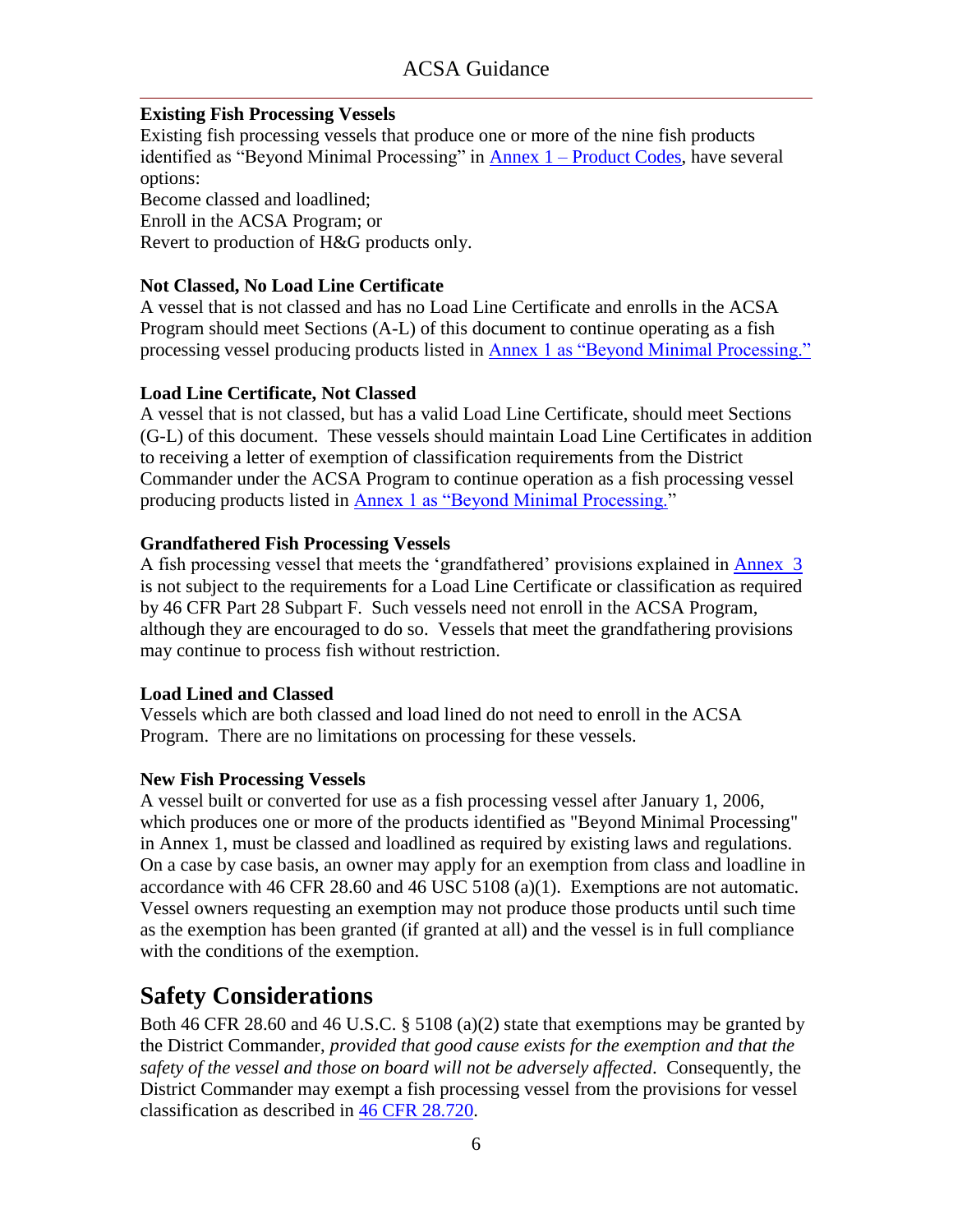### **Existing Fish Processing Vessels**

Existing fish processing vessels that produce one or more of the nine fish products identified as "Beyond Minimal Processing" in Annex  $1 -$  [Product Codes,](#page-45-0) have several options: Become classed and loadlined; Enroll in the ACSA Program; or Revert to production of H&G products only.

### **Not Classed, No Load Line Certificate**

A vessel that is not classed and has no Load Line Certificate and enrolls in the ACSA Program should meet Sections (A-L) of this document to continue operating as a fish processing vessel producing products listed in Annex 1 as "Beyond Minimal Processing."

### **Load Line Certificate, Not Classed**

A vessel that is not classed, but has a valid Load Line Certificate, should meet Sections (G-L) of this document. These vessels should maintain Load Line Certificates in addition to receiving a letter of exemption of classification requirements from the District Commander under the ACSA Program to continue operation as a fish processing vessel producing products listed in Annex 1 as "Beyond Minimal Processing."

### **Grandfathered Fish Processing Vessels**

A fish processing vessel that meets the 'grandfathered' provisions explained in [Annex 3](#page-47-0) is not subject to the requirements for a Load Line Certificate or classification as required by 46 CFR Part 28 Subpart F. Such vessels need not enroll in the ACSA Program, although they are encouraged to do so. Vessels that meet the grandfathering provisions may continue to process fish without restriction.

#### **Load Lined and Classed**

Vessels which are both classed and load lined do not need to enroll in the ACSA Program. There are no limitations on processing for these vessels.

#### **New Fish Processing Vessels**

A vessel built or converted for use as a fish processing vessel after January 1, 2006, which produces one or more of the products identified as "Beyond Minimal Processing" in Annex 1, must be classed and loadlined as required by existing laws and regulations. On a case by case basis, an owner may apply for an exemption from class and loadline in accordance with 46 CFR 28.60 and 46 USC 5108 (a)(1). Exemptions are not automatic. Vessel owners requesting an exemption may not produce those products until such time as the exemption has been granted (if granted at all) and the vessel is in full compliance with the conditions of the exemption.

### <span id="page-7-0"></span>**Safety Considerations**

Both 46 CFR 28.60 and 46 U.S.C. § 5108 (a)(2) state that exemptions may be granted by the District Commander, *provided that good cause exists for the exemption and that the safety of the vessel and those on board will not be adversely affected*. Consequently, the District Commander may exempt a fish processing vessel from the provisions for vessel classification as described in [46 CFR 28.720.](ACSA_References/46cfr28.720.pdf)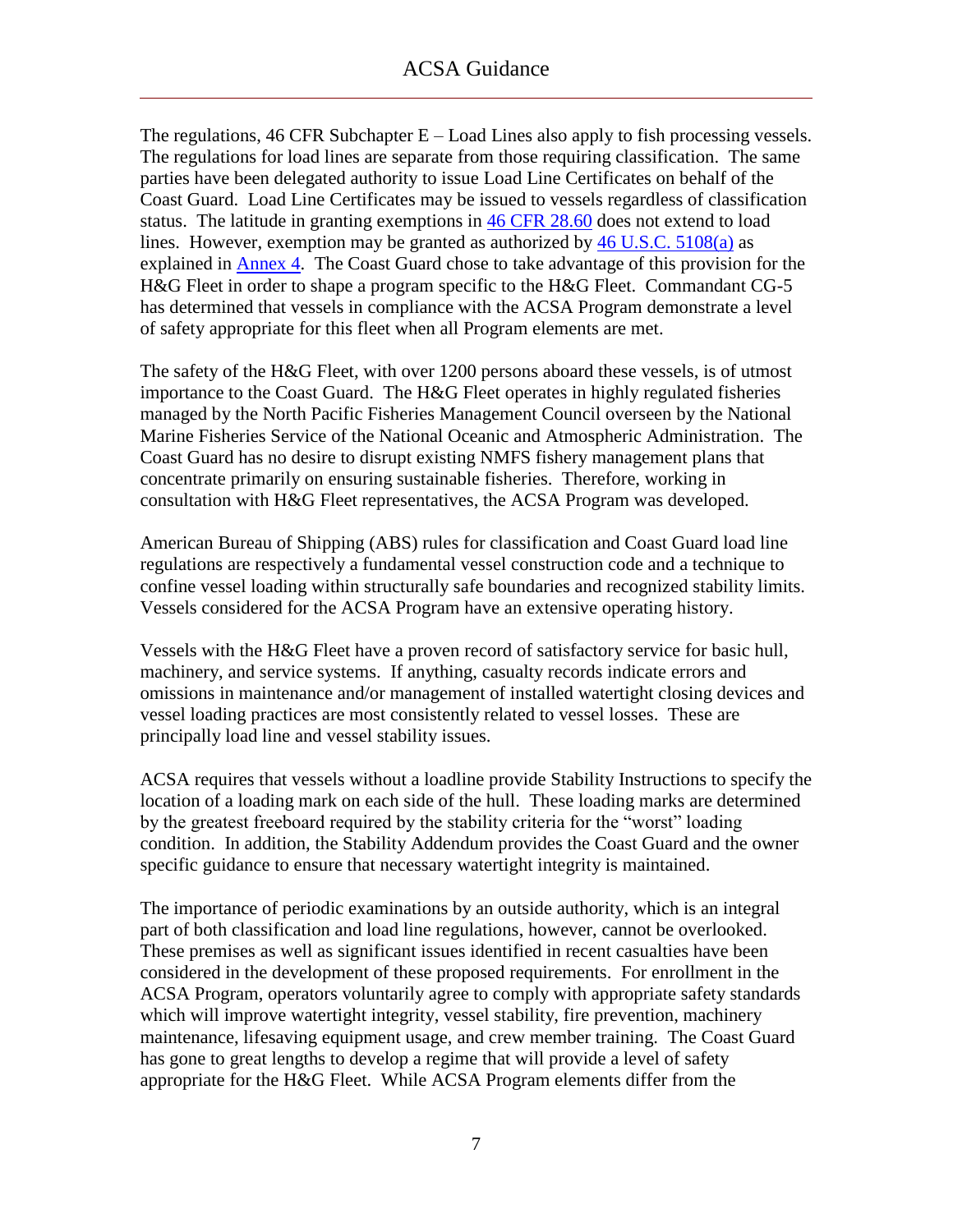The regulations,  $46$  CFR Subchapter  $E -$  Load Lines also apply to fish processing vessels. The regulations for load lines are separate from those requiring classification. The same parties have been delegated authority to issue Load Line Certificates on behalf of the Coast Guard. Load Line Certificates may be issued to vessels regardless of classification status. The latitude in granting exemptions in [46 CFR 28.60](ACSA_References/46cfr28.60.pdf) does not extend to load lines. However, exemption may be granted as authorized by [46 U.S.C. 5108\(a\)](ACSA_References/5108USCa1.pdf) as explained in [Annex 4.](#page-48-0) The Coast Guard chose to take advantage of this provision for the H&G Fleet in order to shape a program specific to the H&G Fleet. Commandant CG-5 has determined that vessels in compliance with the ACSA Program demonstrate a level of safety appropriate for this fleet when all Program elements are met.

The safety of the H&G Fleet, with over 1200 persons aboard these vessels, is of utmost importance to the Coast Guard. The H&G Fleet operates in highly regulated fisheries managed by the North Pacific Fisheries Management Council overseen by the National Marine Fisheries Service of the National Oceanic and Atmospheric Administration. The Coast Guard has no desire to disrupt existing NMFS fishery management plans that concentrate primarily on ensuring sustainable fisheries. Therefore, working in consultation with H&G Fleet representatives, the ACSA Program was developed.

American Bureau of Shipping (ABS) rules for classification and Coast Guard load line regulations are respectively a fundamental vessel construction code and a technique to confine vessel loading within structurally safe boundaries and recognized stability limits. Vessels considered for the ACSA Program have an extensive operating history.

Vessels with the H&G Fleet have a proven record of satisfactory service for basic hull, machinery, and service systems. If anything, casualty records indicate errors and omissions in maintenance and/or management of installed watertight closing devices and vessel loading practices are most consistently related to vessel losses. These are principally load line and vessel stability issues.

ACSA requires that vessels without a loadline provide Stability Instructions to specify the location of a loading mark on each side of the hull. These loading marks are determined by the greatest freeboard required by the stability criteria for the "worst" loading condition. In addition, the Stability Addendum provides the Coast Guard and the owner specific guidance to ensure that necessary watertight integrity is maintained.

The importance of periodic examinations by an outside authority, which is an integral part of both classification and load line regulations, however, cannot be overlooked. These premises as well as significant issues identified in recent casualties have been considered in the development of these proposed requirements. For enrollment in the ACSA Program, operators voluntarily agree to comply with appropriate safety standards which will improve watertight integrity, vessel stability, fire prevention, machinery maintenance, lifesaving equipment usage, and crew member training. The Coast Guard has gone to great lengths to develop a regime that will provide a level of safety appropriate for the H&G Fleet. While ACSA Program elements differ from the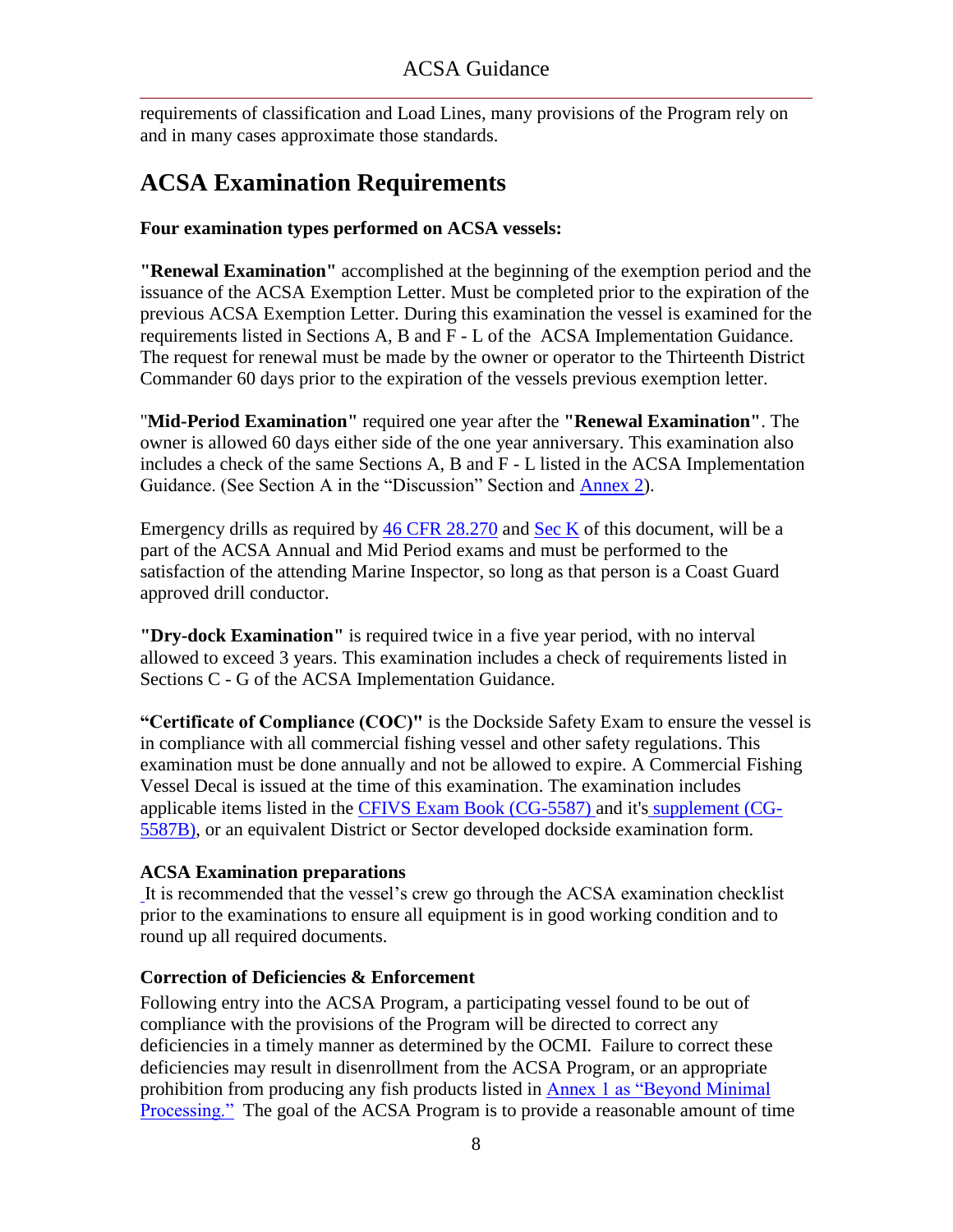requirements of classification and Load Lines, many provisions of the Program rely on and in many cases approximate those standards.

# <span id="page-9-0"></span>**ACSA Examination Requirements**

### **Four examination types performed on ACSA vessels:**

**"Renewal Examination"** accomplished at the beginning of the exemption period and the issuance of the ACSA Exemption Letter. Must be completed prior to the expiration of the previous ACSA Exemption Letter. During this examination the vessel is examined for the requirements listed in Sections A, B and F - L of the ACSA Implementation Guidance. The request for renewal must be made by the owner or operator to the Thirteenth District Commander 60 days prior to the expiration of the vessels previous exemption letter.

"**Mid-Period Examination"** required one year after the **"Renewal Examination"**. The owner is allowed 60 days either side of the one year anniversary. This examination also includes a check of the same Sections A, B and F - L listed in the ACSA Implementation Guidance. (See Section A in the "Discussion" Section and [Annex 2\)](#page-46-0).

Emergency drills as required by [46 CFR 28.270](ACSA_References/46cfr28.270.pdf) and [Sec K](#page-39-0) of this document, will be a part of the ACSA Annual and Mid Period exams and must be performed to the satisfaction of the attending Marine Inspector, so long as that person is a Coast Guard approved drill conductor.

**"Dry-dock Examination"** is required twice in a five year period, with no interval allowed to exceed 3 years. This examination includes a check of requirements listed in Sections C - G of the ACSA Implementation Guidance.

**"Certificate of Compliance (COC)"** is the Dockside Safety Exam to ensure the vessel is in compliance with all commercial fishing vessel and other safety regulations. This examination must be done annually and not be allowed to expire. A Commercial Fishing Vessel Decal is issued at the time of this examination. The examination includes applicable items listed in the [CFIVS Exam Book \(CG-5587\) a](ACSA_References/CFVS_ExamBooklet_CG-5587_Revised_06_08.pdf)nd it's [supplement \(CG-](http://cgweb.d13.uscg.mil/cfvs/CFIVSPersonnel/PDFs/CFVS_ExamSupCG-5587BRev_08_08.pdf)5587B), or an equivalent District or Sector developed dockside examination form.

### **ACSA Examination preparations**

It is recommended that the vessel's crew go through the ACSA examination checklist prior to the examinations to ensure all equipment is in good working condition and to round up all required documents.

### **Correction of Deficiencies & Enforcement**

Following entry into the ACSA Program, a participating vessel found to be out of compliance with the provisions of the Program will be directed to correct any deficiencies in a timely manner as determined by the OCMI. Failure to correct these deficiencies may result in disenrollment from the ACSA Program, or an appropriate prohibition from producing any fish products listed in Annex 1 as "Beyond Minimal" **Processing.**" The goal of the ACSA Program is to provide a reasonable amount of time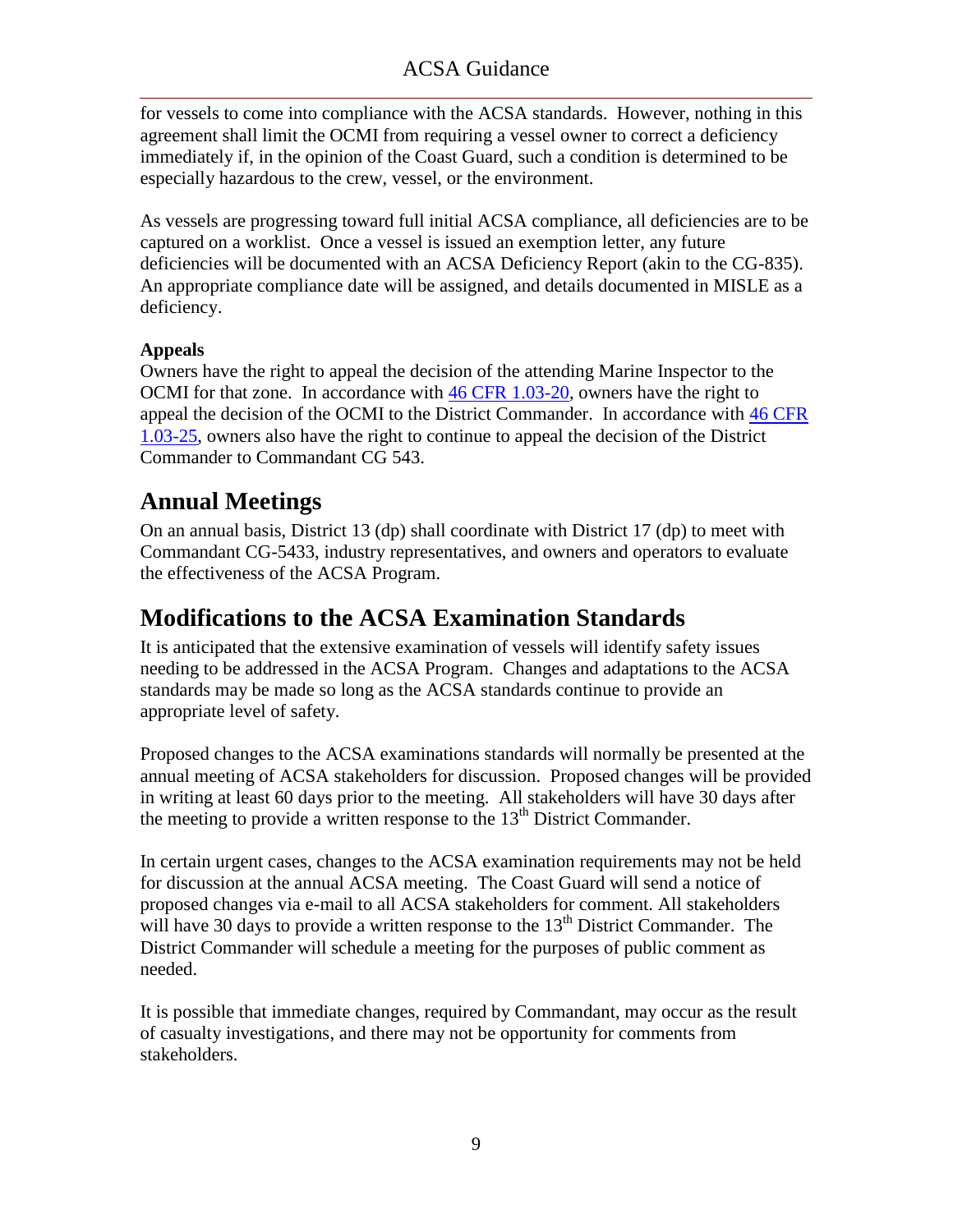for vessels to come into compliance with the ACSA standards. However, nothing in this agreement shall limit the OCMI from requiring a vessel owner to correct a deficiency immediately if, in the opinion of the Coast Guard, such a condition is determined to be especially hazardous to the crew, vessel, or the environment.

As vessels are progressing toward full initial ACSA compliance, all deficiencies are to be captured on a worklist. Once a vessel is issued an exemption letter, any future deficiencies will be documented with an ACSA Deficiency Report (akin to the CG-835). An appropriate compliance date will be assigned, and details documented in MISLE as a deficiency.

### **Appeals**

Owners have the right to appeal the decision of the attending Marine Inspector to the OCMI for that zone. In accordance with  $46$  CFR 1.03-20, owners have the right to appeal the decision of the OCMI to the District Commander. In accordance with [46 CFR](ACSA_References/46cfr1.03-25.pdf)  [1.03-25,](ACSA_References/46cfr1.03-25.pdf) owners also have the right to continue to appeal the decision of the District Commander to Commandant CG 543.

### <span id="page-10-0"></span>**Annual Meetings**

On an annual basis, District 13 (dp) shall coordinate with District 17 (dp) to meet with Commandant CG-5433, industry representatives, and owners and operators to evaluate the effectiveness of the ACSA Program.

### <span id="page-10-1"></span>**Modifications to the ACSA Examination Standards**

It is anticipated that the extensive examination of vessels will identify safety issues needing to be addressed in the ACSA Program. Changes and adaptations to the ACSA standards may be made so long as the ACSA standards continue to provide an appropriate level of safety.

Proposed changes to the ACSA examinations standards will normally be presented at the annual meeting of ACSA stakeholders for discussion. Proposed changes will be provided in writing at least 60 days prior to the meeting. All stakeholders will have 30 days after the meeting to provide a written response to the  $13<sup>th</sup>$  District Commander.

In certain urgent cases, changes to the ACSA examination requirements may not be held for discussion at the annual ACSA meeting. The Coast Guard will send a notice of proposed changes via e-mail to all ACSA stakeholders for comment. All stakeholders will have 30 days to provide a written response to the  $13<sup>th</sup>$  District Commander. The District Commander will schedule a meeting for the purposes of public comment as needed.

It is possible that immediate changes, required by Commandant, may occur as the result of casualty investigations, and there may not be opportunity for comments from stakeholders.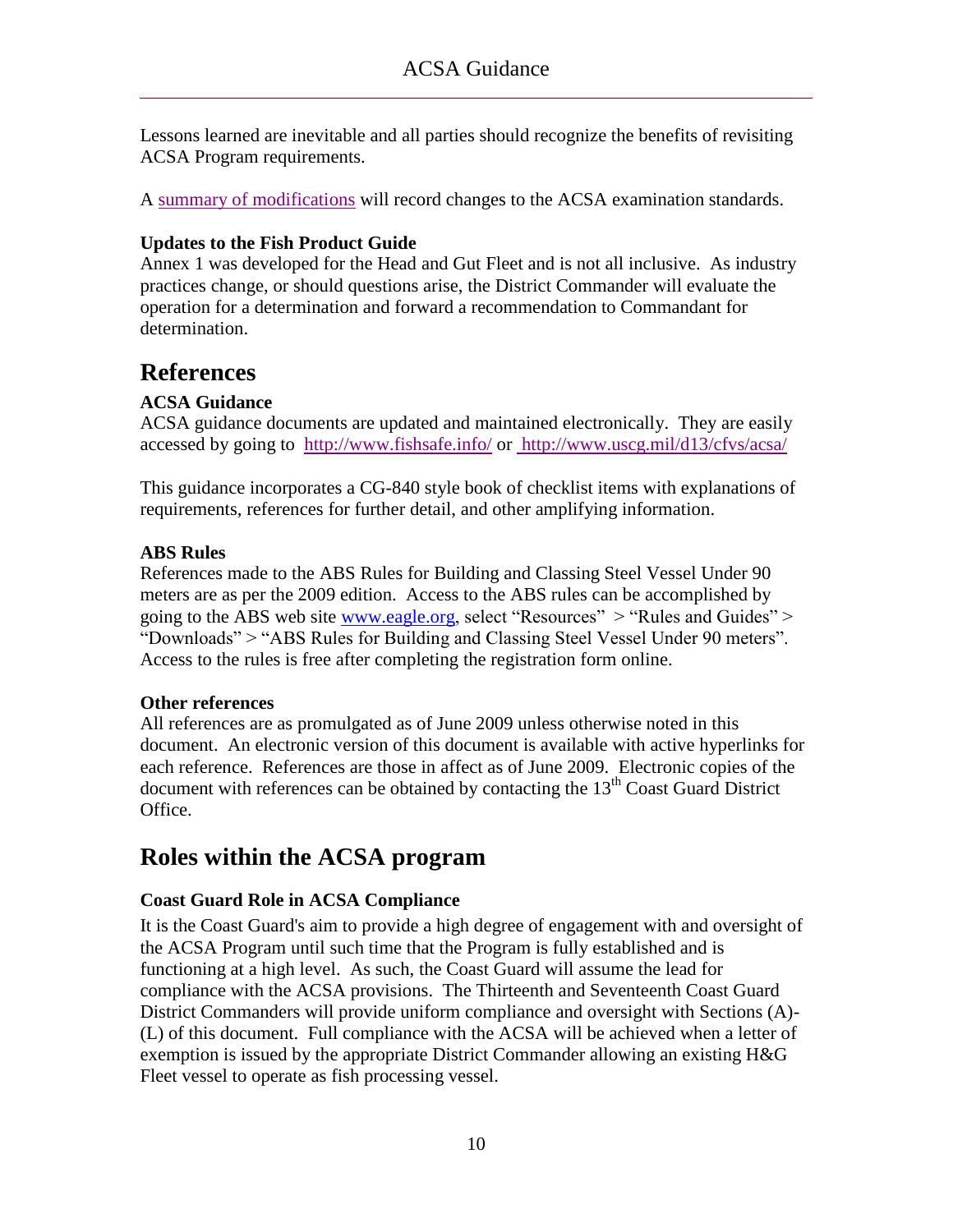Lessons learned are inevitable and all parties should recognize the benefits of revisiting ACSA Program requirements.

A [summary of modifications](ACSA_References/Summary%20of%20modifications.pdf) will record changes to the ACSA examination standards.

#### **Updates to the Fish Product Guide**

Annex 1 was developed for the Head and Gut Fleet and is not all inclusive. As industry practices change, or should questions arise, the District Commander will evaluate the operation for a determination and forward a recommendation to Commandant for determination.

### <span id="page-11-0"></span>**References**

### **ACSA Guidance**

ACSA guidance documents are updated and maintained electronically. They are easily accessed by going to <http://www.fishsafe.info/> or<http://www.uscg.mil/d13/cfvs/acsa/>

This guidance incorporates a CG-840 style book of checklist items with explanations of requirements, references for further detail, and other amplifying information.

#### **ABS Rules**

References made to the ABS Rules for Building and Classing Steel Vessel Under 90 meters are as per the 2009 edition. Access to the ABS rules can be accomplished by going to the ABS web site [www.eagle.org,](http://www.eagle.org/) select "Resources" > "Rules and Guides" > "Downloads" > "ABS Rules for Building and Classing Steel Vessel Under 90 meters". Access to the rules is free after completing the registration form online.

#### **Other references**

All references are as promulgated as of June 2009 unless otherwise noted in this document. An electronic version of this document is available with active hyperlinks for each reference. References are those in affect as of June 2009. Electronic copies of the document with references can be obtained by contacting the  $13<sup>th</sup>$  Coast Guard District Office.

### <span id="page-11-1"></span>**Roles within the ACSA program**

### **Coast Guard Role in ACSA Compliance**

It is the Coast Guard's aim to provide a high degree of engagement with and oversight of the ACSA Program until such time that the Program is fully established and is functioning at a high level. As such, the Coast Guard will assume the lead for compliance with the ACSA provisions. The Thirteenth and Seventeenth Coast Guard District Commanders will provide uniform compliance and oversight with Sections (A)- (L) of this document. Full compliance with the ACSA will be achieved when a letter of exemption is issued by the appropriate District Commander allowing an existing H&G Fleet vessel to operate as fish processing vessel.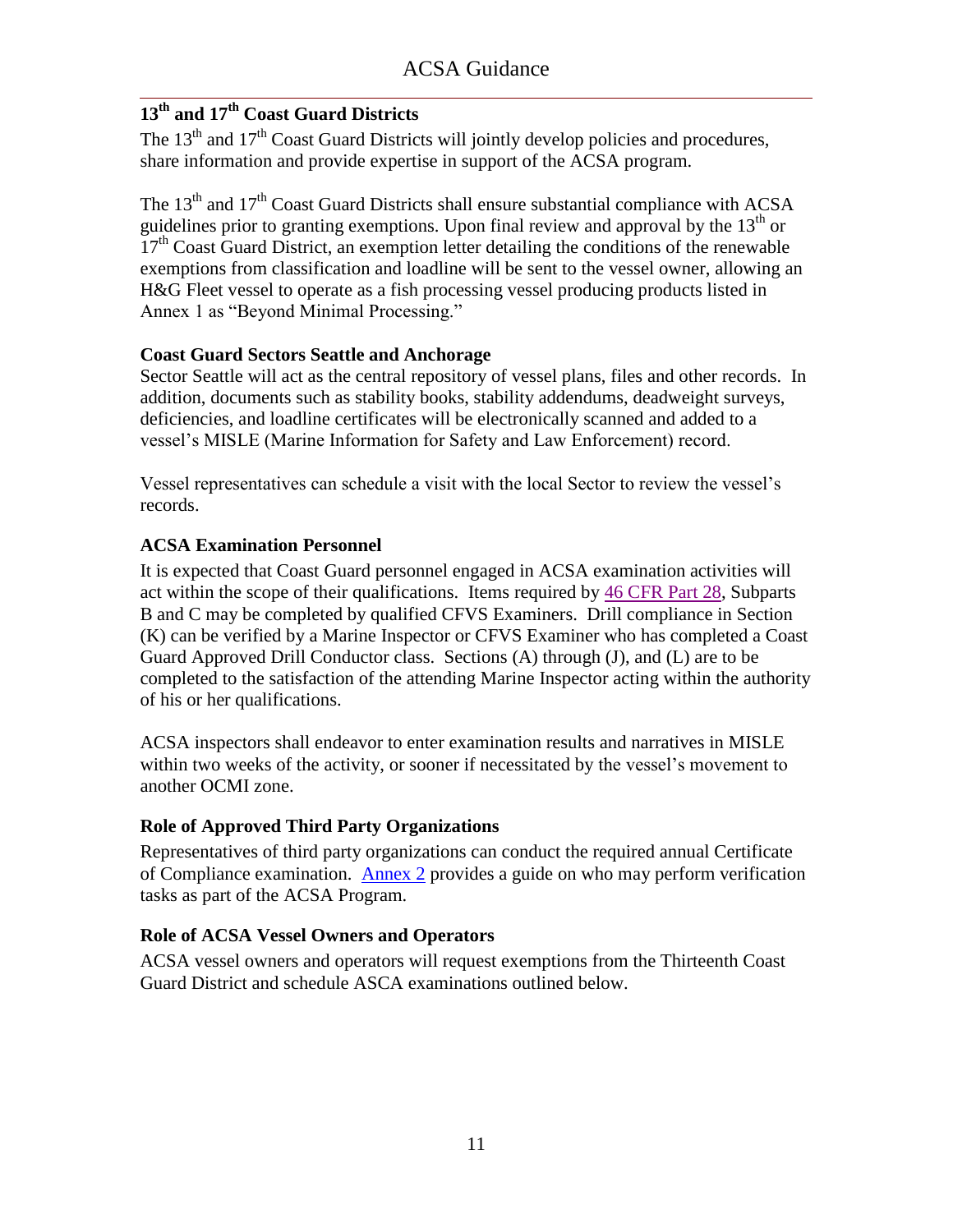### **13th and 17th Coast Guard Districts**

The  $13<sup>th</sup>$  and  $17<sup>th</sup>$  Coast Guard Districts will jointly develop policies and procedures, share information and provide expertise in support of the ACSA program.

The  $13<sup>th</sup>$  and  $17<sup>th</sup>$  Coast Guard Districts shall ensure substantial compliance with ACSA guidelines prior to granting exemptions. Upon final review and approval by the  $13<sup>th</sup>$  or  $17<sup>th</sup>$  Coast Guard District, an exemption letter detailing the conditions of the renewable exemptions from classification and loadline will be sent to the vessel owner, allowing an H&G Fleet vessel to operate as a fish processing vessel producing products listed in Annex 1 as "Beyond Minimal Processing."

### **Coast Guard Sectors Seattle and Anchorage**

Sector Seattle will act as the central repository of vessel plans, files and other records. In addition, documents such as stability books, stability addendums, deadweight surveys, deficiencies, and loadline certificates will be electronically scanned and added to a vessel's MISLE (Marine Information for Safety and Law Enforcement) record.

Vessel representatives can schedule a visit with the local Sector to review the vessel's records.

### **ACSA Examination Personnel**

It is expected that Coast Guard personnel engaged in ACSA examination activities will act within the scope of their qualifications. Items required by [46 CFR Part 28,](ACSA_References/FishVslRegsAll.pdf) Subparts B and C may be completed by qualified CFVS Examiners. Drill compliance in Section (K) can be verified by a Marine Inspector or CFVS Examiner who has completed a Coast Guard Approved Drill Conductor class. Sections (A) through (J), and (L) are to be completed to the satisfaction of the attending Marine Inspector acting within the authority of his or her qualifications.

ACSA inspectors shall endeavor to enter examination results and narratives in MISLE within two weeks of the activity, or sooner if necessitated by the vessel's movement to another OCMI zone.

### **Role of Approved Third Party Organizations**

Representatives of third party organizations can conduct the required annual Certificate of Compliance examination. [Annex 2](#page-46-0) provides a guide on who may perform verification tasks as part of the ACSA Program.

### **Role of ACSA Vessel Owners and Operators**

ACSA vessel owners and operators will request exemptions from the Thirteenth Coast Guard District and schedule ASCA examinations outlined below.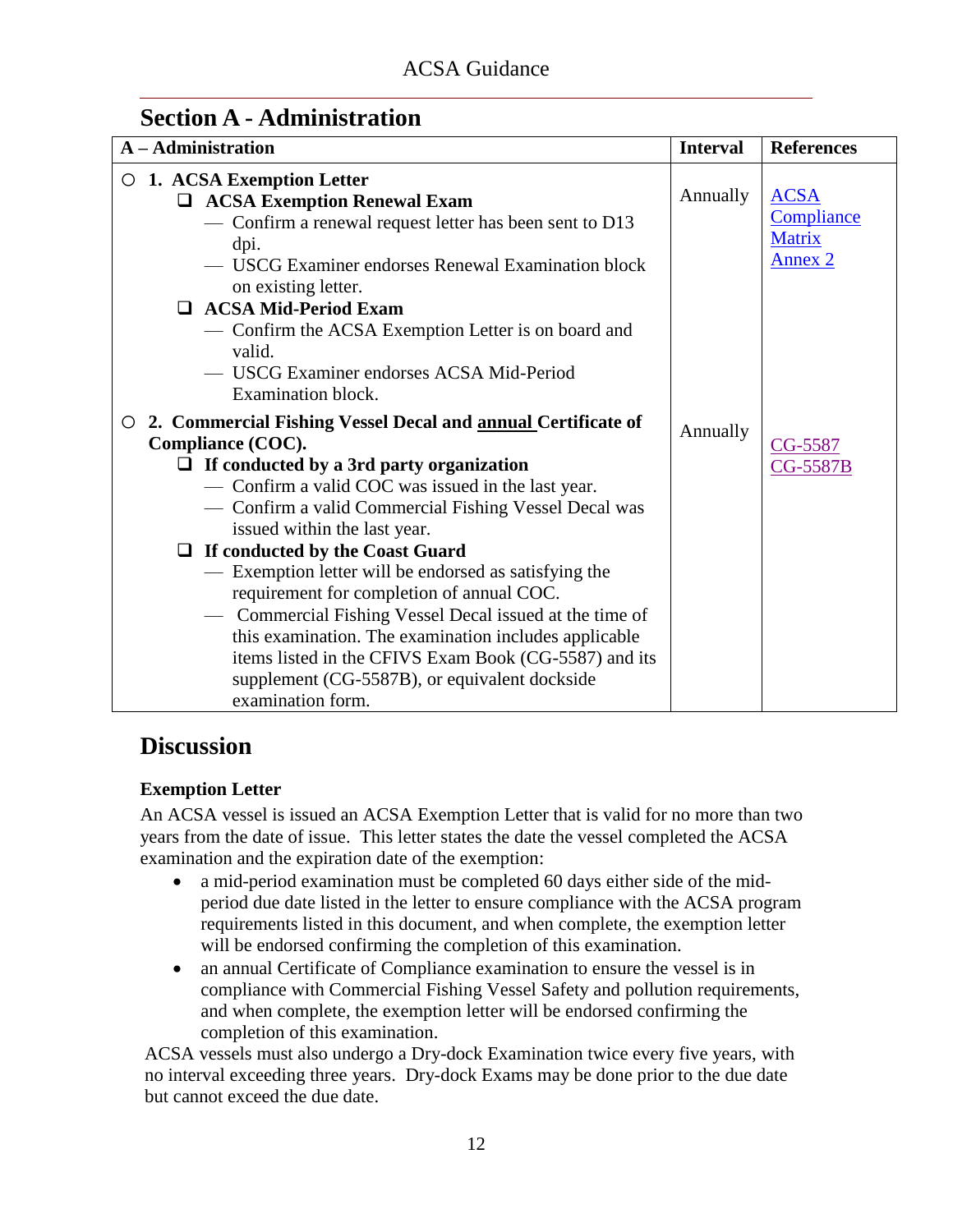### <span id="page-13-0"></span>**Section A - Administration**

### **Discussion**

### **Exemption Letter**

An ACSA vessel is issued an ACSA Exemption Letter that is valid for no more than two years from the date of issue. This letter states the date the vessel completed the ACSA examination and the expiration date of the exemption:

- a mid-period examination must be completed 60 days either side of the midperiod due date listed in the letter to ensure compliance with the ACSA program requirements listed in this document, and when complete, the exemption letter will be endorsed confirming the completion of this examination.
- an annual Certificate of Compliance examination to ensure the vessel is in compliance with Commercial Fishing Vessel Safety and pollution requirements, and when complete, the exemption letter will be endorsed confirming the completion of this examination.

ACSA vessels must also undergo a Dry-dock Examination twice every five years, with no interval exceeding three years. Dry-dock Exams may be done prior to the due date but cannot exceed the due date.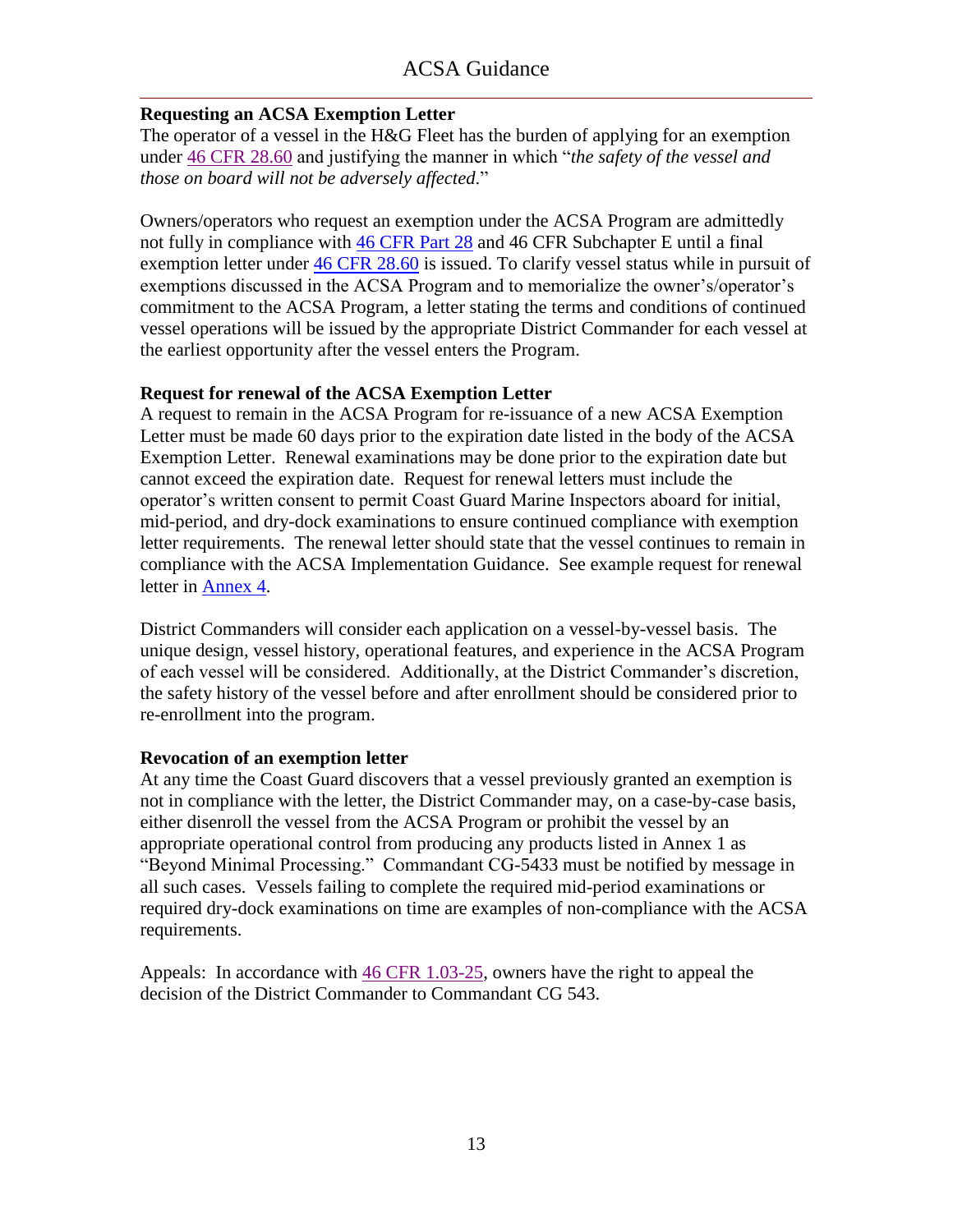### <span id="page-14-0"></span>**Requesting an ACSA Exemption Letter**

The operator of a vessel in the H&G Fleet has the burden of applying for an exemption under [46 CFR 28.60](ACSA_References/46cfr28.60.pdf) and justifying the manner in which "*the safety of the vessel and those on board will not be adversely affected*.‖

Owners/operators who request an exemption under the ACSA Program are admittedly not fully in compliance with [46 CFR Part 28](ACSA_References/FishVslRegsAll.pdf) and 46 CFR Subchapter E until a final exemption letter under [46 CFR 28.60](ACSA_References/46cfr28.60.pdf) is issued. To clarify vessel status while in pursuit of exemptions discussed in the ACSA Program and to memorialize the owner's/operator's commitment to the ACSA Program, a letter stating the terms and conditions of continued vessel operations will be issued by the appropriate District Commander for each vessel at the earliest opportunity after the vessel enters the Program.

### **Request for renewal of the ACSA Exemption Letter**

A request to remain in the ACSA Program for re-issuance of a new ACSA Exemption Letter must be made 60 days prior to the expiration date listed in the body of the ACSA Exemption Letter. Renewal examinations may be done prior to the expiration date but cannot exceed the expiration date. Request for renewal letters must include the operator's written consent to permit Coast Guard Marine Inspectors aboard for initial, mid-period, and dry-dock examinations to ensure continued compliance with exemption letter requirements. The renewal letter should state that the vessel continues to remain in compliance with the ACSA Implementation Guidance. See example request for renewal letter in [Annex 4.](#page-48-0)

District Commanders will consider each application on a vessel-by-vessel basis. The unique design, vessel history, operational features, and experience in the ACSA Program of each vessel will be considered. Additionally, at the District Commander's discretion, the safety history of the vessel before and after enrollment should be considered prior to re-enrollment into the program.

### **Revocation of an exemption letter**

At any time the Coast Guard discovers that a vessel previously granted an exemption is not in compliance with the letter, the District Commander may, on a case-by-case basis, either disenroll the vessel from the ACSA Program or prohibit the vessel by an appropriate operational control from producing any products listed in Annex 1 as "Beyond Minimal Processing." Commandant CG-5433 must be notified by message in all such cases. Vessels failing to complete the required mid-period examinations or required dry-dock examinations on time are examples of non-compliance with the ACSA requirements.

Appeals: In accordance with [46 CFR 1.03-25,](ACSA_References/46cfr1.03-25.pdf) owners have the right to appeal the decision of the District Commander to Commandant CG 543.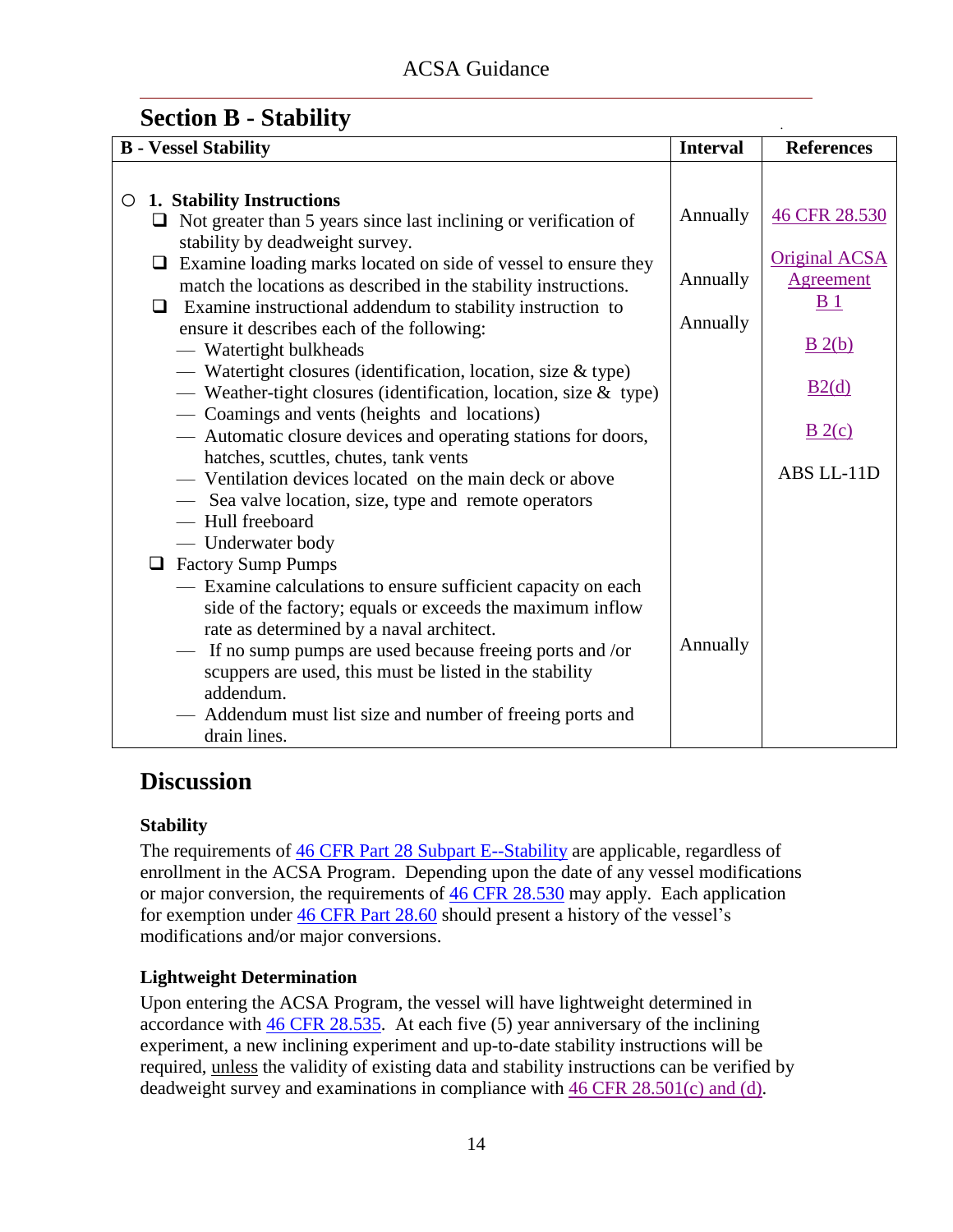.

### <span id="page-15-0"></span>**Section B - Stability**

| <b>B</b> - Vessel Stability                                                                                                                                                                                                                                                                                                                                           | <b>Interval</b> | <b>References</b>                                          |
|-----------------------------------------------------------------------------------------------------------------------------------------------------------------------------------------------------------------------------------------------------------------------------------------------------------------------------------------------------------------------|-----------------|------------------------------------------------------------|
|                                                                                                                                                                                                                                                                                                                                                                       |                 |                                                            |
| 1. Stability Instructions<br>O<br>$\Box$ Not greater than 5 years since last inclining or verification of<br>stability by deadweight survey.                                                                                                                                                                                                                          | Annually        | 46 CFR 28.530                                              |
| $\Box$ Examine loading marks located on side of vessel to ensure they<br>match the locations as described in the stability instructions.                                                                                                                                                                                                                              | Annually        | <b>Original ACSA</b><br><b>Agreement</b><br>B <sub>1</sub> |
| $\Box$ Examine instructional addendum to stability instruction to<br>ensure it describes each of the following:                                                                                                                                                                                                                                                       | Annually        | B(2(b)                                                     |
| - Watertight bulkheads<br>- Watertight closures (identification, location, size & type)<br>— Weather-tight closures (identification, location, size $&$ type)                                                                                                                                                                                                         |                 | B2(d)                                                      |
| — Coamings and vents (heights and locations)<br>— Automatic closure devices and operating stations for doors,                                                                                                                                                                                                                                                         |                 | B(2(c)                                                     |
| hatches, scuttles, chutes, tank vents<br>- Ventilation devices located on the main deck or above<br>- Sea valve location, size, type and remote operators<br>- Hull freeboard                                                                                                                                                                                         |                 | ABS LL-11D                                                 |
| — Underwater body                                                                                                                                                                                                                                                                                                                                                     |                 |                                                            |
| <b>Example 3</b> Factory Sump Pumps                                                                                                                                                                                                                                                                                                                                   |                 |                                                            |
| - Examine calculations to ensure sufficient capacity on each<br>side of the factory; equals or exceeds the maximum inflow<br>rate as determined by a naval architect.<br>If no sump pumps are used because freeing ports and /or<br>scuppers are used, this must be listed in the stability<br>addendum.<br>— Addendum must list size and number of freeing ports and | Annually        |                                                            |
| drain lines.                                                                                                                                                                                                                                                                                                                                                          |                 |                                                            |

### **Discussion**

### **Stability**

The requirements of  $46$  CFR Part 28 Subpart E--Stability are applicable, regardless of enrollment in the ACSA Program. Depending upon the date of any vessel modifications or major conversion, the requirements of [46 CFR 28.530](ACSA_References/46cfr28.530.pdf) may apply. Each application for exemption under [46 CFR Part 28.60](ACSA_References/46cfr28.60.pdf) should present a history of the vessel's modifications and/or major conversions.

### **Lightweight Determination**

Upon entering the ACSA Program, the vessel will have lightweight determined in accordance with [46 CFR 28.535.](ACSA_References/46cfr28.535.pdf) At each five (5) year anniversary of the inclining experiment, a new inclining experiment and up-to-date stability instructions will be required, unless the validity of existing data and stability instructions can be verified by deadweight survey and examinations in compliance with [46 CFR 28.501\(c\) and \(d\).](ACSA_References/46cfr28.501c&d.pdf)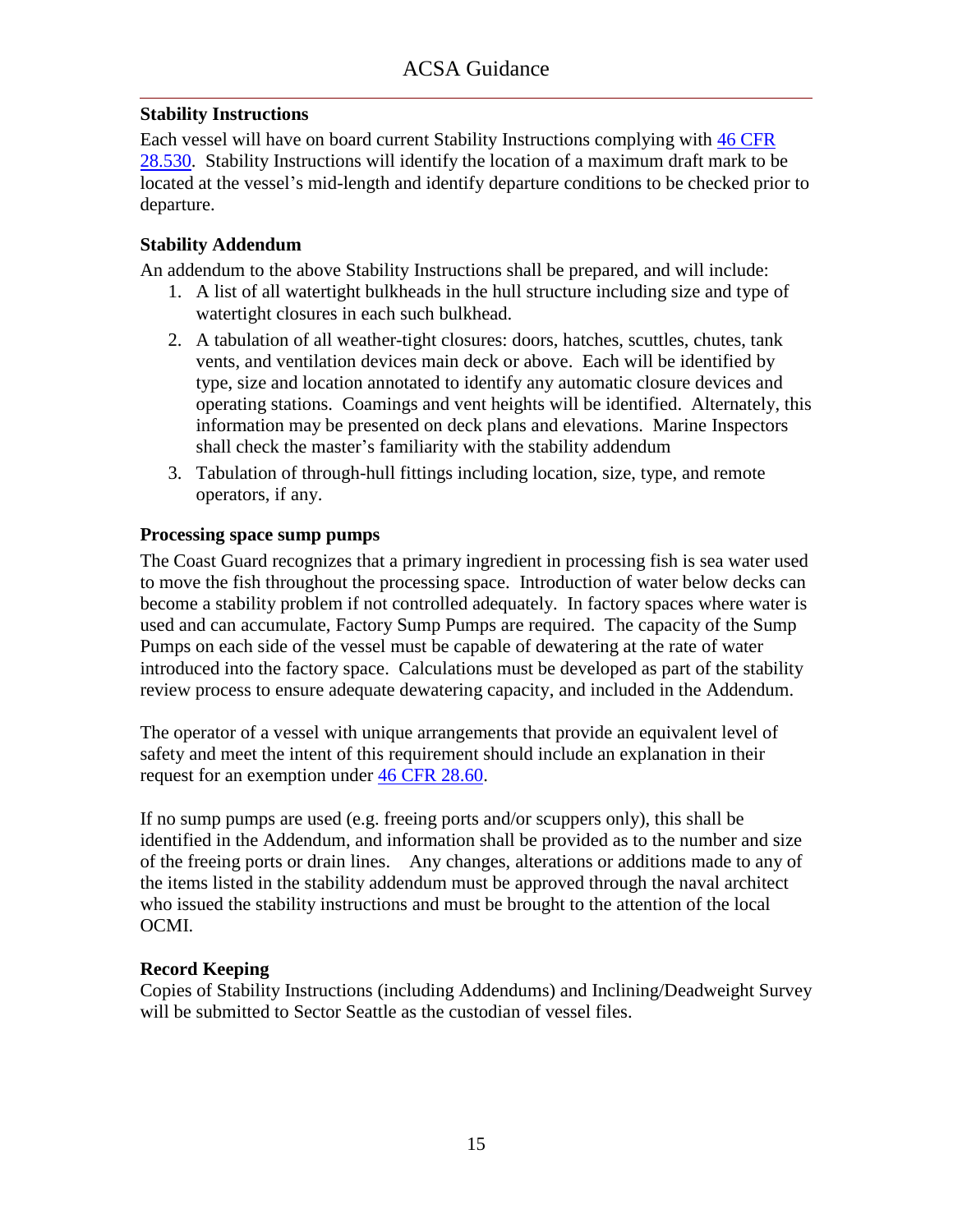### **Stability Instructions**

Each vessel will have on board current Stability Instructions complying with [46 CFR](ACSA_References/46cfr28.530.pdf)  [28.530.](ACSA_References/46cfr28.530.pdf) Stability Instructions will identify the location of a maximum draft mark to be located at the vessel's mid-length and identify departure conditions to be checked prior to departure.

#### **Stability Addendum**

An addendum to the above Stability Instructions shall be prepared, and will include:

- 1. A list of all watertight bulkheads in the hull structure including size and type of watertight closures in each such bulkhead.
- 2. A tabulation of all weather-tight closures: doors, hatches, scuttles, chutes, tank vents, and ventilation devices main deck or above. Each will be identified by type, size and location annotated to identify any automatic closure devices and operating stations. Coamings and vent heights will be identified. Alternately, this information may be presented on deck plans and elevations. Marine Inspectors shall check the master's familiarity with the stability addendum
- 3. Tabulation of through-hull fittings including location, size, type, and remote operators, if any.

### **Processing space sump pumps**

The Coast Guard recognizes that a primary ingredient in processing fish is sea water used to move the fish throughout the processing space. Introduction of water below decks can become a stability problem if not controlled adequately. In factory spaces where water is used and can accumulate, Factory Sump Pumps are required. The capacity of the Sump Pumps on each side of the vessel must be capable of dewatering at the rate of water introduced into the factory space. Calculations must be developed as part of the stability review process to ensure adequate dewatering capacity, and included in the Addendum.

The operator of a vessel with unique arrangements that provide an equivalent level of safety and meet the intent of this requirement should include an explanation in their request for an exemption under [46 CFR 28.60.](ACSA_References/46cfr28.60.pdf)

If no sump pumps are used (e.g. freeing ports and/or scuppers only), this shall be identified in the Addendum, and information shall be provided as to the number and size of the freeing ports or drain lines. Any changes, alterations or additions made to any of the items listed in the stability addendum must be approved through the naval architect who issued the stability instructions and must be brought to the attention of the local OCMI.

### **Record Keeping**

Copies of Stability Instructions (including Addendums) and Inclining/Deadweight Survey will be submitted to Sector Seattle as the custodian of vessel files.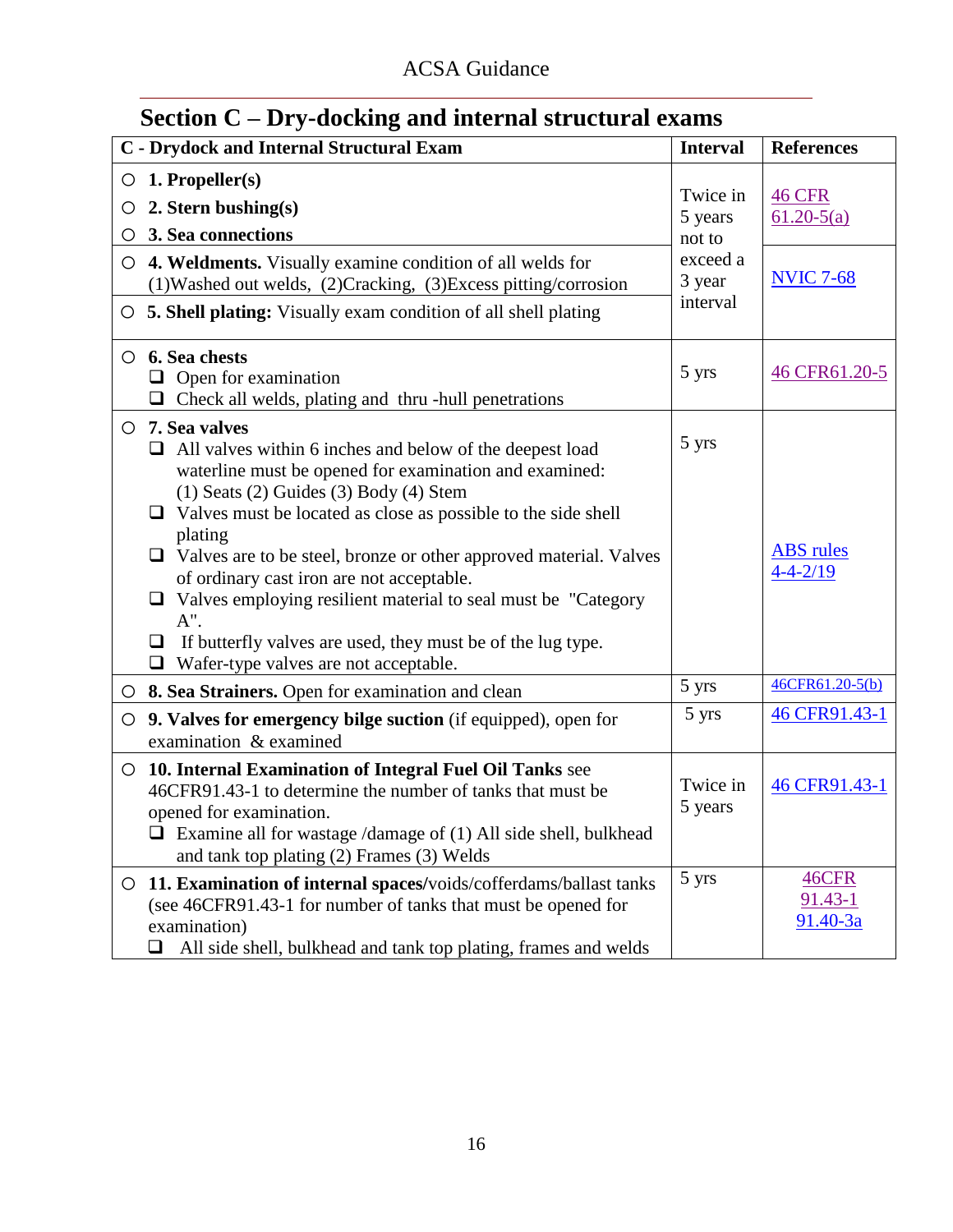| Section C – Dry-docking and internal structural exams                                                                                                                                                                                                                                                                                                                                                                                                                                                                                                                                                                  |  |                                |                                             |
|------------------------------------------------------------------------------------------------------------------------------------------------------------------------------------------------------------------------------------------------------------------------------------------------------------------------------------------------------------------------------------------------------------------------------------------------------------------------------------------------------------------------------------------------------------------------------------------------------------------------|--|--------------------------------|---------------------------------------------|
| <b>C</b> - Drydock and Internal Structural Exam                                                                                                                                                                                                                                                                                                                                                                                                                                                                                                                                                                        |  | <b>Interval</b>                | <b>References</b>                           |
| $\circ$ 1. Propeller(s)<br>2. Stern bushing $(s)$<br>$\circ$<br>3. Sea connections<br>O                                                                                                                                                                                                                                                                                                                                                                                                                                                                                                                                |  | Twice in<br>5 years<br>not to  | <b>46 CFR</b><br>$61.20 - 5(a)$             |
| $\circ$ 4. Weldments. Visually examine condition of all welds for<br>(1) Washed out welds, (2) Cracking, (3) Excess pitting/corrosion<br>O 5. Shell plating: Visually exam condition of all shell plating                                                                                                                                                                                                                                                                                                                                                                                                              |  | exceed a<br>3 year<br>interval | <b>NVIC 7-68</b>                            |
| $\circ$ 6. Sea chests<br>$\Box$ Open for examination<br>Check all welds, plating and thru -hull penetrations                                                                                                                                                                                                                                                                                                                                                                                                                                                                                                           |  | 5 yrs                          | 46 CFR61.20-5                               |
| $\circ$ 7. Sea valves<br>All valves within 6 inches and below of the deepest load<br>⊔<br>waterline must be opened for examination and examined:<br>$(1)$ Seats $(2)$ Guides $(3)$ Body $(4)$ Stem<br>Valves must be located as close as possible to the side shell<br>⊔<br>plating<br>$\Box$ Valves are to be steel, bronze or other approved material. Valves<br>of ordinary cast iron are not acceptable.<br>$\Box$ Valves employing resilient material to seal must be "Category"<br>$A$ ".<br>If butterfly valves are used, they must be of the lug type.<br>❏<br>Wafer-type valves are not acceptable.<br>$\Box$ |  | 5 yrs                          | <b>ABS</b> rules<br>$4 - 4 - 2/19$          |
| $\circ$ 8. Sea Strainers. Open for examination and clean                                                                                                                                                                                                                                                                                                                                                                                                                                                                                                                                                               |  | 5 yrs                          | 46CFR61.20-5(b)                             |
| 9. Valves for emergency bilge suction (if equipped), open for<br>O<br>examination & examined                                                                                                                                                                                                                                                                                                                                                                                                                                                                                                                           |  | 5 yrs                          | 46 CFR91.43-1                               |
| 10. Internal Examination of Integral Fuel Oil Tanks see<br>$\circ$<br>46CFR91.43-1 to determine the number of tanks that must be<br>opened for examination.<br>$\Box$ Examine all for wastage /damage of (1) All side shell, bulkhead<br>and tank top plating (2) Frames (3) Welds                                                                                                                                                                                                                                                                                                                                     |  | Twice in<br>5 years            | 46 CFR91.43-1                               |
| 11. Examination of internal spaces/voids/cofferdams/ballast tanks<br>$\circ$<br>(see 46CFR91.43-1 for number of tanks that must be opened for<br>examination)<br>All side shell, bulkhead and tank top plating, frames and welds<br>ப                                                                                                                                                                                                                                                                                                                                                                                  |  | 5 yrs                          | <b>46CFR</b><br>$91.43 - 1$<br>$91.40 - 3a$ |

### <span id="page-17-0"></span>**Section C – Dry-docking and internal structural exams**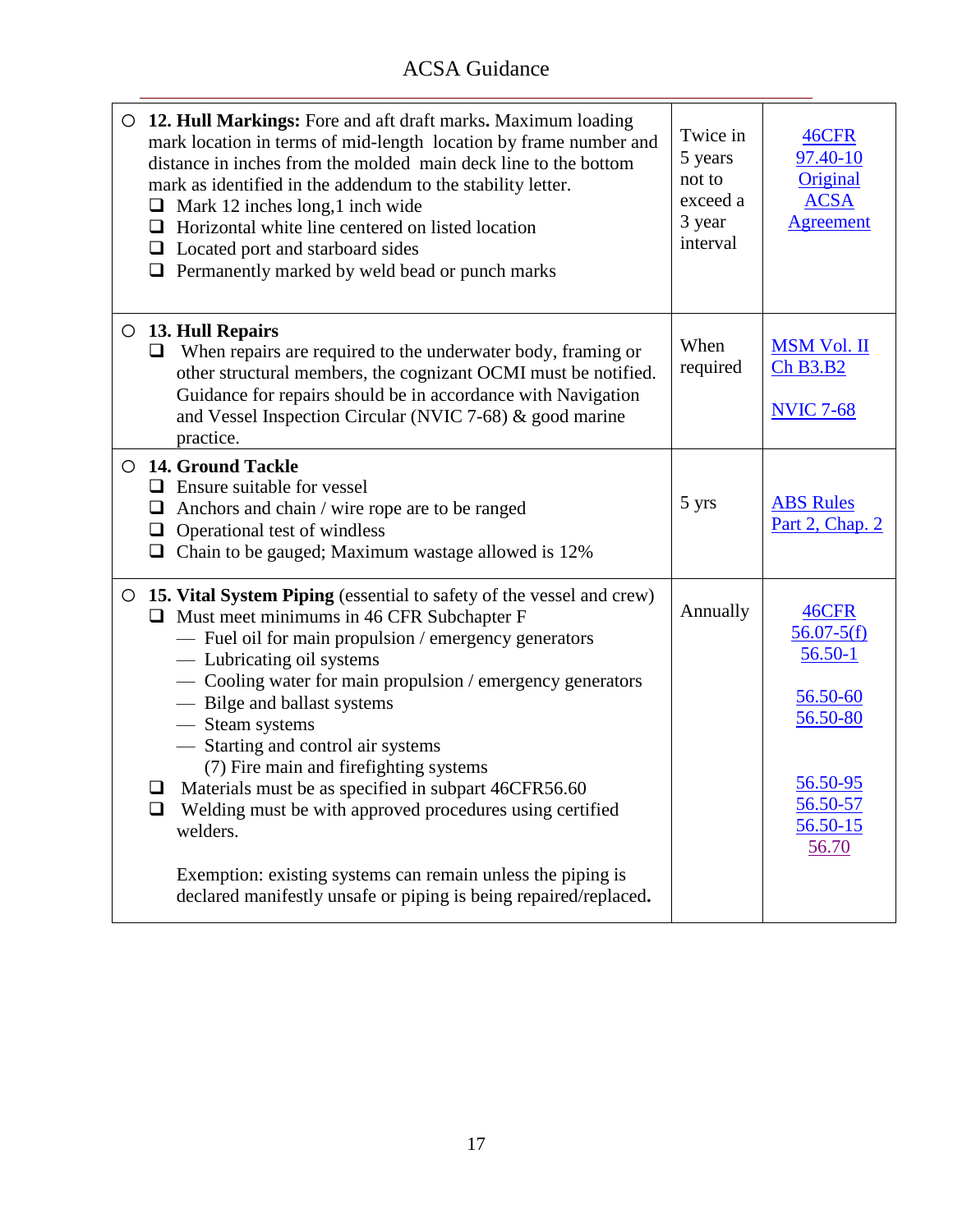| $\Box$                | O 12. Hull Markings: Fore and aft draft marks. Maximum loading<br>mark location in terms of mid-length location by frame number and<br>distance in inches from the molded main deck line to the bottom<br>mark as identified in the addendum to the stability letter.<br>$\Box$ Mark 12 inches long, 1 inch wide<br>Horizontal white line centered on listed location<br>$\Box$ Located port and starboard sides<br>$\Box$ Permanently marked by weld bead or punch marks                                                                        | Twice in<br>5 years<br>not to<br>exceed a<br>3 year<br>interval | 46CFR<br>97.40-10<br>Original<br><b>ACSA</b><br><b>Agreement</b>                                                |
|-----------------------|--------------------------------------------------------------------------------------------------------------------------------------------------------------------------------------------------------------------------------------------------------------------------------------------------------------------------------------------------------------------------------------------------------------------------------------------------------------------------------------------------------------------------------------------------|-----------------------------------------------------------------|-----------------------------------------------------------------------------------------------------------------|
| $\Box$                | $\circ$ 13. Hull Repairs<br>When repairs are required to the underwater body, framing or<br>other structural members, the cognizant OCMI must be notified.<br>Guidance for repairs should be in accordance with Navigation<br>and Vessel Inspection Circular (NVIC 7-68) & good marine<br>practice.                                                                                                                                                                                                                                              | When<br>required                                                | <b>MSM Vol. II</b><br>Ch B3.B2<br><b>NVIC 7-68</b>                                                              |
| $\Box$<br>$\Box$<br>❏ | ○ 14. Ground Tackle<br>$\Box$ Ensure suitable for vessel<br>Anchors and chain / wire rope are to be ranged<br>Operational test of windless<br>Chain to be gauged; Maximum wastage allowed is 12%                                                                                                                                                                                                                                                                                                                                                 | 5 yrs                                                           | <b>ABS Rules</b><br>Part 2, Chap. 2                                                                             |
| $\Box$<br>❏           | O 15. Vital System Piping (essential to safety of the vessel and crew)<br>$\Box$ Must meet minimums in 46 CFR Subchapter F<br>- Fuel oil for main propulsion / emergency generators<br>- Lubricating oil systems<br>- Cooling water for main propulsion / emergency generators<br>- Bilge and ballast systems<br>- Steam systems<br>- Starting and control air systems<br>(7) Fire main and firefighting systems<br>Materials must be as specified in subpart 46CFR56.60<br>Welding must be with approved procedures using certified<br>welders. | Annually                                                        | 46CFR<br>$56.07 - 5(f)$<br>$56.50 - 1$<br>56.50-60<br>56.50-80<br>56.50-95<br>56.50-57<br>$56.50 - 15$<br>56.70 |
|                       | Exemption: existing systems can remain unless the piping is<br>declared manifestly unsafe or piping is being repaired/replaced.                                                                                                                                                                                                                                                                                                                                                                                                                  |                                                                 |                                                                                                                 |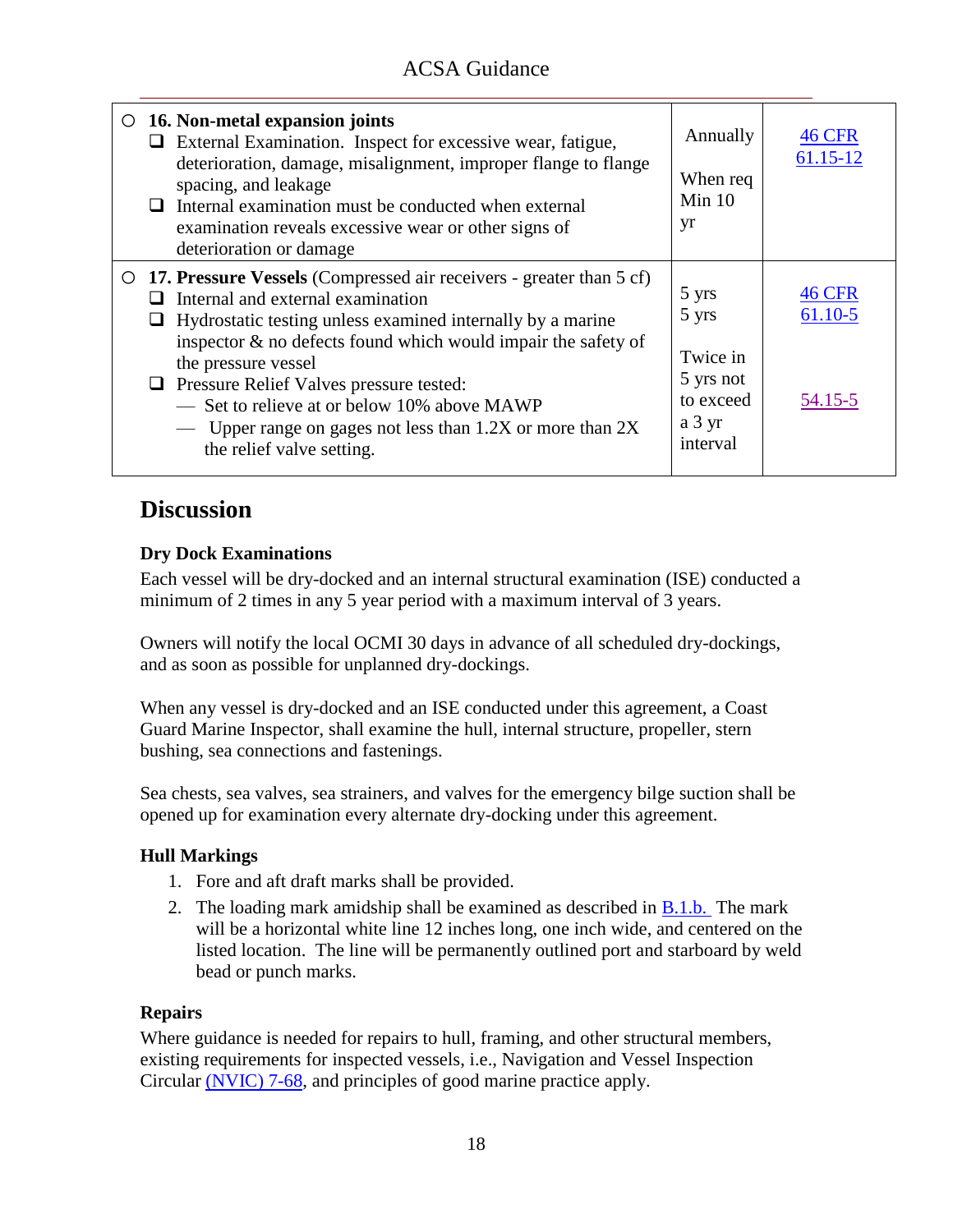| $\circ$ 16. Non-metal expansion joints<br>$\Box$ External Examination. Inspect for excessive wear, fatigue,<br>deterioration, damage, misalignment, improper flange to flange<br>spacing, and leakage<br>Internal examination must be conducted when external<br>examination reveals excessive wear or other signs of<br>deterioration or damage                                                                                                                   | Annually<br>When req<br>Min $10$<br>yr                                     | 46 CFR<br>61.15-12                  |
|--------------------------------------------------------------------------------------------------------------------------------------------------------------------------------------------------------------------------------------------------------------------------------------------------------------------------------------------------------------------------------------------------------------------------------------------------------------------|----------------------------------------------------------------------------|-------------------------------------|
| O 17. Pressure Vessels (Compressed air receivers - greater than 5 cf)<br>Internal and external examination<br>Hydrostatic testing unless examined internally by a marine<br>inspector $\&$ no defects found which would impair the safety of<br>the pressure vessel<br>$\Box$ Pressure Relief Valves pressure tested:<br>- Set to relieve at or below 10% above MAWP<br>— Upper range on gages not less than $1.2X$ or more than $2X$<br>the relief valve setting. | 5 yrs<br>5 yrs<br>Twice in<br>5 yrs not<br>to exceed<br>a 3 yr<br>interval | <b>46 CFR</b><br>61.10-5<br>54.15-5 |

### **Discussion**

### **Dry Dock Examinations**

Each vessel will be dry-docked and an internal structural examination (ISE) conducted a minimum of 2 times in any 5 year period with a maximum interval of 3 years.

Owners will notify the local OCMI 30 days in advance of all scheduled dry-dockings, and as soon as possible for unplanned dry-dockings.

When any vessel is dry-docked and an ISE conducted under this agreement, a Coast Guard Marine Inspector, shall examine the hull, internal structure, propeller, stern bushing, sea connections and fastenings.

Sea chests, sea valves, sea strainers, and valves for the emergency bilge suction shall be opened up for examination every alternate dry-docking under this agreement.

### **Hull Markings**

- 1. Fore and aft draft marks shall be provided.
- 2. The loading mark amidship shall be examined as described in [B.1.b.](#page-14-0) The mark will be a horizontal white line 12 inches long, one inch wide, and centered on the listed location. The line will be permanently outlined port and starboard by weld bead or punch marks.

#### **Repairs**

Where guidance is needed for repairs to hull, framing, and other structural members, existing requirements for inspected vessels, i.e., Navigation and Vessel Inspection Circular [\(NVIC\) 7-68,](ACSA_References/NVIC_7-68.pdf) and principles of good marine practice apply.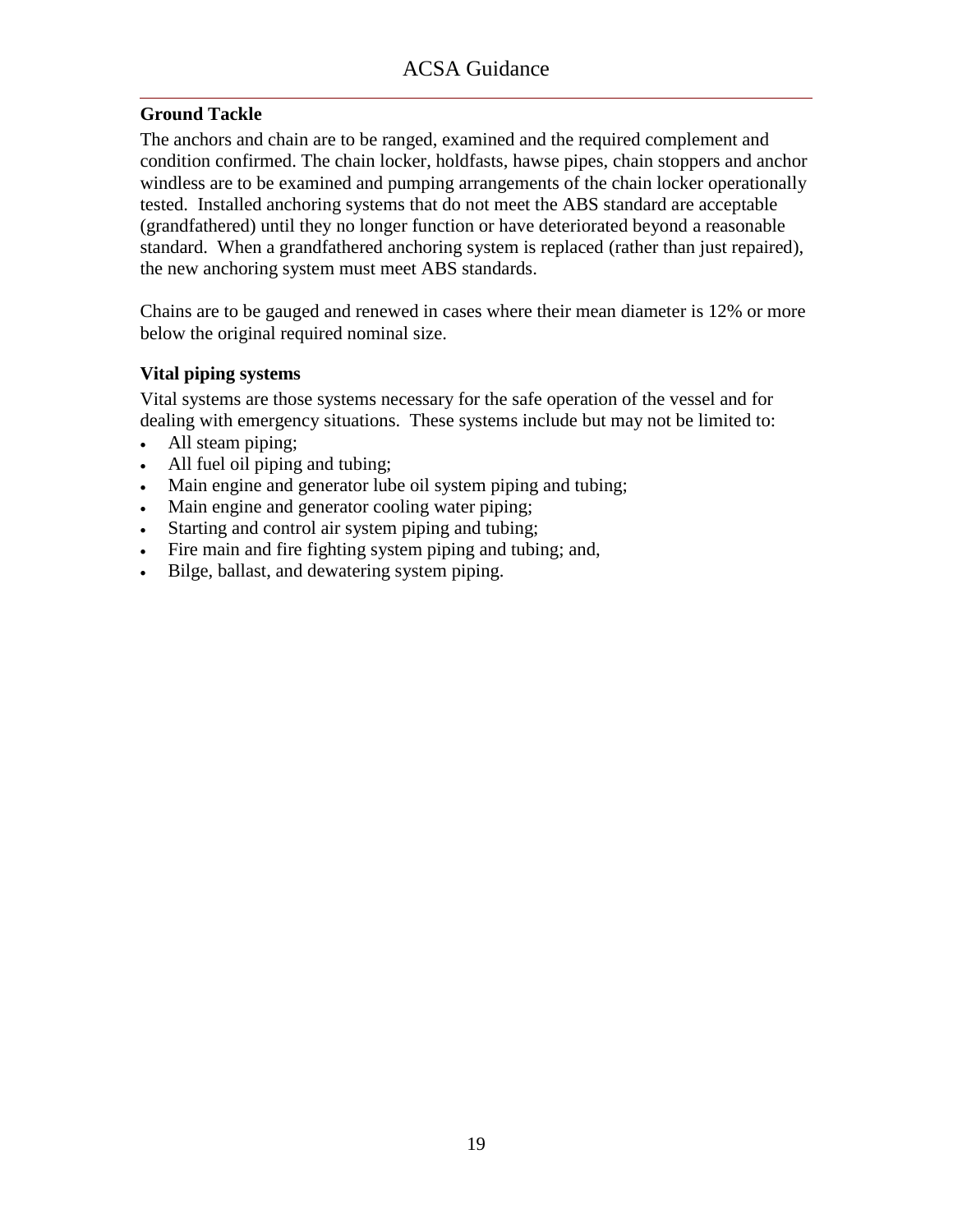### **Ground Tackle**

The anchors and chain are to be ranged, examined and the required complement and condition confirmed. The chain locker, holdfasts, hawse pipes, chain stoppers and anchor windless are to be examined and pumping arrangements of the chain locker operationally tested. Installed anchoring systems that do not meet the ABS standard are acceptable (grandfathered) until they no longer function or have deteriorated beyond a reasonable standard. When a grandfathered anchoring system is replaced (rather than just repaired), the new anchoring system must meet ABS standards.

Chains are to be gauged and renewed in cases where their mean diameter is 12% or more below the original required nominal size.

### **Vital piping systems**

Vital systems are those systems necessary for the safe operation of the vessel and for dealing with emergency situations. These systems include but may not be limited to:

- All steam piping;
- All fuel oil piping and tubing;
- Main engine and generator lube oil system piping and tubing;
- Main engine and generator cooling water piping;
- Starting and control air system piping and tubing;
- Fire main and fire fighting system piping and tubing; and,
- Bilge, ballast, and dewatering system piping.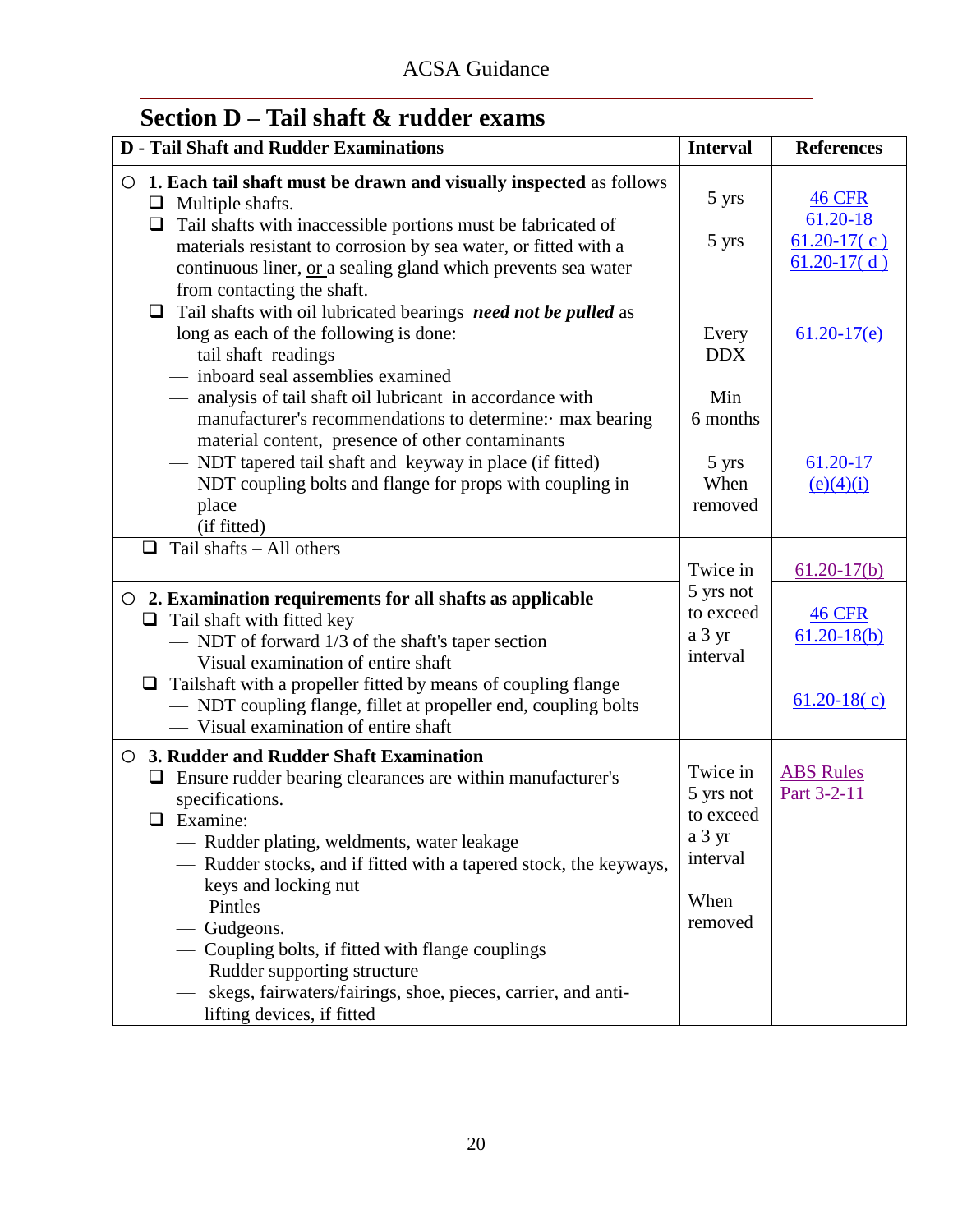<span id="page-21-0"></span>

| Section $D$ – Tail shaft $\&$ rudder exams |  |
|--------------------------------------------|--|
|--------------------------------------------|--|

| <b>D</b> - Tail Shaft and Rudder Examinations                                                                                                                                                                                                                                                                                                                                                                                                                                                                       | <b>Interval</b>                                                             | <b>References</b>                                           |
|---------------------------------------------------------------------------------------------------------------------------------------------------------------------------------------------------------------------------------------------------------------------------------------------------------------------------------------------------------------------------------------------------------------------------------------------------------------------------------------------------------------------|-----------------------------------------------------------------------------|-------------------------------------------------------------|
| 1. Each tail shaft must be drawn and visually inspected as follows<br>O<br>$\Box$ Multiple shafts.<br>Tail shafts with inaccessible portions must be fabricated of<br>$\Box$<br>materials resistant to corrosion by sea water, or fitted with a<br>continuous liner, or a sealing gland which prevents sea water<br>from contacting the shaft.                                                                                                                                                                      | 5 yrs<br>5 yrs                                                              | <b>46 CFR</b><br>61.20-18<br>$61.20-17(c)$<br>$61.20-17(d)$ |
| Tail shafts with oil lubricated bearings need not be pulled as<br>$\Box$<br>long as each of the following is done:<br>- tail shaft readings<br>- inboard seal assemblies examined<br>- analysis of tail shaft oil lubricant in accordance with<br>manufacturer's recommendations to determine: · max bearing                                                                                                                                                                                                        | Every<br><b>DDX</b><br>Min<br>6 months                                      | $61.20 - 17(e)$                                             |
| material content, presence of other contaminants<br>- NDT tapered tail shaft and keyway in place (if fitted)<br>— NDT coupling bolts and flange for props with coupling in<br>place<br>(if fitted)                                                                                                                                                                                                                                                                                                                  | 5 yrs<br>When<br>removed                                                    | 61.20-17<br>(e)(4)(i)                                       |
| Tail shafts - All others<br>0                                                                                                                                                                                                                                                                                                                                                                                                                                                                                       | Twice in                                                                    | $61.20 - 17(b)$                                             |
| $\circ$ 2. Examination requirements for all shafts as applicable<br>$\Box$ Tail shaft with fitted key<br>- NDT of forward 1/3 of the shaft's taper section<br>— Visual examination of entire shaft<br>$\Box$ Tailshaft with a propeller fitted by means of coupling flange<br>- NDT coupling flange, fillet at propeller end, coupling bolts<br>- Visual examination of entire shaft                                                                                                                                | 5 yrs not<br>to exceed<br>a 3 yr<br>interval                                | <b>46 CFR</b><br>$61.20 - 18(b)$<br>$61.20 - 18(c)$         |
| 3. Rudder and Rudder Shaft Examination<br>$\circ$<br>$\Box$ Ensure rudder bearing clearances are within manufacturer's<br>specifications.<br>$\Box$ Examine:<br>— Rudder plating, weldments, water leakage<br>— Rudder stocks, and if fitted with a tapered stock, the keyways,<br>keys and locking nut<br>Pintles<br>- Gudgeons.<br>- Coupling bolts, if fitted with flange couplings<br>Rudder supporting structure<br>skegs, fairwaters/fairings, shoe, pieces, carrier, and anti-<br>lifting devices, if fitted | Twice in<br>5 yrs not<br>to exceed<br>a 3 yr<br>interval<br>When<br>removed | <b>ABS Rules</b><br>Part 3-2-11                             |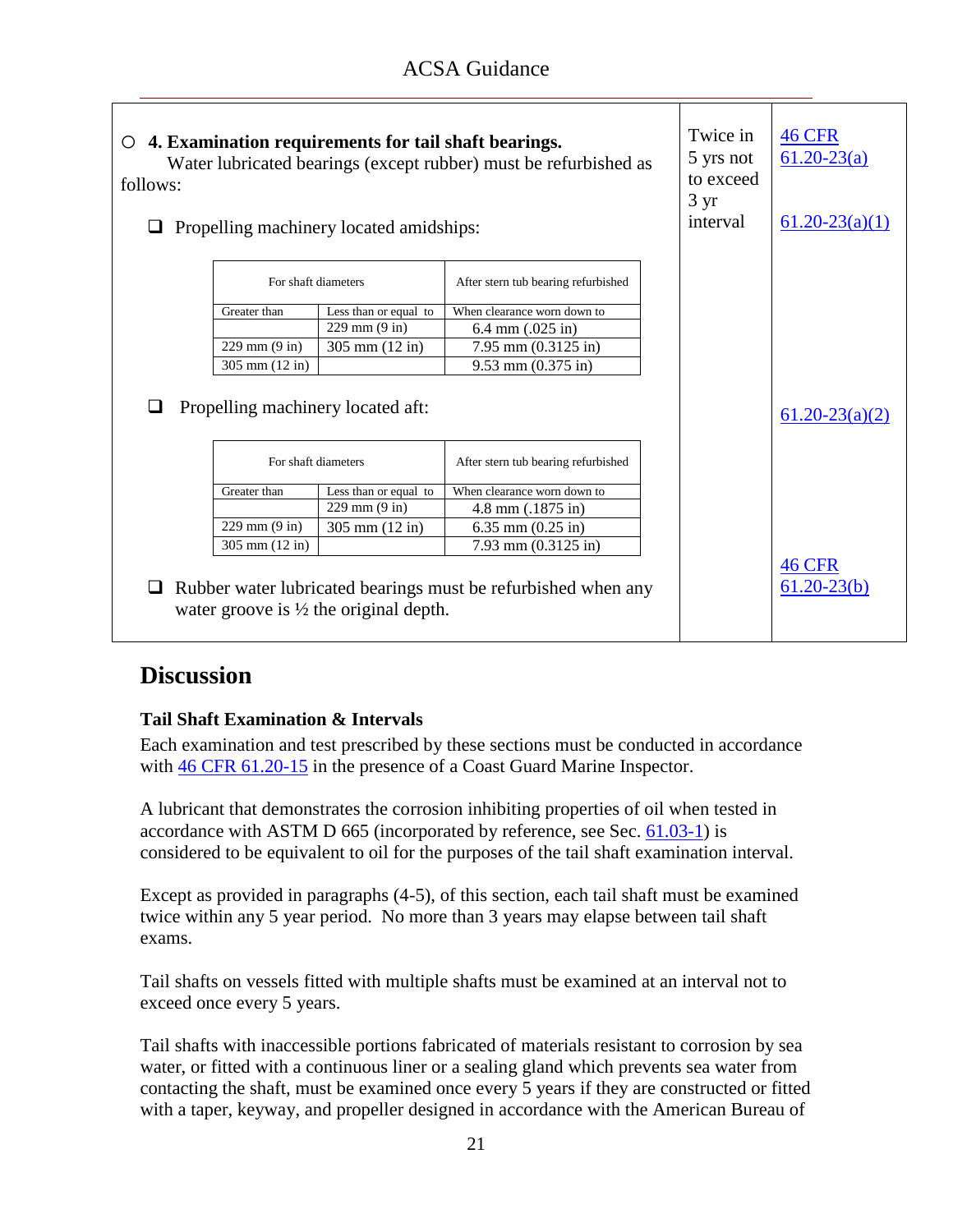| 4. Examination requirements for tail shaft bearings.<br>Water lubricated bearings (except rubber) must be refurbished as<br>follows:<br>Propelling machinery located amidships: |                                   |                                                   | Twice in<br>5 yrs not<br>to exceed<br>$3 \text{ yr}$<br>interval | <b>46 CFR</b><br>$61.20 - 23(a)$<br>$61.20 - 23(a)(1)$ |                                  |
|---------------------------------------------------------------------------------------------------------------------------------------------------------------------------------|-----------------------------------|---------------------------------------------------|------------------------------------------------------------------|--------------------------------------------------------|----------------------------------|
|                                                                                                                                                                                 | For shaft diameters               |                                                   | After stern tub bearing refurbished                              |                                                        |                                  |
|                                                                                                                                                                                 | Greater than                      | Less than or equal to                             | When clearance worn down to                                      |                                                        |                                  |
|                                                                                                                                                                                 |                                   | $229$ mm $(9$ in)                                 | $6.4$ mm $(.025$ in)                                             |                                                        |                                  |
|                                                                                                                                                                                 | $229$ mm $(9$ in)                 | $305 \text{ mm} (12 \text{ in})$                  | $7.95$ mm $(0.3125$ in)                                          |                                                        |                                  |
|                                                                                                                                                                                 | $305 \text{ mm} (12 \text{ in})$  |                                                   | $9.53$ mm $(0.375$ in)                                           |                                                        |                                  |
| ப                                                                                                                                                                               | Propelling machinery located aft: |                                                   |                                                                  | $61.20 - 23(a)(2)$                                     |                                  |
|                                                                                                                                                                                 | For shaft diameters               |                                                   | After stern tub bearing refurbished                              |                                                        |                                  |
|                                                                                                                                                                                 | Greater than                      | Less than or equal to                             | When clearance worn down to                                      |                                                        |                                  |
|                                                                                                                                                                                 |                                   | $229 \text{ mm} (9 \text{ in})$                   | $4.8$ mm $(.1875$ in)                                            |                                                        |                                  |
|                                                                                                                                                                                 | $229$ mm $(9$ in)                 | 305 mm $(12 in)$                                  | 6.35 mm $(0.25$ in)                                              |                                                        |                                  |
|                                                                                                                                                                                 | $305$ mm $(12$ in)                |                                                   | $7.93$ mm $(0.3125$ in)                                          |                                                        |                                  |
|                                                                                                                                                                                 |                                   | water groove is $\frac{1}{2}$ the original depth. | Rubber water lubricated bearings must be refurbished when any    |                                                        | <b>46 CFR</b><br>$61.20 - 23(b)$ |

### **Tail Shaft Examination & Intervals**

Each examination and test prescribed by these sections must be conducted in accordance with [46 CFR 61.20-15](ACSA_References/46cfr61.20-15.pdf) in the presence of a Coast Guard Marine Inspector.

A lubricant that demonstrates the corrosion inhibiting properties of oil when tested in accordance with ASTM D 665 (incorporated by reference, see Sec. [61.03-1\)](ACSA_References/46cfr61.03-1.pdf) is considered to be equivalent to oil for the purposes of the tail shaft examination interval.

Except as provided in paragraphs (4-5), of this section, each tail shaft must be examined twice within any 5 year period. No more than 3 years may elapse between tail shaft exams.

Tail shafts on vessels fitted with multiple shafts must be examined at an interval not to exceed once every 5 years.

Tail shafts with inaccessible portions fabricated of materials resistant to corrosion by sea water, or fitted with a continuous liner or a sealing gland which prevents sea water from contacting the shaft, must be examined once every 5 years if they are constructed or fitted with a taper, keyway, and propeller designed in accordance with the American Bureau of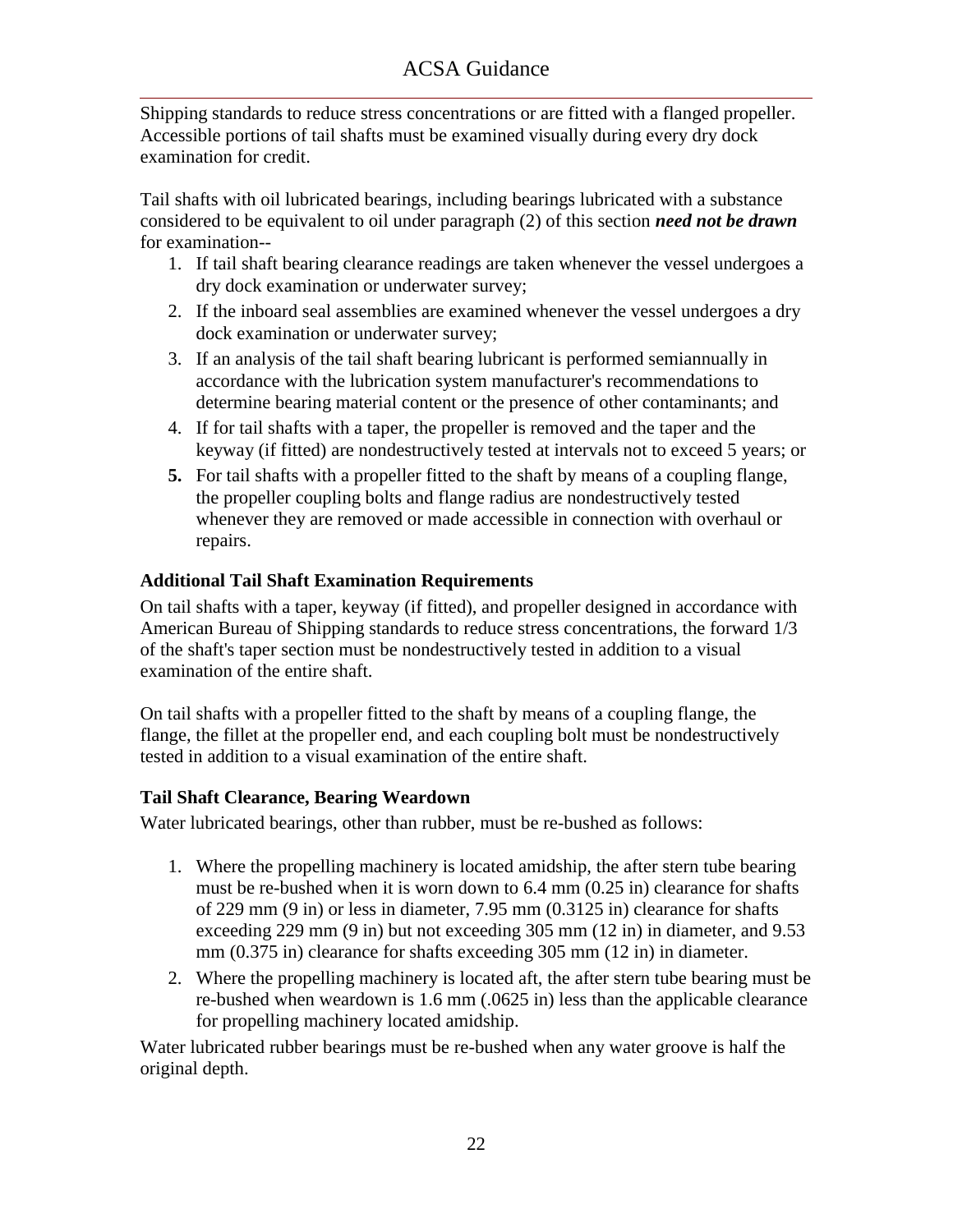Shipping standards to reduce stress concentrations or are fitted with a flanged propeller. Accessible portions of tail shafts must be examined visually during every dry dock examination for credit.

Tail shafts with oil lubricated bearings, including bearings lubricated with a substance considered to be equivalent to oil under paragraph (2) of this section *need not be drawn* for examination--

- 1. If tail shaft bearing clearance readings are taken whenever the vessel undergoes a dry dock examination or underwater survey;
- 2. If the inboard seal assemblies are examined whenever the vessel undergoes a dry dock examination or underwater survey;
- 3. If an analysis of the tail shaft bearing lubricant is performed semiannually in accordance with the lubrication system manufacturer's recommendations to determine bearing material content or the presence of other contaminants; and
- 4. If for tail shafts with a taper, the propeller is removed and the taper and the keyway (if fitted) are nondestructively tested at intervals not to exceed 5 years; or
- **5.** For tail shafts with a propeller fitted to the shaft by means of a coupling flange, the propeller coupling bolts and flange radius are nondestructively tested whenever they are removed or made accessible in connection with overhaul or repairs.

### **Additional Tail Shaft Examination Requirements**

On tail shafts with a taper, keyway (if fitted), and propeller designed in accordance with American Bureau of Shipping standards to reduce stress concentrations, the forward 1/3 of the shaft's taper section must be nondestructively tested in addition to a visual examination of the entire shaft.

On tail shafts with a propeller fitted to the shaft by means of a coupling flange, the flange, the fillet at the propeller end, and each coupling bolt must be nondestructively tested in addition to a visual examination of the entire shaft.

### **Tail Shaft Clearance, Bearing Weardown**

Water lubricated bearings, other than rubber, must be re-bushed as follows:

- 1. Where the propelling machinery is located amidship, the after stern tube bearing must be re-bushed when it is worn down to 6.4 mm (0.25 in) clearance for shafts of 229 mm (9 in) or less in diameter, 7.95 mm (0.3125 in) clearance for shafts exceeding 229 mm (9 in) but not exceeding 305 mm (12 in) in diameter, and 9.53 mm (0.375 in) clearance for shafts exceeding 305 mm (12 in) in diameter.
- 2. Where the propelling machinery is located aft, the after stern tube bearing must be re-bushed when weardown is 1.6 mm (.0625 in) less than the applicable clearance for propelling machinery located amidship.

Water lubricated rubber bearings must be re-bushed when any water groove is half the original depth.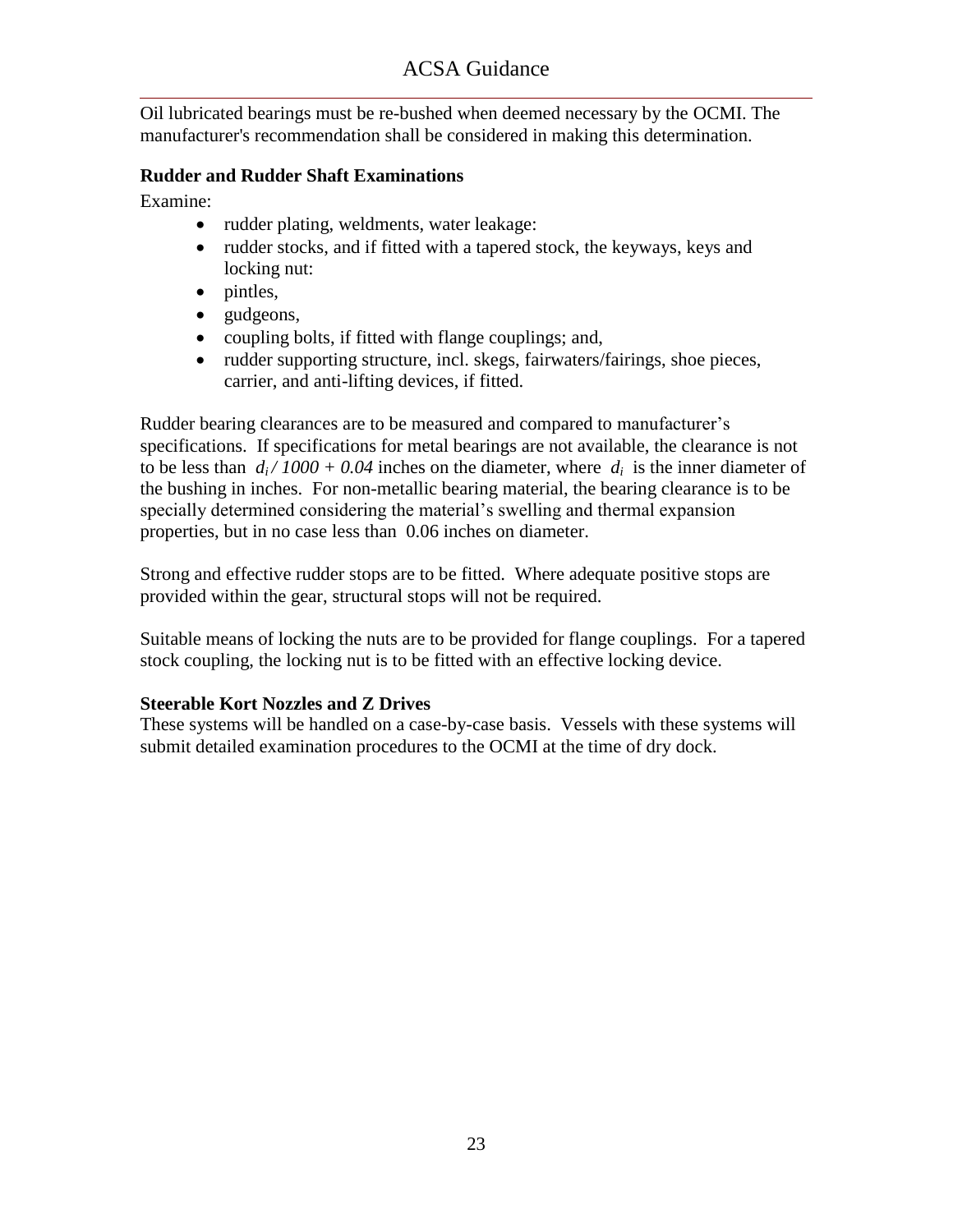Oil lubricated bearings must be re-bushed when deemed necessary by the OCMI. The manufacturer's recommendation shall be considered in making this determination.

#### **Rudder and Rudder Shaft Examinations**

Examine:

- rudder plating, weldments, water leakage:
- rudder stocks, and if fitted with a tapered stock, the keyways, keys and locking nut:
- $\bullet$  pintles,
- gudgeons,
- coupling bolts, if fitted with flange couplings; and,
- rudder supporting structure, incl. skegs, fairwaters/fairings, shoe pieces, carrier, and anti-lifting devices, if fitted.

Rudder bearing clearances are to be measured and compared to manufacturer's specifications. If specifications for metal bearings are not available, the clearance is not to be less than  $d_i / 1000 + 0.04$  inches on the diameter, where  $d_i$  is the inner diameter of the bushing in inches. For non-metallic bearing material, the bearing clearance is to be specially determined considering the material's swelling and thermal expansion properties, but in no case less than 0.06 inches on diameter.

Strong and effective rudder stops are to be fitted. Where adequate positive stops are provided within the gear, structural stops will not be required.

Suitable means of locking the nuts are to be provided for flange couplings. For a tapered stock coupling, the locking nut is to be fitted with an effective locking device.

### **Steerable Kort Nozzles and Z Drives**

These systems will be handled on a case-by-case basis. Vessels with these systems will submit detailed examination procedures to the OCMI at the time of dry dock.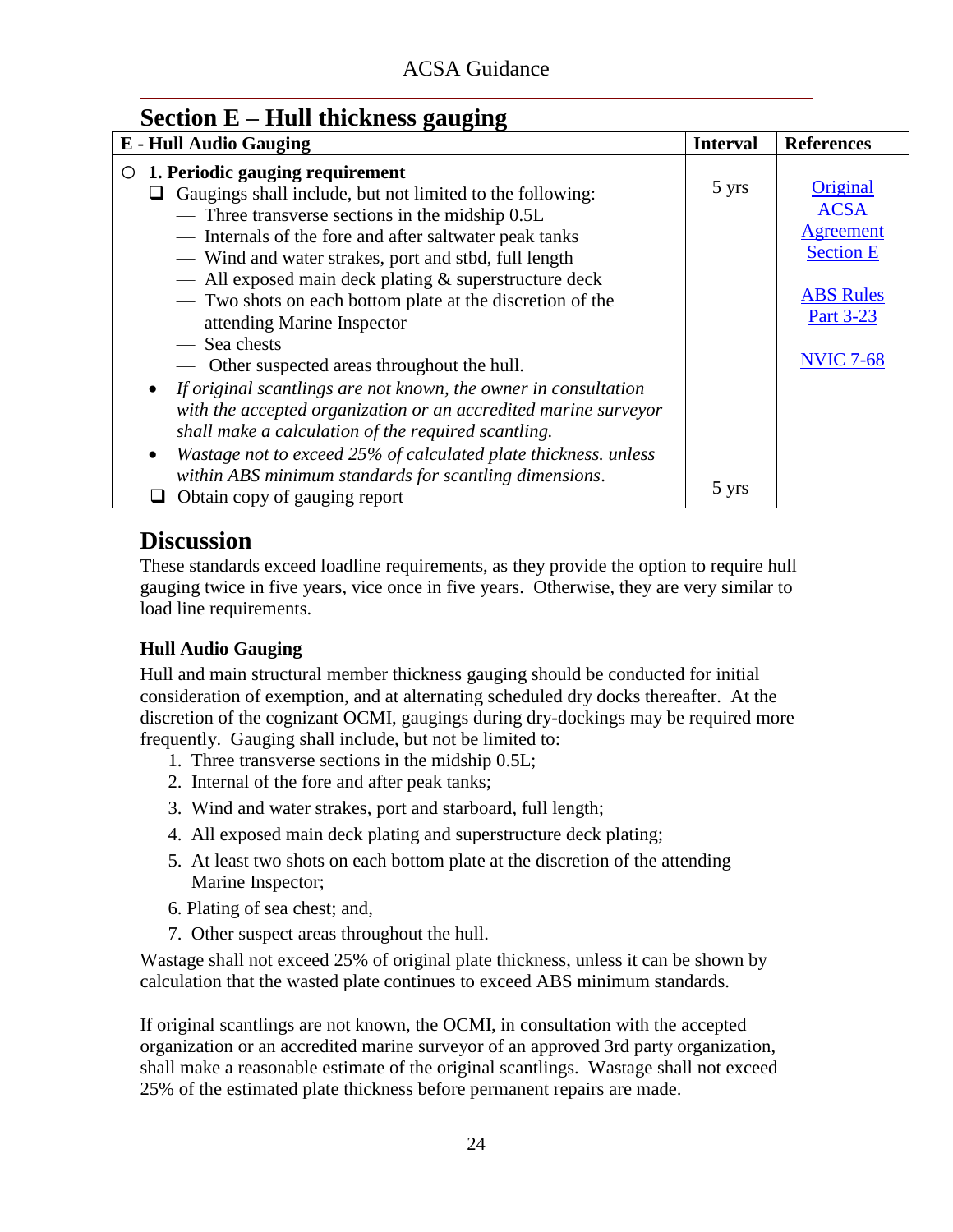### <span id="page-25-0"></span>**Section E – Hull thickness gauging**

| <b>E</b> - Hull Audio Gauging                                                | <b>Interval</b> | <b>References</b> |
|------------------------------------------------------------------------------|-----------------|-------------------|
| 1. Periodic gauging requirement<br>O                                         |                 |                   |
| $\Box$ Gaugings shall include, but not limited to the following:             | 5 yrs           | Original          |
| - Three transverse sections in the midship 0.5L                              |                 | <b>ACSA</b>       |
| - Internals of the fore and after saltwater peak tanks                       |                 | <b>Agreement</b>  |
| - Wind and water strakes, port and stbd, full length                         |                 | <b>Section E</b>  |
| - All exposed main deck plating & superstructure deck                        |                 |                   |
| - Two shots on each bottom plate at the discretion of the                    |                 | <b>ABS</b> Rules  |
| attending Marine Inspector                                                   |                 | Part 3-23         |
| - Sea chests                                                                 |                 |                   |
| — Other suspected areas throughout the hull.                                 |                 | <b>NVIC 7-68</b>  |
| • If original scantlings are not known, the owner in consultation            |                 |                   |
| with the accepted organization or an accredited marine surveyor              |                 |                   |
| shall make a calculation of the required scantling.                          |                 |                   |
| Wastage not to exceed 25% of calculated plate thickness. unless<br>$\bullet$ |                 |                   |
| within ABS minimum standards for scantling dimensions.                       |                 |                   |
| Obtain copy of gauging report                                                | 5 yrs           |                   |

## **Discussion**

These standards exceed loadline requirements, as they provide the option to require hull gauging twice in five years, vice once in five years. Otherwise, they are very similar to load line requirements.

### **Hull Audio Gauging**

Hull and main structural member thickness gauging should be conducted for initial consideration of exemption, and at alternating scheduled dry docks thereafter. At the discretion of the cognizant OCMI, gaugings during dry-dockings may be required more frequently. Gauging shall include, but not be limited to:

- 1. Three transverse sections in the midship 0.5L;
- 2. Internal of the fore and after peak tanks;
- 3. Wind and water strakes, port and starboard, full length;
- 4. All exposed main deck plating and superstructure deck plating;
- 5. At least two shots on each bottom plate at the discretion of the attending Marine Inspector;
- 6. Plating of sea chest; and,
- 7. Other suspect areas throughout the hull.

Wastage shall not exceed 25% of original plate thickness, unless it can be shown by calculation that the wasted plate continues to exceed ABS minimum standards.

If original scantlings are not known, the OCMI, in consultation with the accepted organization or an accredited marine surveyor of an approved 3rd party organization, shall make a reasonable estimate of the original scantlings. Wastage shall not exceed 25% of the estimated plate thickness before permanent repairs are made.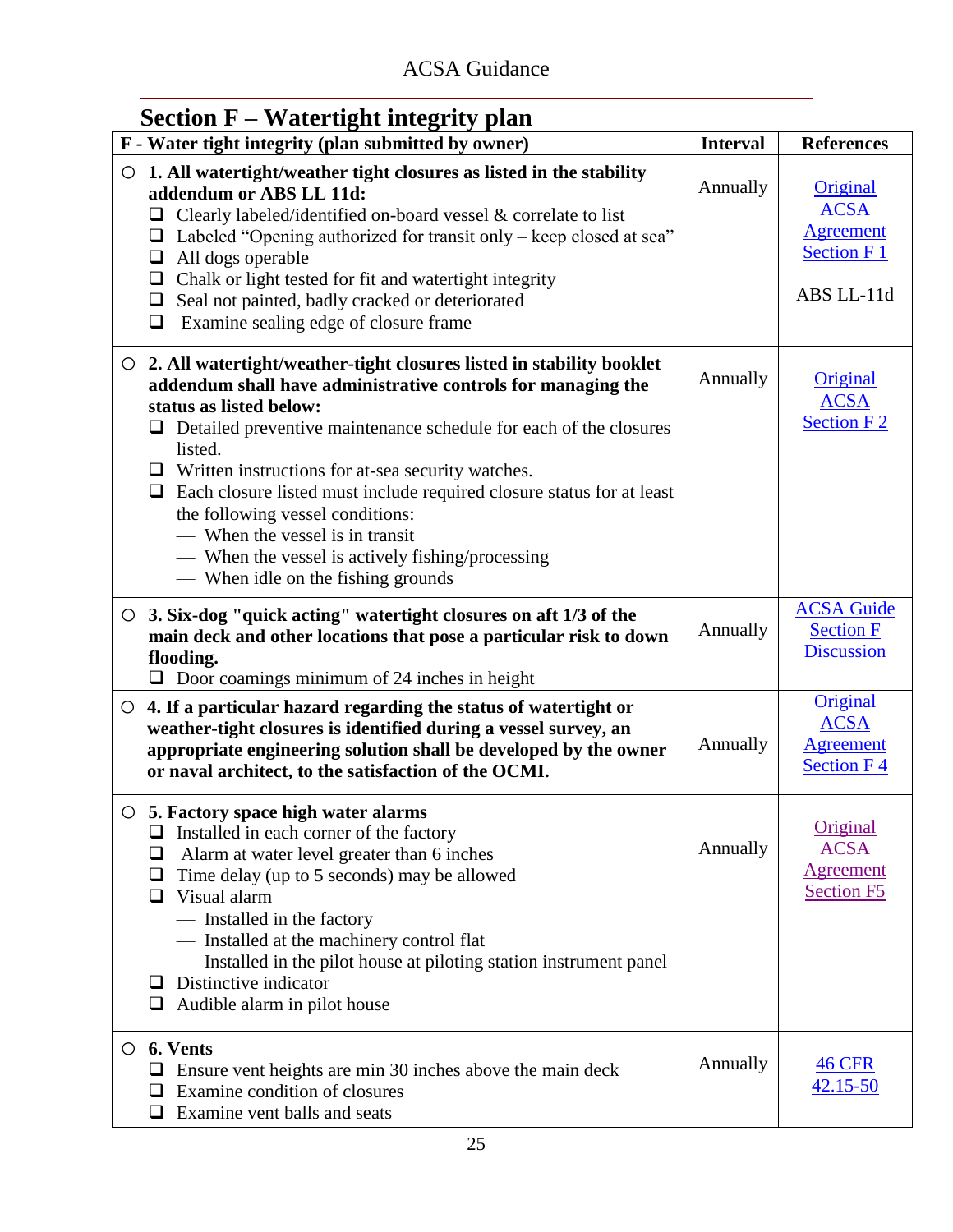| <b>Section F – Watertight integrity plan</b>                                                        |                                                                                                                                                                                                                                                                                                                                                                                                                                                                                                                                 |                 |                                                                                |
|-----------------------------------------------------------------------------------------------------|---------------------------------------------------------------------------------------------------------------------------------------------------------------------------------------------------------------------------------------------------------------------------------------------------------------------------------------------------------------------------------------------------------------------------------------------------------------------------------------------------------------------------------|-----------------|--------------------------------------------------------------------------------|
|                                                                                                     | F - Water tight integrity (plan submitted by owner)                                                                                                                                                                                                                                                                                                                                                                                                                                                                             | <b>Interval</b> | <b>References</b>                                                              |
| O<br>addendum or ABS LL 11d:<br>$\Box$<br>All dogs operable<br>$\Box$<br>$\Box$<br>$\Box$<br>$\Box$ | 1. All watertight/weather tight closures as listed in the stability<br>$\Box$ Clearly labeled/identified on-board vessel & correlate to list<br>Labeled "Opening authorized for transit only – keep closed at sea"<br>Chalk or light tested for fit and watertight integrity<br>Seal not painted, badly cracked or deteriorated<br>Examine sealing edge of closure frame                                                                                                                                                        | Annually        | Original<br><b>ACSA</b><br><b>Agreement</b><br><b>Section F1</b><br>ABS LL-11d |
| status as listed below:<br>listed.                                                                  | ○ 2. All watertight/weather-tight closures listed in stability booklet<br>addendum shall have administrative controls for managing the<br>$\Box$ Detailed preventive maintenance schedule for each of the closures<br>$\Box$ Written instructions for at-sea security watches.<br>$\Box$ Each closure listed must include required closure status for at least<br>the following vessel conditions:<br>— When the vessel is in transit<br>- When the vessel is actively fishing/processing<br>— When idle on the fishing grounds | Annually        | Original<br><b>ACSA</b><br><b>Section F2</b>                                   |
| flooding.                                                                                           | $\circ$ 3. Six-dog "quick acting" watertight closures on aft 1/3 of the<br>main deck and other locations that pose a particular risk to down<br>$\Box$ Door coamings minimum of 24 inches in height                                                                                                                                                                                                                                                                                                                             | Annually        | <b>ACSA Guide</b><br><b>Section F</b><br><b>Discussion</b>                     |
| $\circ$                                                                                             | 4. If a particular hazard regarding the status of watertight or<br>weather-tight closures is identified during a vessel survey, an<br>appropriate engineering solution shall be developed by the owner<br>or naval architect, to the satisfaction of the OCMI.                                                                                                                                                                                                                                                                  | Annually        | Original<br><b>ACSA</b><br><b>Agreement</b><br><b>Section F4</b>               |
| u.<br>❏<br>⊔<br>Visual alarm<br>ப<br>- Installed in the factory<br>Distinctive indicator<br>ப       | 5. Factory space high water alarms<br>Installed in each corner of the factory<br>Alarm at water level greater than 6 inches<br>Time delay (up to 5 seconds) may be allowed<br>- Installed at the machinery control flat<br>- Installed in the pilot house at piloting station instrument panel<br>Audible alarm in pilot house                                                                                                                                                                                                  | Annually        | Original<br><b>ACSA</b><br><b>Agreement</b><br><b>Section F5</b>               |
| $\circ$ 6. Vents<br>ப<br>$\Box$ Examine vent balls and seats                                        | $\Box$ Ensure vent heights are min 30 inches above the main deck<br>Examine condition of closures                                                                                                                                                                                                                                                                                                                                                                                                                               | Annually        | <b>46 CFR</b><br>42.15-50                                                      |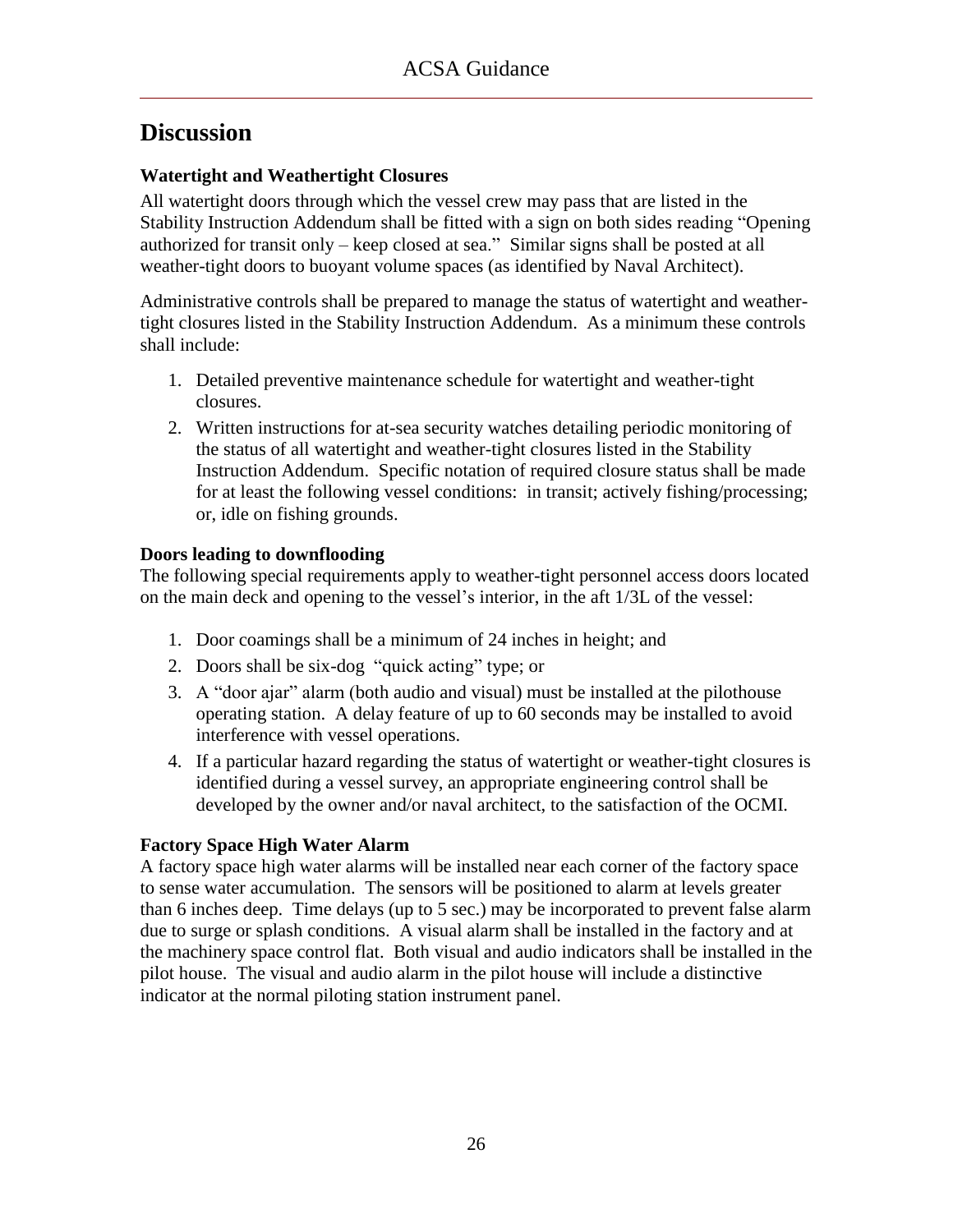### <span id="page-27-0"></span>**Watertight and Weathertight Closures**

All watertight doors through which the vessel crew may pass that are listed in the Stability Instruction Addendum shall be fitted with a sign on both sides reading "Opening authorized for transit only – keep closed at sea." Similar signs shall be posted at all weather-tight doors to buoyant volume spaces (as identified by Naval Architect).

Administrative controls shall be prepared to manage the status of watertight and weathertight closures listed in the Stability Instruction Addendum. As a minimum these controls shall include:

- 1. Detailed preventive maintenance schedule for watertight and weather-tight closures.
- 2. Written instructions for at-sea security watches detailing periodic monitoring of the status of all watertight and weather-tight closures listed in the Stability Instruction Addendum. Specific notation of required closure status shall be made for at least the following vessel conditions: in transit; actively fishing/processing; or, idle on fishing grounds.

### **Doors leading to downflooding**

The following special requirements apply to weather-tight personnel access doors located on the main deck and opening to the vessel's interior, in the aft 1/3L of the vessel:

- 1. Door coamings shall be a minimum of 24 inches in height; and
- 2. Doors shall be six-dog "quick acting" type; or
- 3. A "door ajar" alarm (both audio and visual) must be installed at the pilothouse operating station. A delay feature of up to 60 seconds may be installed to avoid interference with vessel operations.
- 4. If a particular hazard regarding the status of watertight or weather-tight closures is identified during a vessel survey, an appropriate engineering control shall be developed by the owner and/or naval architect, to the satisfaction of the OCMI.

### **Factory Space High Water Alarm**

A factory space high water alarms will be installed near each corner of the factory space to sense water accumulation. The sensors will be positioned to alarm at levels greater than 6 inches deep. Time delays (up to 5 sec.) may be incorporated to prevent false alarm due to surge or splash conditions. A visual alarm shall be installed in the factory and at the machinery space control flat. Both visual and audio indicators shall be installed in the pilot house. The visual and audio alarm in the pilot house will include a distinctive indicator at the normal piloting station instrument panel.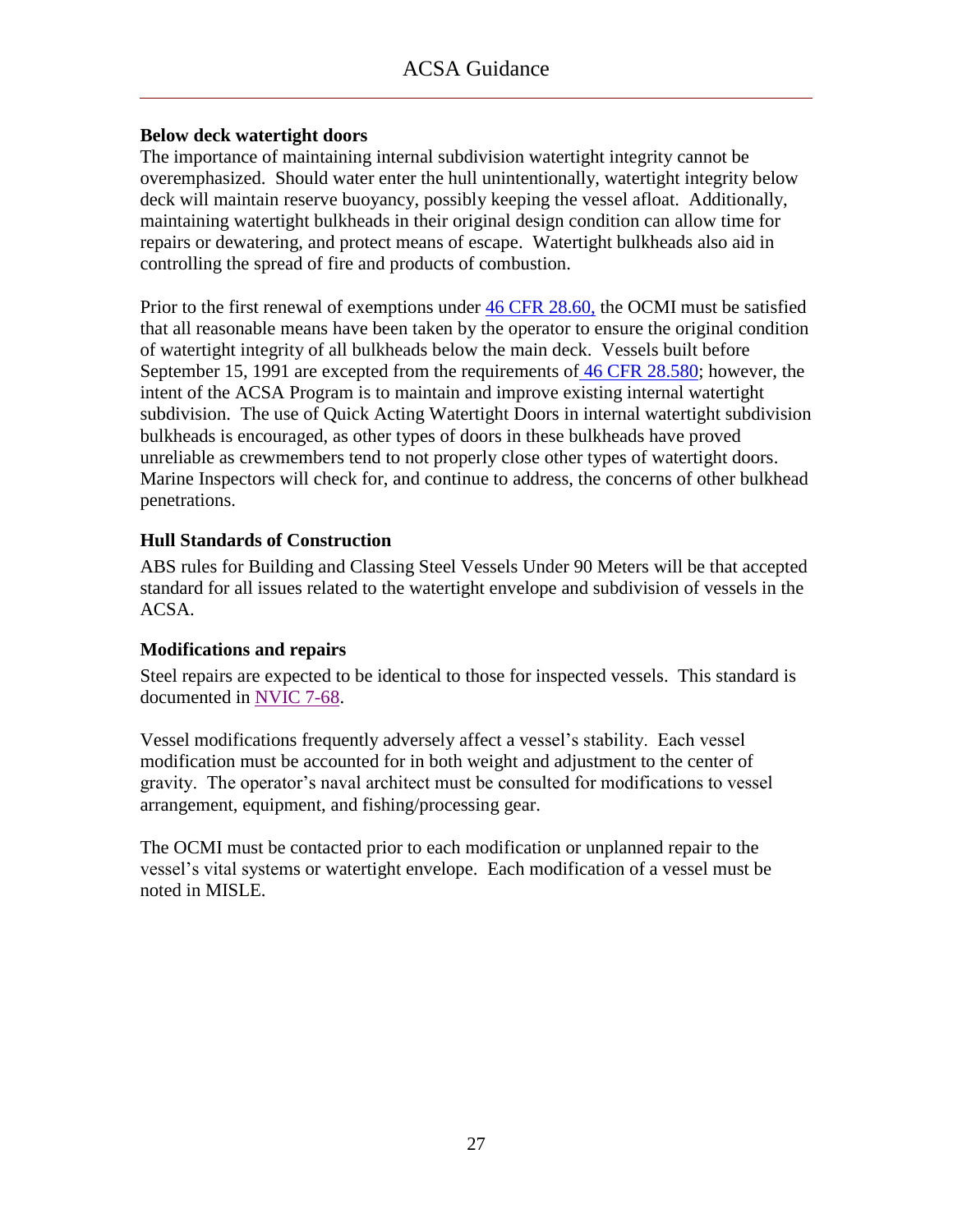### **Below deck watertight doors**

The importance of maintaining internal subdivision watertight integrity cannot be overemphasized. Should water enter the hull unintentionally, watertight integrity below deck will maintain reserve buoyancy, possibly keeping the vessel afloat. Additionally, maintaining watertight bulkheads in their original design condition can allow time for repairs or dewatering, and protect means of escape. Watertight bulkheads also aid in controlling the spread of fire and products of combustion.

Prior to the first renewal of exemptions under [46 CFR 28.60,](ACSA_References/46cfr28.60.pdf) the OCMI must be satisfied that all reasonable means have been taken by the operator to ensure the original condition of watertight integrity of all bulkheads below the main deck. Vessels built before September 15, 1991 are excepted from the requirements of [46 CFR 28.580;](ACSA_References/46cfr28.580.pdf) however, the intent of the ACSA Program is to maintain and improve existing internal watertight subdivision. The use of Quick Acting Watertight Doors in internal watertight subdivision bulkheads is encouraged, as other types of doors in these bulkheads have proved unreliable as crewmembers tend to not properly close other types of watertight doors. Marine Inspectors will check for, and continue to address, the concerns of other bulkhead penetrations.

### **Hull Standards of Construction**

ABS rules for Building and Classing Steel Vessels Under 90 Meters will be that accepted standard for all issues related to the watertight envelope and subdivision of vessels in the ACSA.

#### **Modifications and repairs**

Steel repairs are expected to be identical to those for inspected vessels. This standard is documented in [NVIC 7-68.](ACSA_References/NVIC_7-68.pdf)

Vessel modifications frequently adversely affect a vessel's stability. Each vessel modification must be accounted for in both weight and adjustment to the center of gravity. The operator's naval architect must be consulted for modifications to vessel arrangement, equipment, and fishing/processing gear.

The OCMI must be contacted prior to each modification or unplanned repair to the vessel's vital systems or watertight envelope. Each modification of a vessel must be noted in MISLE.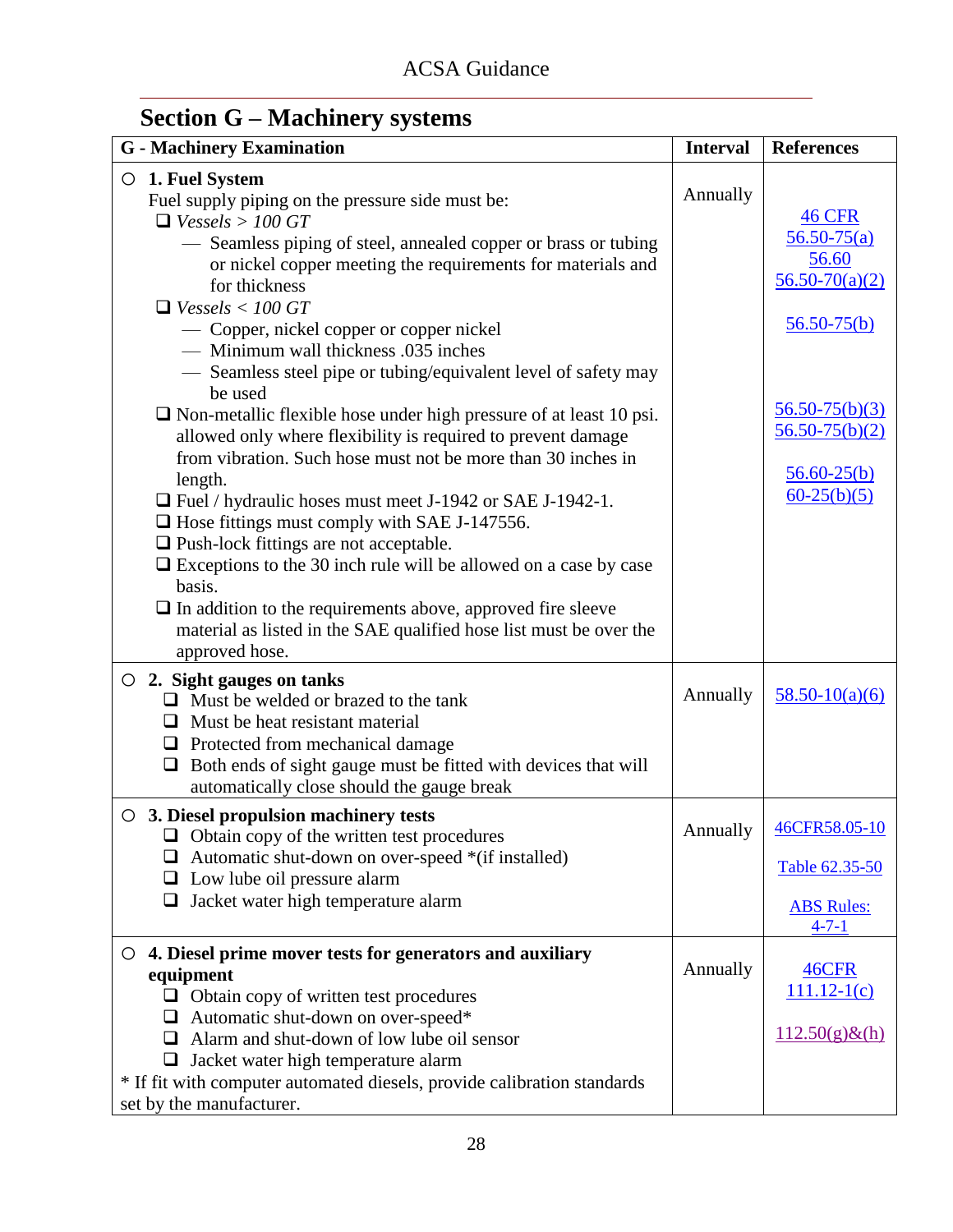# <span id="page-29-0"></span>**Section G – Machinery systems**

| <b>G</b> - Machinery Examination                                                                                                                                                                                                                                                                                                                                                                                                                                                                                                                                                                                                                                                                                                                                                                                                                                                                                                                                                                                  | <b>Interval</b> | <b>References</b>                                                                                                                                                  |
|-------------------------------------------------------------------------------------------------------------------------------------------------------------------------------------------------------------------------------------------------------------------------------------------------------------------------------------------------------------------------------------------------------------------------------------------------------------------------------------------------------------------------------------------------------------------------------------------------------------------------------------------------------------------------------------------------------------------------------------------------------------------------------------------------------------------------------------------------------------------------------------------------------------------------------------------------------------------------------------------------------------------|-----------------|--------------------------------------------------------------------------------------------------------------------------------------------------------------------|
| $\circ$ 1. Fuel System<br>Fuel supply piping on the pressure side must be:<br>$\Box$ Vessels > 100 GT<br>— Seamless piping of steel, annealed copper or brass or tubing<br>or nickel copper meeting the requirements for materials and<br>for thickness<br>$\Box$ Vessels < 100 GT<br>— Copper, nickel copper or copper nickel<br>- Minimum wall thickness .035 inches<br>- Seamless steel pipe or tubing/equivalent level of safety may<br>be used<br>$\Box$ Non-metallic flexible hose under high pressure of at least 10 psi.<br>allowed only where flexibility is required to prevent damage<br>from vibration. Such hose must not be more than 30 inches in<br>length.<br>$\Box$ Fuel / hydraulic hoses must meet J-1942 or SAE J-1942-1.<br>$\Box$ Hose fittings must comply with SAE J-147556.<br>$\Box$ Push-lock fittings are not acceptable.<br>$\Box$ Exceptions to the 30 inch rule will be allowed on a case by case<br>basis.<br>$\Box$ In addition to the requirements above, approved fire sleeve | Annually        | <b>46 CFR</b><br>$56.50 - 75(a)$<br>56.60<br>$56.50 - 70(a)(2)$<br>$56.50 - 75(b)$<br>$56.50 - 75(b)(3)$<br>$56.50 - 75(b)(2)$<br>$56.60 - 25(b)$<br>$60-25(b)(5)$ |
| material as listed in the SAE qualified hose list must be over the<br>approved hose.<br>2. Sight gauges on tanks<br>$\Box$ Must be welded or brazed to the tank<br>$\Box$ Must be heat resistant material                                                                                                                                                                                                                                                                                                                                                                                                                                                                                                                                                                                                                                                                                                                                                                                                         | Annually        | $58.50 - 10(a)(6)$                                                                                                                                                 |
| $\Box$ Protected from mechanical damage<br>$\Box$ Both ends of sight gauge must be fitted with devices that will<br>automatically close should the gauge break                                                                                                                                                                                                                                                                                                                                                                                                                                                                                                                                                                                                                                                                                                                                                                                                                                                    |                 |                                                                                                                                                                    |
| $\circ$ 3. Diesel propulsion machinery tests<br>$\Box$ Obtain copy of the written test procedures<br>$\Box$ Automatic shut-down on over-speed *(if installed)<br>$\Box$ Low lube oil pressure alarm<br>Jacket water high temperature alarm<br>$\Box$                                                                                                                                                                                                                                                                                                                                                                                                                                                                                                                                                                                                                                                                                                                                                              |                 | Annually   46CFR58.05-10<br>Table 62.35-50<br><b>ABS Rules:</b><br>$4 - 7 - 1$                                                                                     |
| $\circ$ 4. Diesel prime mover tests for generators and auxiliary<br>equipment<br>$\Box$ Obtain copy of written test procedures<br>$\Box$ Automatic shut-down on over-speed*<br>$\Box$ Alarm and shut-down of low lube oil sensor<br>$\Box$ Jacket water high temperature alarm<br>* If fit with computer automated diesels, provide calibration standards<br>set by the manufacturer.                                                                                                                                                                                                                                                                                                                                                                                                                                                                                                                                                                                                                             | Annually        | 46CFR<br>$111.12-1(c)$<br>$112.50(g) \& (h)$                                                                                                                       |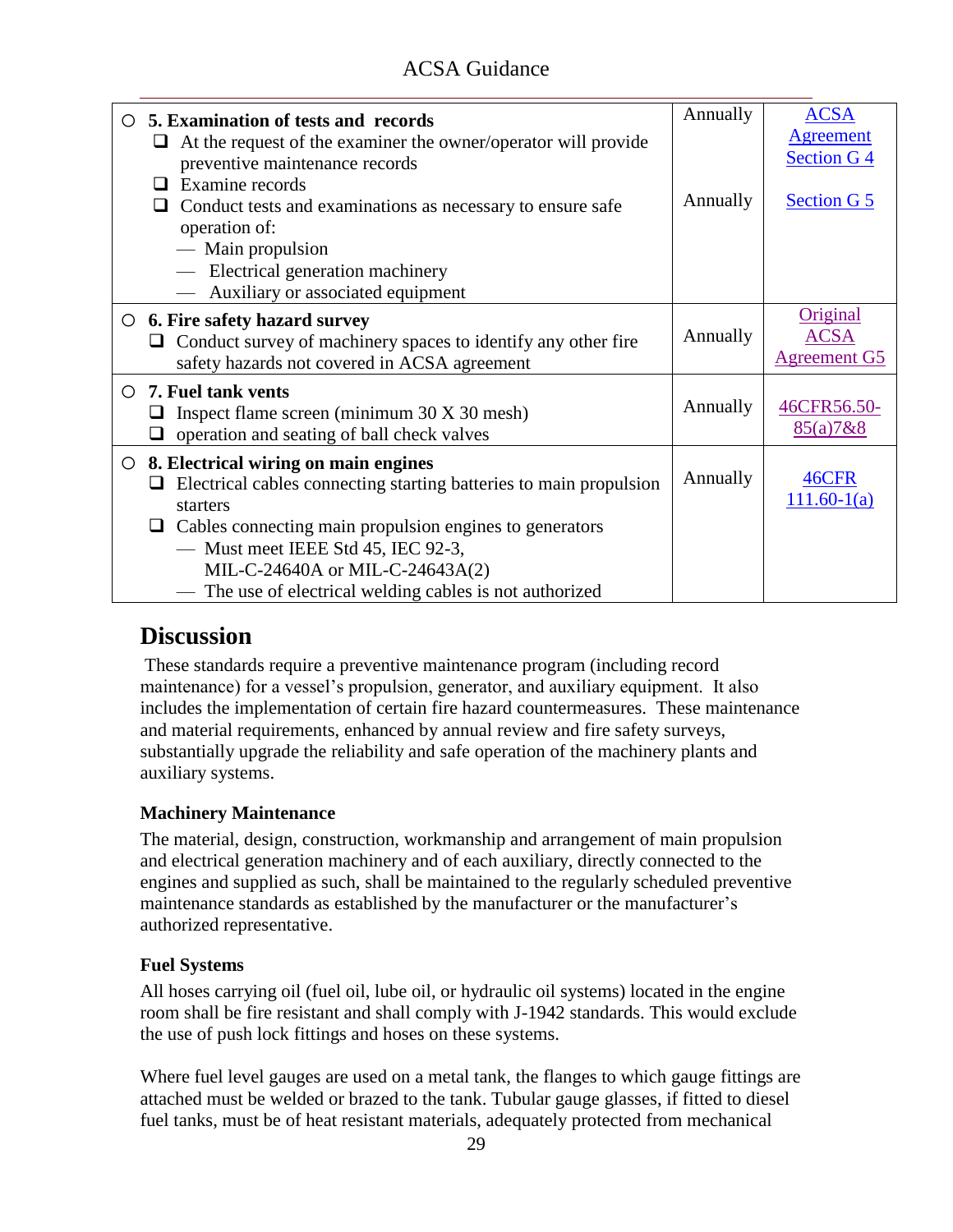| 5. Examination of tests and records<br>$\circ$<br>At the request of the examiner the owner/operator will provide<br>ப<br>preventive maintenance records                                                                                                                                                                                       | Annually | <b>ACSA</b><br><b>Agreement</b><br><b>Section G4</b> |
|-----------------------------------------------------------------------------------------------------------------------------------------------------------------------------------------------------------------------------------------------------------------------------------------------------------------------------------------------|----------|------------------------------------------------------|
| Examine records<br>ப<br>Conduct tests and examinations as necessary to ensure safe<br>operation of:<br>— Main propulsion<br>- Electrical generation machinery                                                                                                                                                                                 | Annually | <b>Section G 5</b>                                   |
| Auxiliary or associated equipment                                                                                                                                                                                                                                                                                                             |          |                                                      |
| 6. Fire safety hazard survey<br>$\circ$<br>Conduct survey of machinery spaces to identify any other fire<br>safety hazards not covered in ACSA agreement                                                                                                                                                                                      | Annually | Original<br><b>ACSA</b><br><b>Agreement G5</b>       |
| <b>7. Fuel tank vents</b><br>$\bigcirc$<br>Inspect flame screen (minimum 30 X 30 mesh)<br>operation and seating of ball check valves<br>⊔                                                                                                                                                                                                     | Annually | 46CFR56.50-<br>85(a)7&8                              |
| 8. Electrical wiring on main engines<br>$\circ$<br>Electrical cables connecting starting batteries to main propulsion<br>⊔<br>starters<br>$\Box$ Cables connecting main propulsion engines to generators<br>- Must meet IEEE Std 45, IEC 92-3,<br>MIL-C-24640A or MIL-C-24643A(2)<br>— The use of electrical welding cables is not authorized | Annually | 46CFR<br>$111.60-1(a)$                               |

### **Discussion**

These standards require a preventive maintenance program (including record maintenance) for a vessel's propulsion, generator, and auxiliary equipment. It also includes the implementation of certain fire hazard countermeasures. These maintenance and material requirements, enhanced by annual review and fire safety surveys, substantially upgrade the reliability and safe operation of the machinery plants and auxiliary systems.

### **Machinery Maintenance**

The material, design, construction, workmanship and arrangement of main propulsion and electrical generation machinery and of each auxiliary, directly connected to the engines and supplied as such, shall be maintained to the regularly scheduled preventive maintenance standards as established by the manufacturer or the manufacturer's authorized representative.

### **Fuel Systems**

All hoses carrying oil (fuel oil, lube oil, or hydraulic oil systems) located in the engine room shall be fire resistant and shall comply with J-1942 standards. This would exclude the use of push lock fittings and hoses on these systems.

Where fuel level gauges are used on a metal tank, the flanges to which gauge fittings are attached must be welded or brazed to the tank. Tubular gauge glasses, if fitted to diesel fuel tanks, must be of heat resistant materials, adequately protected from mechanical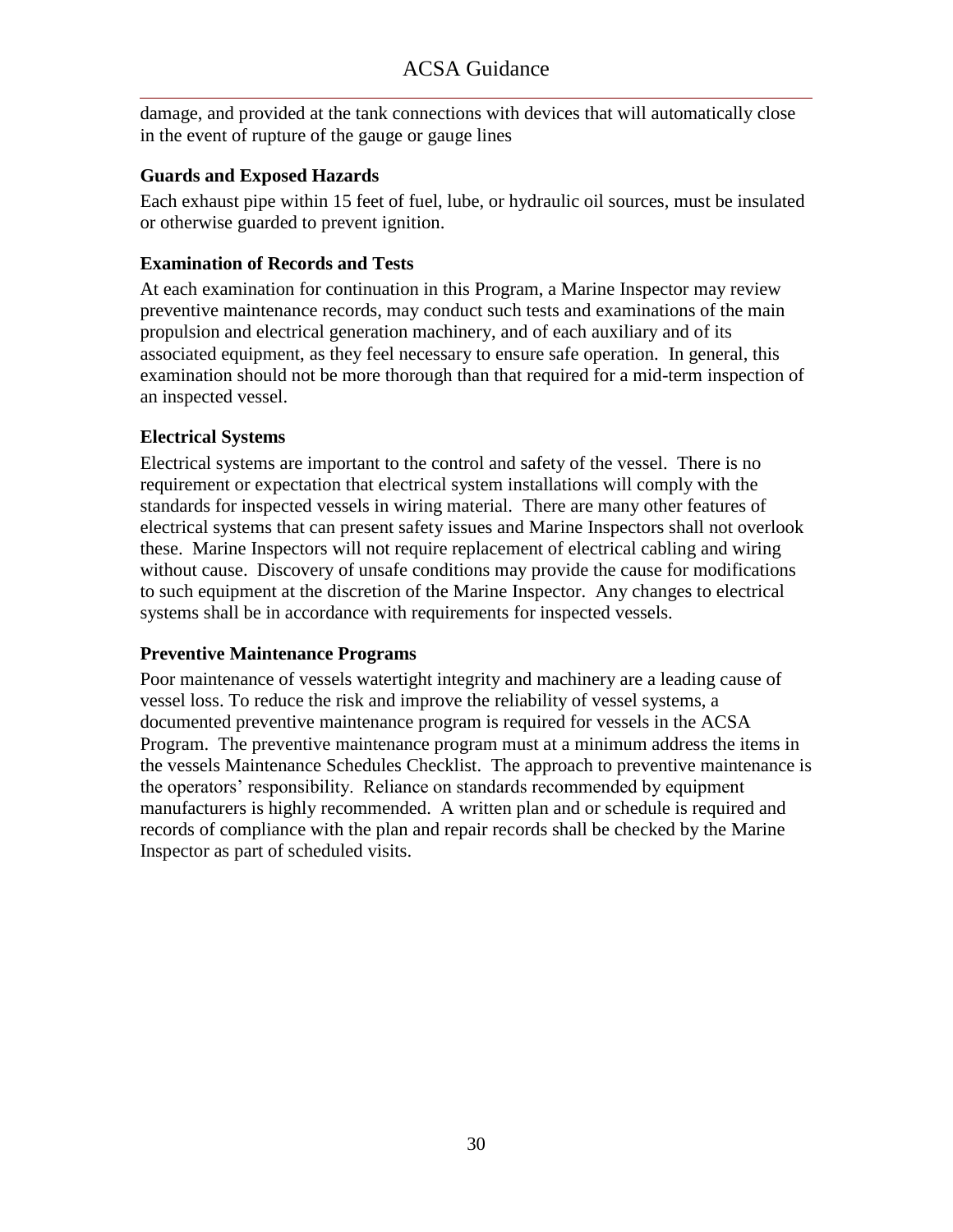damage, and provided at the tank connections with devices that will automatically close in the event of rupture of the gauge or gauge lines

### **Guards and Exposed Hazards**

Each exhaust pipe within 15 feet of fuel, lube, or hydraulic oil sources, must be insulated or otherwise guarded to prevent ignition.

#### **Examination of Records and Tests**

At each examination for continuation in this Program, a Marine Inspector may review preventive maintenance records, may conduct such tests and examinations of the main propulsion and electrical generation machinery, and of each auxiliary and of its associated equipment, as they feel necessary to ensure safe operation. In general, this examination should not be more thorough than that required for a mid-term inspection of an inspected vessel.

### **Electrical Systems**

Electrical systems are important to the control and safety of the vessel. There is no requirement or expectation that electrical system installations will comply with the standards for inspected vessels in wiring material. There are many other features of electrical systems that can present safety issues and Marine Inspectors shall not overlook these. Marine Inspectors will not require replacement of electrical cabling and wiring without cause. Discovery of unsafe conditions may provide the cause for modifications to such equipment at the discretion of the Marine Inspector. Any changes to electrical systems shall be in accordance with requirements for inspected vessels.

#### **Preventive Maintenance Programs**

<span id="page-31-0"></span>Poor maintenance of vessels watertight integrity and machinery are a leading cause of vessel loss. To reduce the risk and improve the reliability of vessel systems, a documented preventive maintenance program is required for vessels in the ACSA Program. The preventive maintenance program must at a minimum address the items in the vessels Maintenance Schedules Checklist. The approach to preventive maintenance is the operators' responsibility. Reliance on standards recommended by equipment manufacturers is highly recommended. A written plan and or schedule is required and records of compliance with the plan and repair records shall be checked by the Marine Inspector as part of scheduled visits.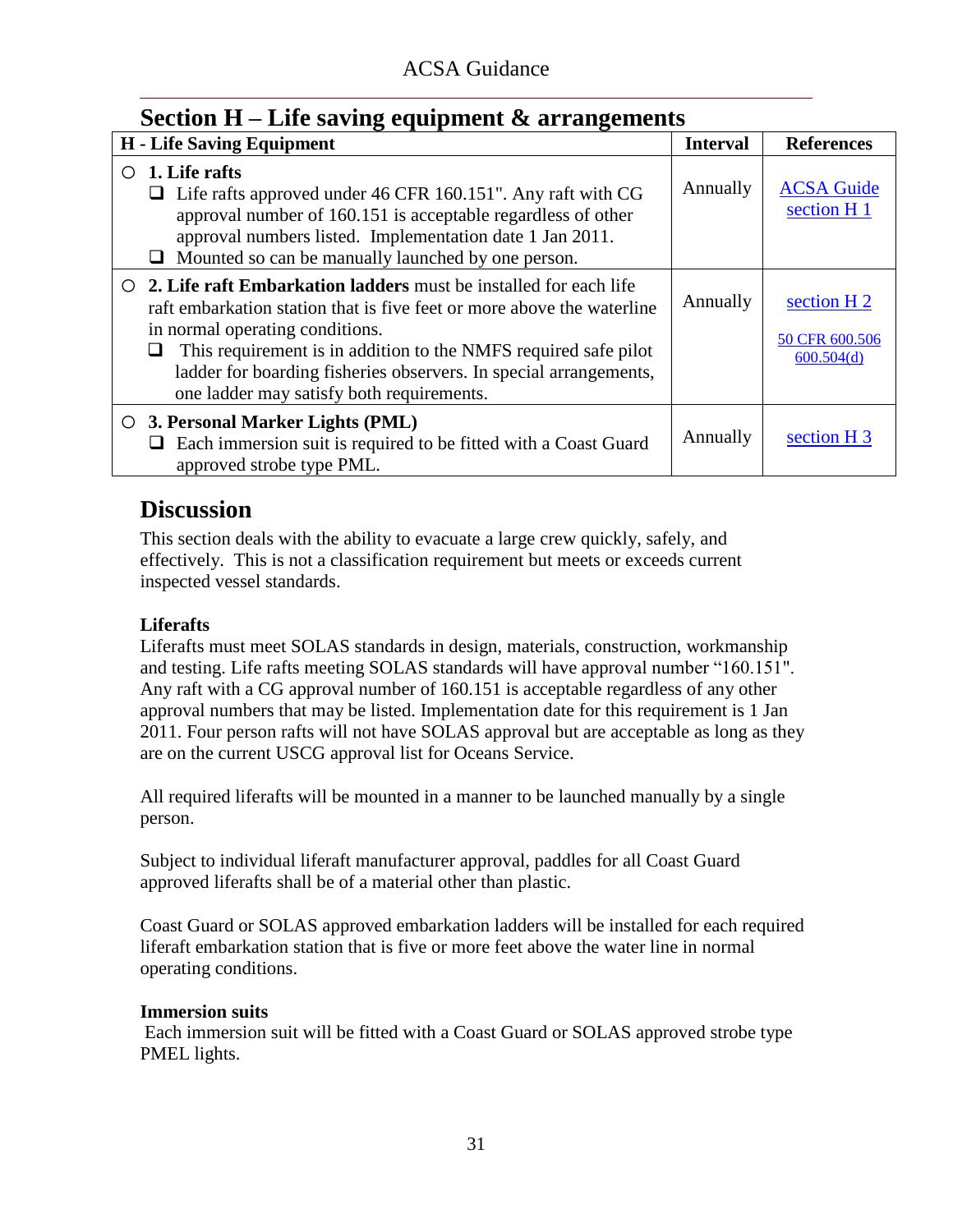### <span id="page-32-0"></span>**Section H – Life saving equipment & arrangements**

|   | <b>H</b> - Life Saving Equipment                                                                                                                                                                                                                                                                                                                                                     | <b>Interval</b> | <b>References</b>                                      |
|---|--------------------------------------------------------------------------------------------------------------------------------------------------------------------------------------------------------------------------------------------------------------------------------------------------------------------------------------------------------------------------------------|-----------------|--------------------------------------------------------|
| ◯ | 1. Life rafts<br>$\Box$ Life rafts approved under 46 CFR 160.151". Any raft with CG<br>approval number of 160.151 is acceptable regardless of other<br>approval numbers listed. Implementation date 1 Jan 2011.<br>Mounted so can be manually launched by one person.                                                                                                                | Annually        | <b>ACSA Guide</b><br>section H <sub>1</sub>            |
|   | $\circ$ 2. Life raft Embarkation ladders must be installed for each life<br>raft embarkation station that is five feet or more above the waterline<br>in normal operating conditions.<br>This requirement is in addition to the NMFS required safe pilot<br>$\Box$<br>ladder for boarding fisheries observers. In special arrangements,<br>one ladder may satisfy both requirements. | Annually        | section H <sub>2</sub><br>50 CFR 600.506<br>600.504(d) |
|   | $\circ$ 3. Personal Marker Lights (PML)<br>Each immersion suit is required to be fitted with a Coast Guard<br>approved strobe type PML.                                                                                                                                                                                                                                              | Annually        | section H <sub>3</sub>                                 |

### **Discussion**

This section deals with the ability to evacuate a large crew quickly, safely, and effectively. This is not a classification requirement but meets or exceeds current inspected vessel standards.

### **Liferafts**

Liferafts must meet SOLAS standards in design, materials, construction, workmanship and testing. Life rafts meeting SOLAS standards will have approval number "160.151". Any raft with a CG approval number of 160.151 is acceptable regardless of any other approval numbers that may be listed. Implementation date for this requirement is 1 Jan 2011. Four person rafts will not have SOLAS approval but are acceptable as long as they are on the current USCG approval list for Oceans Service.

All required liferafts will be mounted in a manner to be launched manually by a single person.

Subject to individual liferaft manufacturer approval, paddles for all Coast Guard approved liferafts shall be of a material other than plastic.

Coast Guard or SOLAS approved embarkation ladders will be installed for each required liferaft embarkation station that is five or more feet above the water line in normal operating conditions.

### **Immersion suits**

Each immersion suit will be fitted with a Coast Guard or SOLAS approved strobe type PMEL lights.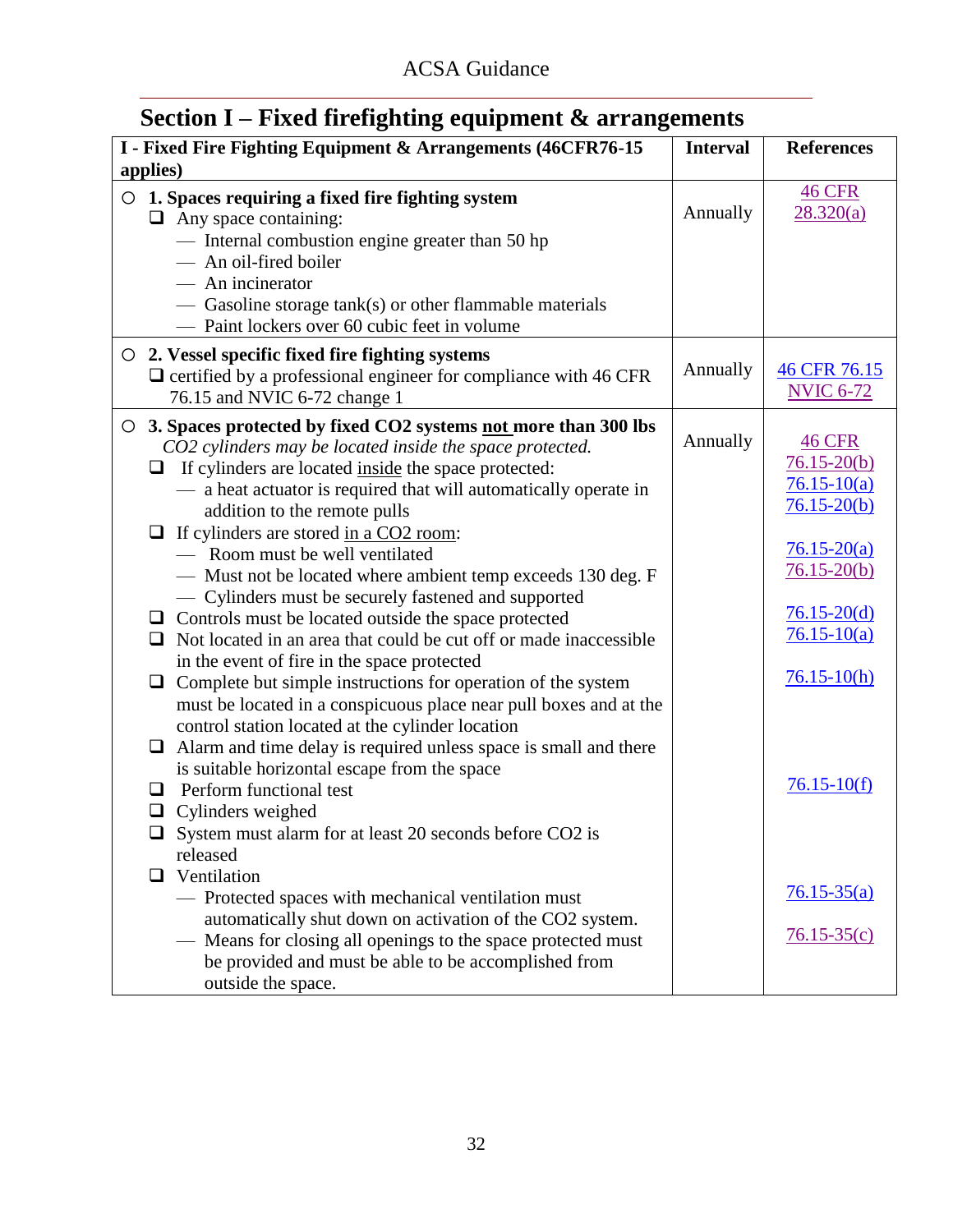# <span id="page-33-0"></span>**Section I – Fixed firefighting equipment & arrangements**

| I - Fixed Fire Fighting Equipment & Arrangements (46CFR76-15<br>applies)                                                                                                                                                                                                                                                                                                                                                                                                                                                                                                                                                                                                                                                                                                                                                                                                                                                                                                                                                                                                                                                                                                 | <b>Interval</b> | <b>References</b>                                                                                                                                                                        |
|--------------------------------------------------------------------------------------------------------------------------------------------------------------------------------------------------------------------------------------------------------------------------------------------------------------------------------------------------------------------------------------------------------------------------------------------------------------------------------------------------------------------------------------------------------------------------------------------------------------------------------------------------------------------------------------------------------------------------------------------------------------------------------------------------------------------------------------------------------------------------------------------------------------------------------------------------------------------------------------------------------------------------------------------------------------------------------------------------------------------------------------------------------------------------|-----------------|------------------------------------------------------------------------------------------------------------------------------------------------------------------------------------------|
| 1. Spaces requiring a fixed fire fighting system<br>O<br>$\Box$ Any space containing:<br>- Internal combustion engine greater than 50 hp<br>- An oil-fired boiler<br>— An incinerator                                                                                                                                                                                                                                                                                                                                                                                                                                                                                                                                                                                                                                                                                                                                                                                                                                                                                                                                                                                    | Annually        | <b>46 CFR</b><br>28.320(a)                                                                                                                                                               |
| $-$ Gasoline storage tank(s) or other flammable materials<br>- Paint lockers over 60 cubic feet in volume                                                                                                                                                                                                                                                                                                                                                                                                                                                                                                                                                                                                                                                                                                                                                                                                                                                                                                                                                                                                                                                                |                 |                                                                                                                                                                                          |
| $\circ$ 2. Vessel specific fixed fire fighting systems<br>$\Box$ certified by a professional engineer for compliance with 46 CFR<br>76.15 and NVIC 6-72 change 1                                                                                                                                                                                                                                                                                                                                                                                                                                                                                                                                                                                                                                                                                                                                                                                                                                                                                                                                                                                                         | Annually        | 46 CFR 76.15<br><b>NVIC 6-72</b>                                                                                                                                                         |
| 3. Spaces protected by fixed CO2 systems not more than 300 lbs<br>$\circ$<br>CO2 cylinders may be located inside the space protected.<br>$\Box$ If cylinders are located inside the space protected:<br>- a heat actuator is required that will automatically operate in<br>addition to the remote pulls<br>If cylinders are stored in a CO2 room:<br>❏<br>- Room must be well ventilated<br>- Must not be located where ambient temp exceeds 130 deg. F<br>- Cylinders must be securely fastened and supported<br>$\Box$ Controls must be located outside the space protected<br>Not located in an area that could be cut off or made inaccessible<br>$\Box$<br>in the event of fire in the space protected<br>Complete but simple instructions for operation of the system<br>❏<br>must be located in a conspicuous place near pull boxes and at the<br>control station located at the cylinder location<br>$\Box$ Alarm and time delay is required unless space is small and there<br>is suitable horizontal escape from the space<br>Perform functional test<br>ப<br>$\Box$ Cylinders weighed<br>System must alarm for at least 20 seconds before CO2 is<br>released | Annually        | <b>46 CFR</b><br>$76.15 - 20(b)$<br>$76.15 - 10(a)$<br>$76.15 - 20(b)$<br>$76.15 - 20(a)$<br>$76.15 - 20(b)$<br>$76.15 - 20(d)$<br>$76.15 - 10(a)$<br>$76.15 - 10(h)$<br>$76.15 - 10(f)$ |
| Ventilation<br>$\Box$<br>- Protected spaces with mechanical ventilation must                                                                                                                                                                                                                                                                                                                                                                                                                                                                                                                                                                                                                                                                                                                                                                                                                                                                                                                                                                                                                                                                                             |                 | $76.15 - 35(a)$                                                                                                                                                                          |
| automatically shut down on activation of the CO2 system.<br>- Means for closing all openings to the space protected must<br>be provided and must be able to be accomplished from<br>outside the space.                                                                                                                                                                                                                                                                                                                                                                                                                                                                                                                                                                                                                                                                                                                                                                                                                                                                                                                                                                   |                 | $76.15 - 35(c)$                                                                                                                                                                          |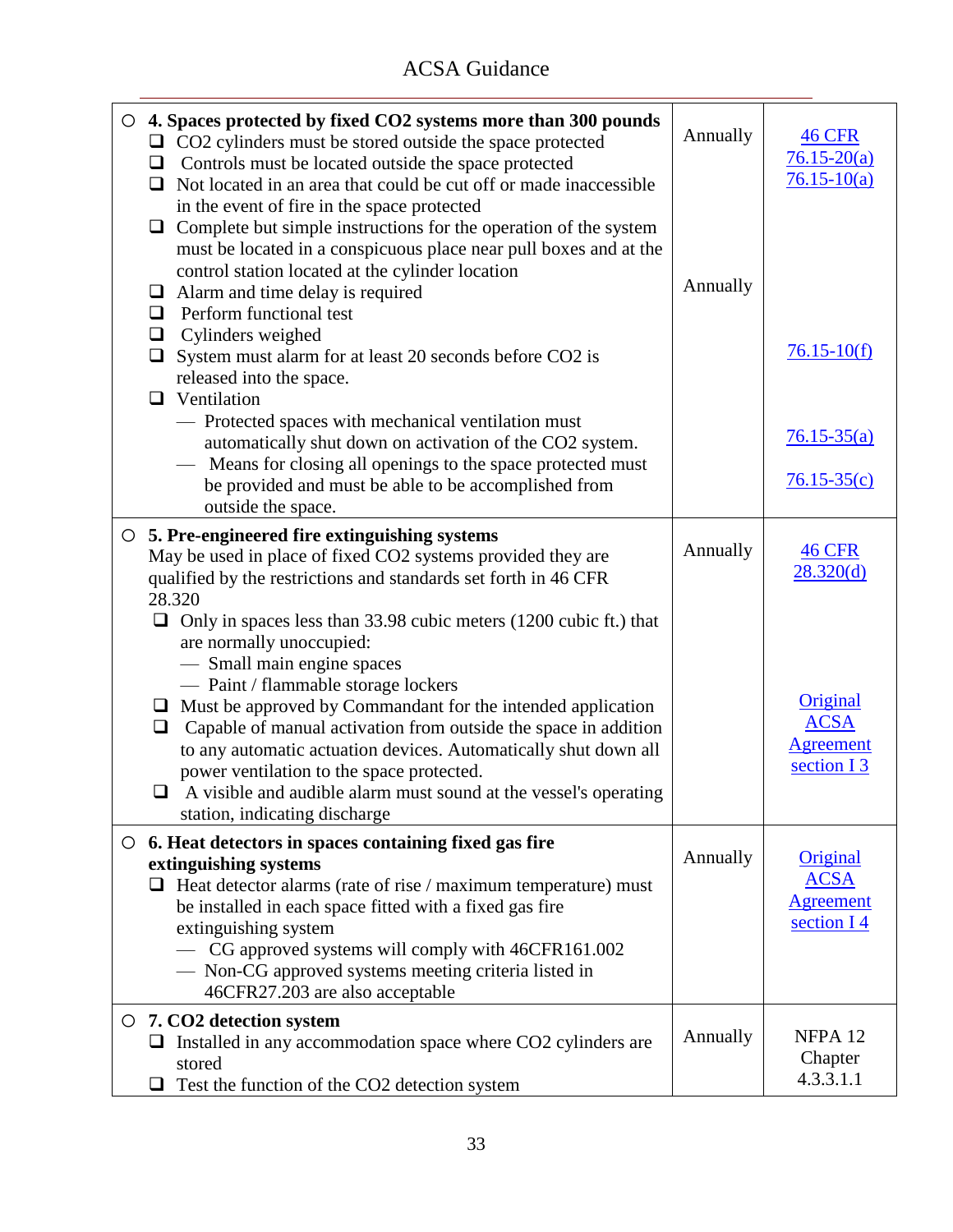| $\circ$ 4. Spaces protected by fixed CO2 systems more than 300 pounds<br>$\Box$ CO2 cylinders must be stored outside the space protected<br>Controls must be located outside the space protected<br>❏<br>Not located in an area that could be cut off or made inaccessible<br>Q.<br>in the event of fire in the space protected<br>Complete but simple instructions for the operation of the system<br>❏<br>must be located in a conspicuous place near pull boxes and at the<br>control station located at the cylinder location<br>$\Box$ Alarm and time delay is required<br>Perform functional test<br>❏ | Annually<br>Annually | <b>46 CFR</b><br>$76.15 - 20(a)$<br>$76.15 - 10(a)$                   |
|--------------------------------------------------------------------------------------------------------------------------------------------------------------------------------------------------------------------------------------------------------------------------------------------------------------------------------------------------------------------------------------------------------------------------------------------------------------------------------------------------------------------------------------------------------------------------------------------------------------|----------------------|-----------------------------------------------------------------------|
| Cylinders weighed<br>$\Box$<br>$\Box$ System must alarm for at least 20 seconds before CO2 is<br>released into the space.<br>$\Box$ Ventilation                                                                                                                                                                                                                                                                                                                                                                                                                                                              |                      | $76.15 - 10(f)$                                                       |
| - Protected spaces with mechanical ventilation must<br>automatically shut down on activation of the CO2 system.<br>Means for closing all openings to the space protected must<br>be provided and must be able to be accomplished from<br>outside the space.                                                                                                                                                                                                                                                                                                                                                  |                      | $76.15 - 35(a)$<br>$76.15 - 35(c)$                                    |
| $\circ$ 5. Pre-engineered fire extinguishing systems<br>May be used in place of fixed CO2 systems provided they are<br>qualified by the restrictions and standards set forth in 46 CFR<br>28.320                                                                                                                                                                                                                                                                                                                                                                                                             | Annually             | <b>46 CFR</b><br>28.320(d)                                            |
| $\Box$ Only in spaces less than 33.98 cubic meters (1200 cubic ft.) that<br>are normally unoccupied:<br>- Small main engine spaces<br>- Paint / flammable storage lockers<br>Must be approved by Commandant for the intended application<br>$\Box$<br>Capable of manual activation from outside the space in addition<br>❏<br>to any automatic actuation devices. Automatically shut down all<br>power ventilation to the space protected.<br>A visible and audible alarm must sound at the vessel's operating<br>ப<br>station, indicating discharge                                                         |                      | Original<br><b>ACSA</b><br><b>Agreement</b><br>section I <sub>3</sub> |
| $\circ$ 6. Heat detectors in spaces containing fixed gas fire<br>extinguishing systems<br>$\Box$ Heat detector alarms (rate of rise / maximum temperature) must<br>be installed in each space fitted with a fixed gas fire<br>extinguishing system<br>- CG approved systems will comply with 46CFR161.002<br>- Non-CG approved systems meeting criteria listed in<br>46CFR27.203 are also acceptable                                                                                                                                                                                                         | Annually             | Original<br><b>ACSA</b><br><b>Agreement</b><br>section I <sub>4</sub> |
| $\circ$ 7. CO2 detection system<br>Installed in any accommodation space where CO2 cylinders are<br>stored<br>Test the function of the CO2 detection system<br>❏                                                                                                                                                                                                                                                                                                                                                                                                                                              | Annually             | NFPA <sub>12</sub><br>Chapter<br>4.3.3.1.1                            |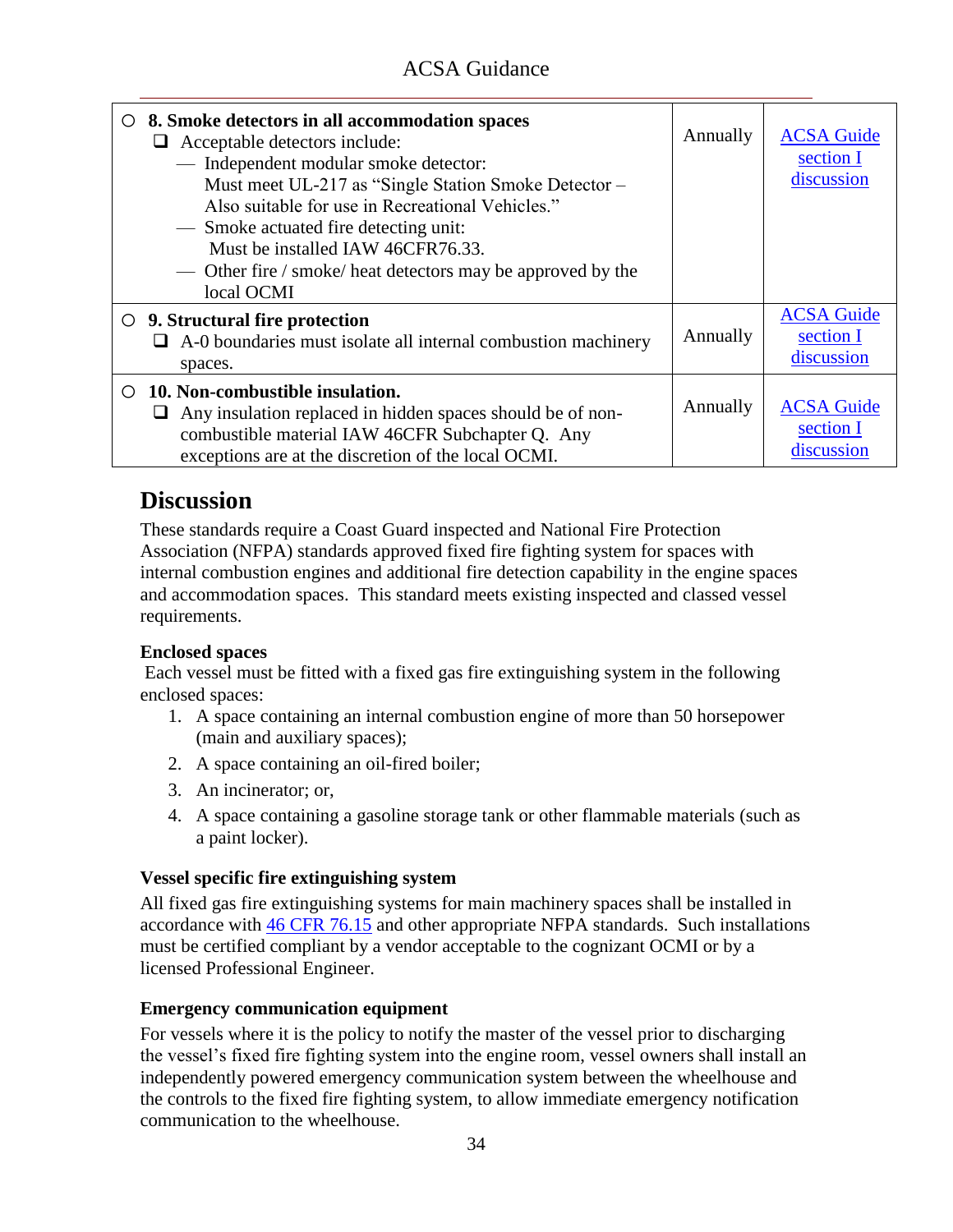| $\circ$ 8. Smoke detectors in all accommodation spaces<br>Acceptable detectors include:<br>⊔<br>- Independent modular smoke detector:<br>Must meet UL-217 as "Single Station Smoke Detector -<br>Also suitable for use in Recreational Vehicles."<br>— Smoke actuated fire detecting unit:<br>Must be installed IAW 46CFR76.33.<br>— Other fire / smoke/ heat detectors may be approved by the<br>local OCMI | Annually | <b>ACSA Guide</b><br>section I<br>discussion |
|--------------------------------------------------------------------------------------------------------------------------------------------------------------------------------------------------------------------------------------------------------------------------------------------------------------------------------------------------------------------------------------------------------------|----------|----------------------------------------------|
| $\circ$ 9. Structural fire protection<br>A-0 boundaries must isolate all internal combustion machinery<br>spaces.                                                                                                                                                                                                                                                                                            | Annually | <b>ACSA Guide</b><br>section I<br>discussion |
| 10. Non-combustible insulation.<br>$\Omega$<br>Any insulation replaced in hidden spaces should be of non-<br>combustible material IAW 46CFR Subchapter Q. Any<br>exceptions are at the discretion of the local OCMI.                                                                                                                                                                                         | Annually | <b>ACSA Guide</b><br>section I<br>discussion |

<span id="page-35-0"></span>These standards require a Coast Guard inspected and National Fire Protection Association (NFPA) standards approved fixed fire fighting system for spaces with internal combustion engines and additional fire detection capability in the engine spaces and accommodation spaces. This standard meets existing inspected and classed vessel requirements.

### **Enclosed spaces**

Each vessel must be fitted with a fixed gas fire extinguishing system in the following enclosed spaces:

- 1. A space containing an internal combustion engine of more than 50 horsepower (main and auxiliary spaces);
- 2. A space containing an oil-fired boiler;
- 3. An incinerator; or,
- 4. A space containing a gasoline storage tank or other flammable materials (such as a paint locker).

### **Vessel specific fire extinguishing system**

All fixed gas fire extinguishing systems for main machinery spaces shall be installed in accordance with [46 CFR 76.15](ACSA_References/46cfr76.15.pdf) and other appropriate NFPA standards. Such installations must be certified compliant by a vendor acceptable to the cognizant OCMI or by a licensed Professional Engineer.

### **Emergency communication equipment**

For vessels where it is the policy to notify the master of the vessel prior to discharging the vessel's fixed fire fighting system into the engine room, vessel owners shall install an independently powered emergency communication system between the wheelhouse and the controls to the fixed fire fighting system, to allow immediate emergency notification communication to the wheelhouse.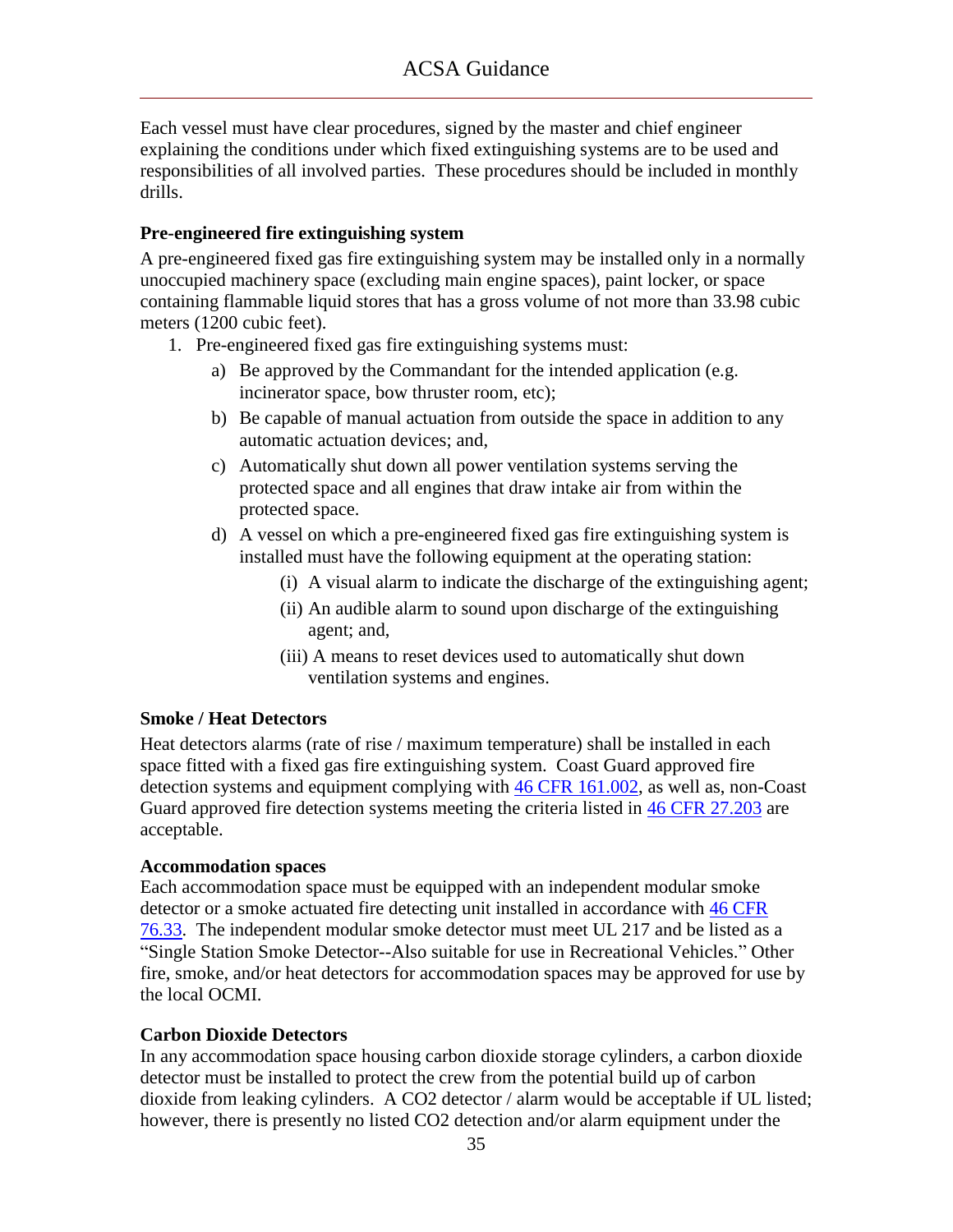Each vessel must have clear procedures, signed by the master and chief engineer explaining the conditions under which fixed extinguishing systems are to be used and responsibilities of all involved parties. These procedures should be included in monthly drills.

#### **Pre-engineered fire extinguishing system**

A pre-engineered fixed gas fire extinguishing system may be installed only in a normally unoccupied machinery space (excluding main engine spaces), paint locker, or space containing flammable liquid stores that has a gross volume of not more than 33.98 cubic meters (1200 cubic feet).

- 1. Pre-engineered fixed gas fire extinguishing systems must:
	- a) Be approved by the Commandant for the intended application (e.g. incinerator space, bow thruster room, etc);
	- b) Be capable of manual actuation from outside the space in addition to any automatic actuation devices; and,
	- c) Automatically shut down all power ventilation systems serving the protected space and all engines that draw intake air from within the protected space.
	- d) A vessel on which a pre-engineered fixed gas fire extinguishing system is installed must have the following equipment at the operating station:
		- (i) A visual alarm to indicate the discharge of the extinguishing agent;
		- (ii) An audible alarm to sound upon discharge of the extinguishing agent; and,
		- (iii) A means to reset devices used to automatically shut down ventilation systems and engines.

### **Smoke / Heat Detectors**

Heat detectors alarms (rate of rise / maximum temperature) shall be installed in each space fitted with a fixed gas fire extinguishing system. Coast Guard approved fire detection systems and equipment complying with [46 CFR 161.002,](ACSA_References/46cfr161.002.pdf) as well as, non-Coast Guard approved fire detection systems meeting the criteria listed in [46 CFR 27.203](ACSA_References/46cfr27.203.pdf) are acceptable.

#### **Accommodation spaces**

Each accommodation space must be equipped with an independent modular smoke detector or a smoke actuated fire detecting unit installed in accordance with [46 CFR](ACSA_References/46cfr76.33.pdf) [76.33.](ACSA_References/46cfr76.33.pdf) The independent modular smoke detector must meet UL 217 and be listed as a "Single Station Smoke Detector--Also suitable for use in Recreational Vehicles." Other fire, smoke, and/or heat detectors for accommodation spaces may be approved for use by the local OCMI.

### **Carbon Dioxide Detectors**

In any accommodation space housing carbon dioxide storage cylinders, a carbon dioxide detector must be installed to protect the crew from the potential build up of carbon dioxide from leaking cylinders. A CO2 detector / alarm would be acceptable if UL listed; however, there is presently no listed CO2 detection and/or alarm equipment under the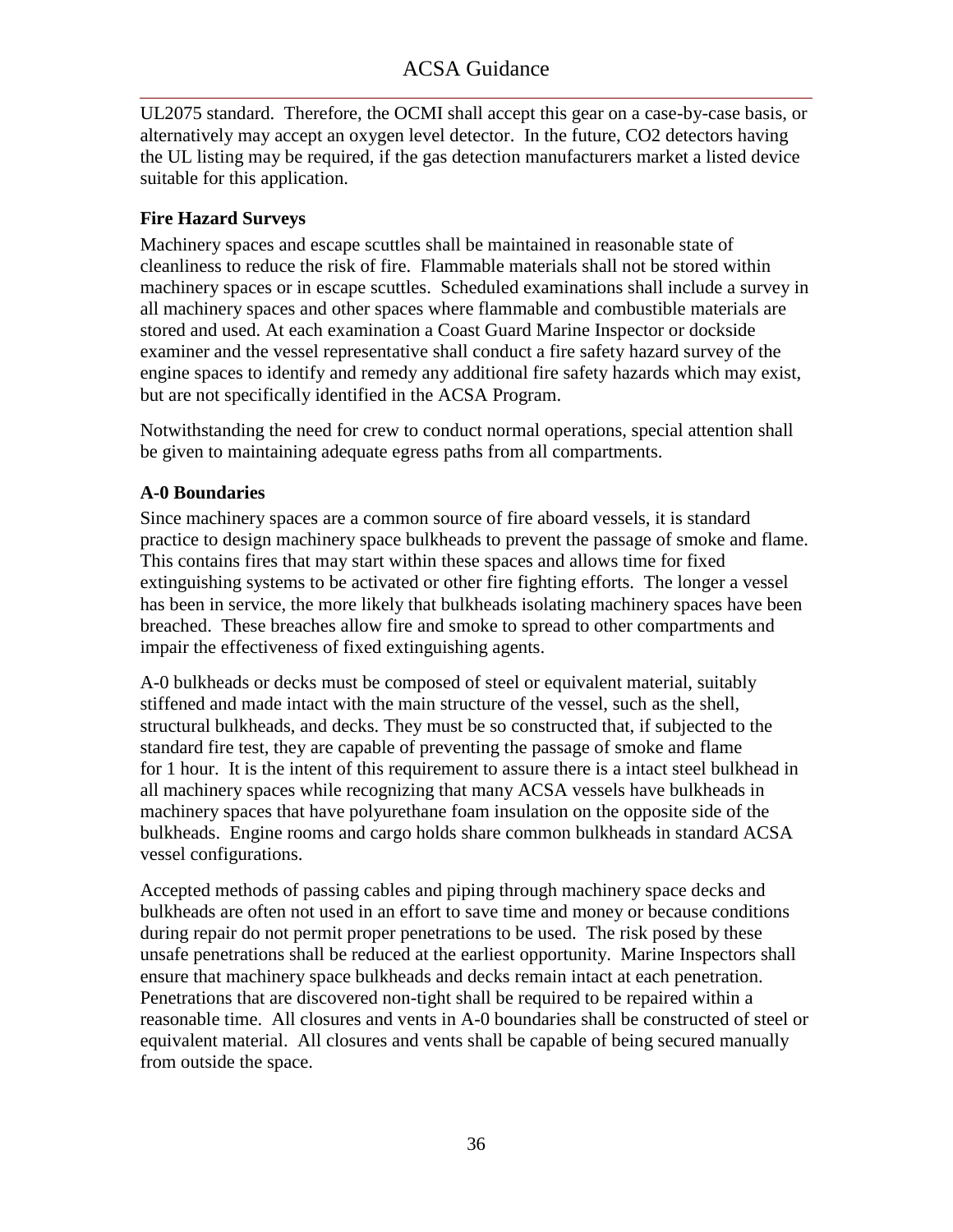UL2075 standard. Therefore, the OCMI shall accept this gear on a case-by-case basis, or alternatively may accept an oxygen level detector. In the future, CO2 detectors having the UL listing may be required, if the gas detection manufacturers market a listed device suitable for this application.

### **Fire Hazard Surveys**

Machinery spaces and escape scuttles shall be maintained in reasonable state of cleanliness to reduce the risk of fire. Flammable materials shall not be stored within machinery spaces or in escape scuttles. Scheduled examinations shall include a survey in all machinery spaces and other spaces where flammable and combustible materials are stored and used. At each examination a Coast Guard Marine Inspector or dockside examiner and the vessel representative shall conduct a fire safety hazard survey of the engine spaces to identify and remedy any additional fire safety hazards which may exist, but are not specifically identified in the ACSA Program.

Notwithstanding the need for crew to conduct normal operations, special attention shall be given to maintaining adequate egress paths from all compartments.

### **A-0 Boundaries**

Since machinery spaces are a common source of fire aboard vessels, it is standard practice to design machinery space bulkheads to prevent the passage of smoke and flame. This contains fires that may start within these spaces and allows time for fixed extinguishing systems to be activated or other fire fighting efforts. The longer a vessel has been in service, the more likely that bulkheads isolating machinery spaces have been breached. These breaches allow fire and smoke to spread to other compartments and impair the effectiveness of fixed extinguishing agents.

A-0 bulkheads or decks must be composed of steel or equivalent material, suitably stiffened and made intact with the main structure of the vessel, such as the shell, structural bulkheads, and decks. They must be so constructed that, if subjected to the standard fire test, they are capable of preventing the passage of smoke and flame for 1 hour. It is the intent of this requirement to assure there is a intact steel bulkhead in all machinery spaces while recognizing that many ACSA vessels have bulkheads in machinery spaces that have polyurethane foam insulation on the opposite side of the bulkheads. Engine rooms and cargo holds share common bulkheads in standard ACSA vessel configurations.

<span id="page-37-0"></span>Accepted methods of passing cables and piping through machinery space decks and bulkheads are often not used in an effort to save time and money or because conditions during repair do not permit proper penetrations to be used. The risk posed by these unsafe penetrations shall be reduced at the earliest opportunity. Marine Inspectors shall ensure that machinery space bulkheads and decks remain intact at each penetration. Penetrations that are discovered non-tight shall be required to be repaired within a reasonable time. All closures and vents in A-0 boundaries shall be constructed of steel or equivalent material. All closures and vents shall be capable of being secured manually from outside the space.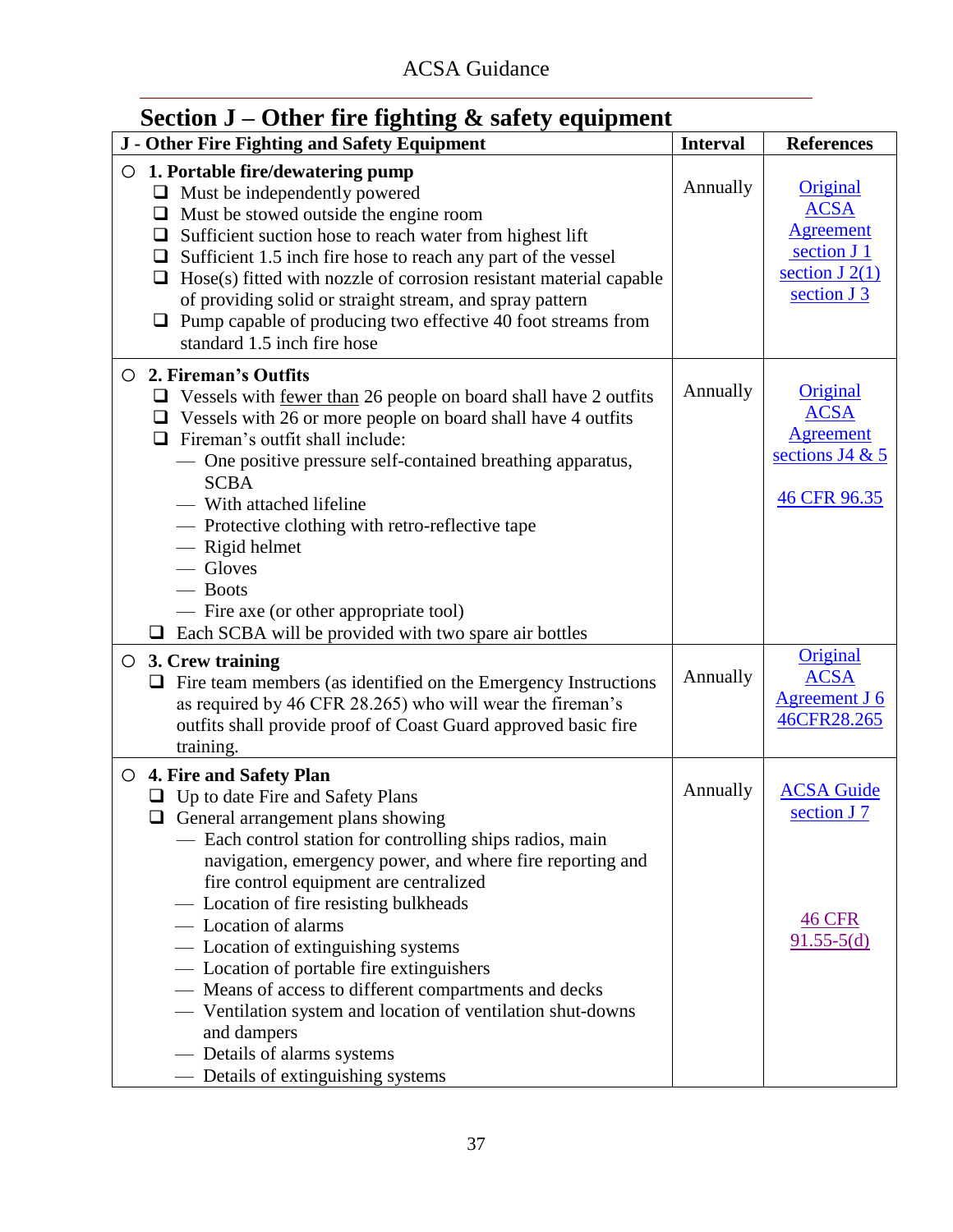# **Section J – Other fire fighting & safety equipment**

| - - -<br>J - Other Fire Fighting and Safety Equipment                                                                                                                                                                                                                                                                                                                                                                                                                                                                                                                                                                                                  | <b>Interval</b> | <b>References</b>                                                                                     |
|--------------------------------------------------------------------------------------------------------------------------------------------------------------------------------------------------------------------------------------------------------------------------------------------------------------------------------------------------------------------------------------------------------------------------------------------------------------------------------------------------------------------------------------------------------------------------------------------------------------------------------------------------------|-----------------|-------------------------------------------------------------------------------------------------------|
| $\circ$ 1. Portable fire/dewatering pump<br>$\Box$ Must be independently powered<br>$\Box$ Must be stowed outside the engine room<br>Sufficient suction hose to reach water from highest lift<br>$\Box$<br>Sufficient 1.5 inch fire hose to reach any part of the vessel<br>$\Box$<br>Hose(s) fitted with nozzle of corrosion resistant material capable<br>$\Box$<br>of providing solid or straight stream, and spray pattern<br>$\Box$ Pump capable of producing two effective 40 foot streams from<br>standard 1.5 inch fire hose                                                                                                                   | Annually        | <b>Original</b><br><b>ACSA</b><br><b>Agreement</b><br>section J 1<br>section $J(2(1))$<br>section J 3 |
| 2. Fireman's Outfits<br>$\circ$<br>$\Box$ Vessels with <u>fewer than</u> 26 people on board shall have 2 outfits<br>$\Box$ Vessels with 26 or more people on board shall have 4 outfits<br>$\Box$ Fireman's outfit shall include:<br>- One positive pressure self-contained breathing apparatus,<br><b>SCBA</b><br>- With attached lifeline<br>- Protective clothing with retro-reflective tape<br>- Rigid helmet<br>- Gloves<br>- Boots<br>— Fire axe (or other appropriate tool)<br>$\Box$ Each SCBA will be provided with two spare air bottles                                                                                                     | Annually        | Original<br><b>ACSA</b><br><b>Agreement</b><br>sections J4 $&$ 5<br>46 CFR 96.35                      |
| $\circ$ 3. Crew training<br>$\Box$ Fire team members (as identified on the Emergency Instructions<br>as required by 46 CFR 28.265) who will wear the fireman's<br>outfits shall provide proof of Coast Guard approved basic fire<br>training.                                                                                                                                                                                                                                                                                                                                                                                                          | Annually        | Original<br><b>ACSA</b><br><b>Agreement J 6</b><br>46CFR28.265                                        |
| ○ 4. Fire and Safety Plan<br>$\Box$ Up to date Fire and Safety Plans<br>$\Box$ General arrangement plans showing<br>- Each control station for controlling ships radios, main<br>navigation, emergency power, and where fire reporting and<br>fire control equipment are centralized<br>— Location of fire resisting bulkheads<br>- Location of alarms<br>— Location of extinguishing systems<br>- Location of portable fire extinguishers<br>- Means of access to different compartments and decks<br>- Ventilation system and location of ventilation shut-downs<br>and dampers<br>- Details of alarms systems<br>— Details of extinguishing systems | Annually        | <b>ACSA Guide</b><br>section J 7<br><b>46 CFR</b><br>$91.55 - 5(d)$                                   |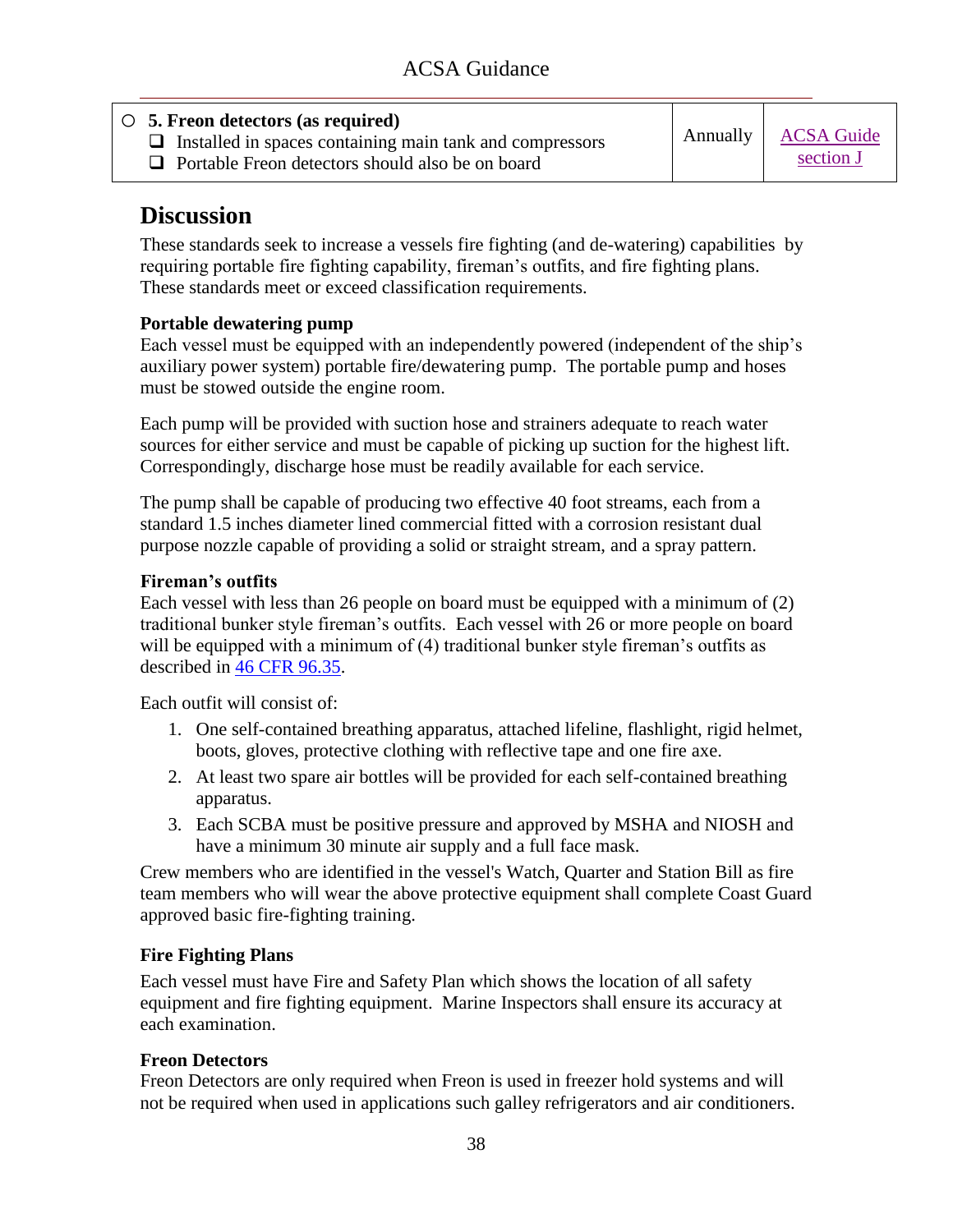| $\circ$ 5. Freon detectors (as required)<br>$\Box$ Installed in spaces containing main tank and compressors<br>$\Box$ Portable Freon detectors should also be on board | Annually | <b>ACSA Guide</b><br>section J |
|------------------------------------------------------------------------------------------------------------------------------------------------------------------------|----------|--------------------------------|
|                                                                                                                                                                        |          |                                |

These standards seek to increase a vessels fire fighting (and de-watering) capabilities by requiring portable fire fighting capability, fireman's outfits, and fire fighting plans. These standards meet or exceed classification requirements.

### **Portable dewatering pump**

Each vessel must be equipped with an independently powered (independent of the ship's auxiliary power system) portable fire/dewatering pump. The portable pump and hoses must be stowed outside the engine room.

Each pump will be provided with suction hose and strainers adequate to reach water sources for either service and must be capable of picking up suction for the highest lift. Correspondingly, discharge hose must be readily available for each service.

The pump shall be capable of producing two effective 40 foot streams, each from a standard 1.5 inches diameter lined commercial fitted with a corrosion resistant dual purpose nozzle capable of providing a solid or straight stream, and a spray pattern.

### **Fireman's outfits**

Each vessel with less than 26 people on board must be equipped with a minimum of (2) traditional bunker style fireman's outfits. Each vessel with 26 or more people on board will be equipped with a minimum of (4) traditional bunker style fireman's outfits as described in [46 CFR 96.35.](ACSA_References/46cfr96.35.pdf)

Each outfit will consist of:

- 1. One self-contained breathing apparatus, attached lifeline, flashlight, rigid helmet, boots, gloves, protective clothing with reflective tape and one fire axe.
- 2. At least two spare air bottles will be provided for each self-contained breathing apparatus.
- 3. Each SCBA must be positive pressure and approved by MSHA and NIOSH and have a minimum 30 minute air supply and a full face mask.

Crew members who are identified in the vessel's Watch, Quarter and Station Bill as fire team members who will wear the above protective equipment shall complete Coast Guard approved basic fire-fighting training.

### **Fire Fighting Plans**

Each vessel must have Fire and Safety Plan which shows the location of all safety equipment and fire fighting equipment. Marine Inspectors shall ensure its accuracy at each examination.

### **Freon Detectors**

<span id="page-39-0"></span>Freon Detectors are only required when Freon is used in freezer hold systems and will not be required when used in applications such galley refrigerators and air conditioners.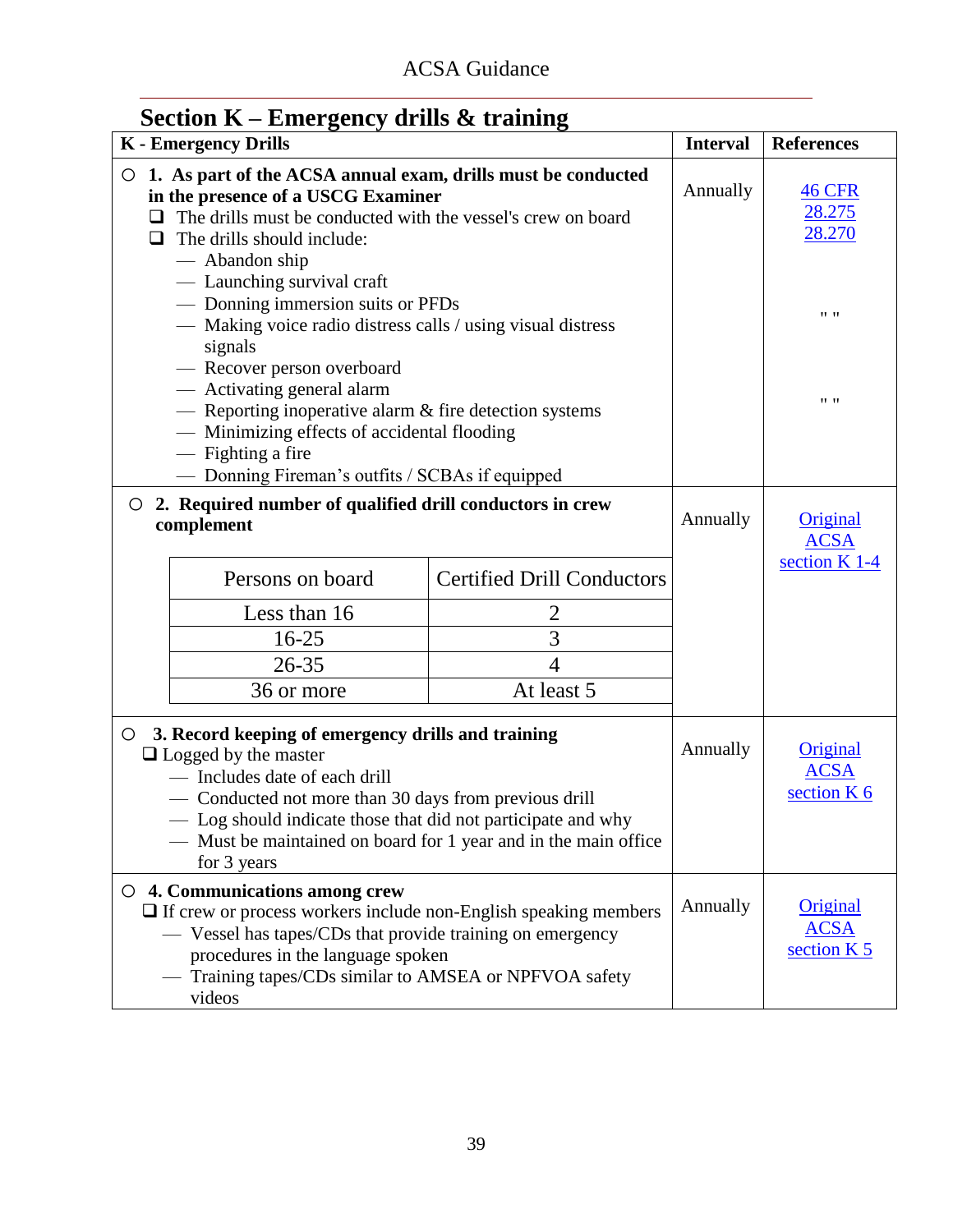| $\sum$<br><b>K</b> - Emergency Drills                                                                                                                                                                                                                                                                                                    |                                                                                                                                                                         |                                   | <b>Interval</b> | <b>References</b>                        |
|------------------------------------------------------------------------------------------------------------------------------------------------------------------------------------------------------------------------------------------------------------------------------------------------------------------------------------------|-------------------------------------------------------------------------------------------------------------------------------------------------------------------------|-----------------------------------|-----------------|------------------------------------------|
| ○ 1. As part of the ACSA annual exam, drills must be conducted<br>in the presence of a USCG Examiner<br>The drills must be conducted with the vessel's crew on board<br>ப<br>The drills should include:<br>ப<br>— Abandon ship                                                                                                           |                                                                                                                                                                         |                                   |                 | <b>46 CFR</b><br>28.275<br>28.270        |
|                                                                                                                                                                                                                                                                                                                                          | - Launching survival craft<br>- Donning immersion suits or PFDs<br>— Making voice radio distress calls / using visual distress<br>signals<br>- Recover person overboard |                                   |                 | $11 - 11$                                |
|                                                                                                                                                                                                                                                                                                                                          | — Activating general alarm<br>- Reporting inoperative alarm & fire detection systems<br>- Minimizing effects of accidental flooding<br>— Fighting a fire                |                                   |                 | $11 - 11$                                |
|                                                                                                                                                                                                                                                                                                                                          | - Donning Fireman's outfits / SCBAs if equipped                                                                                                                         |                                   |                 |                                          |
| $\circ$                                                                                                                                                                                                                                                                                                                                  | 2. Required number of qualified drill conductors in crew<br>complement                                                                                                  |                                   | Annually        | Original<br><b>ACSA</b>                  |
|                                                                                                                                                                                                                                                                                                                                          | Persons on board                                                                                                                                                        | <b>Certified Drill Conductors</b> |                 | section K 1-4                            |
|                                                                                                                                                                                                                                                                                                                                          | Less than 16                                                                                                                                                            | 2                                 |                 |                                          |
|                                                                                                                                                                                                                                                                                                                                          | $16 - 25$                                                                                                                                                               | 3                                 |                 |                                          |
|                                                                                                                                                                                                                                                                                                                                          | $26 - 35$                                                                                                                                                               | $\overline{4}$                    |                 |                                          |
|                                                                                                                                                                                                                                                                                                                                          | 36 or more                                                                                                                                                              | At least 5                        |                 |                                          |
| 3. Record keeping of emergency drills and training<br>$\circ$<br>$\Box$ Logged by the master<br>- Includes date of each drill<br>- Conducted not more than 30 days from previous drill<br>- Log should indicate those that did not participate and why<br>— Must be maintained on board for 1 year and in the main office<br>for 3 years |                                                                                                                                                                         |                                   | Annually        | Original<br><b>ACSA</b><br>section K 6   |
| $\circ$ 4. Communications among crew<br>$\Box$ If crew or process workers include non-English speaking members<br>— Vessel has tapes/CDs that provide training on emergency<br>procedures in the language spoken<br>- Training tapes/CDs similar to AMSEA or NPFVOA safety<br>videos                                                     |                                                                                                                                                                         |                                   | Annually        | Original<br><b>ACSA</b><br>section $K$ 5 |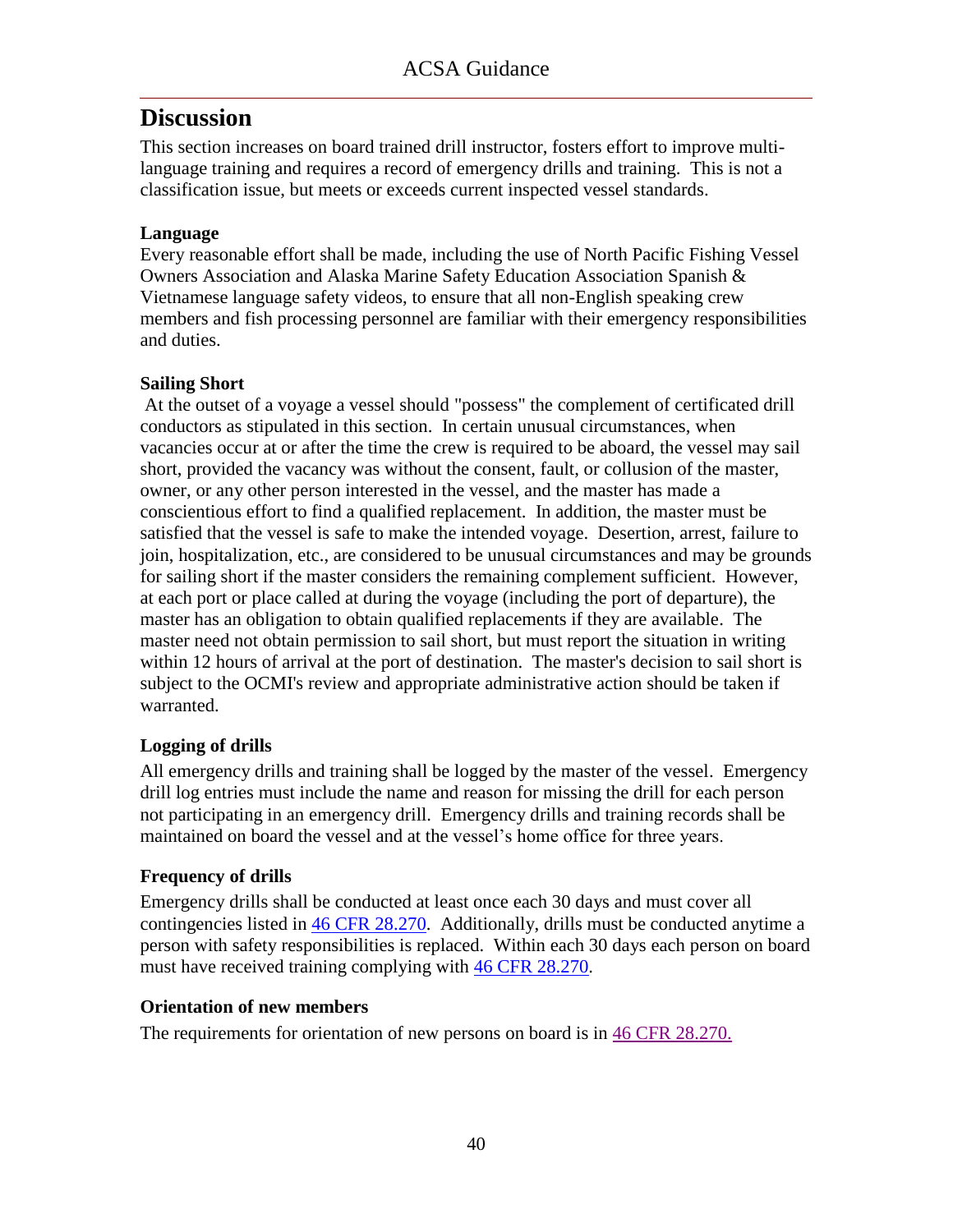This section increases on board trained drill instructor, fosters effort to improve multilanguage training and requires a record of emergency drills and training. This is not a classification issue, but meets or exceeds current inspected vessel standards.

### **Language**

Every reasonable effort shall be made, including the use of North Pacific Fishing Vessel Owners Association and Alaska Marine Safety Education Association Spanish & Vietnamese language safety videos, to ensure that all non-English speaking crew members and fish processing personnel are familiar with their emergency responsibilities and duties.

### **Sailing Short**

At the outset of a voyage a vessel should "possess" the complement of certificated drill conductors as stipulated in this section. In certain unusual circumstances, when vacancies occur at or after the time the crew is required to be aboard, the vessel may sail short, provided the vacancy was without the consent, fault, or collusion of the master, owner, or any other person interested in the vessel, and the master has made a conscientious effort to find a qualified replacement. In addition, the master must be satisfied that the vessel is safe to make the intended voyage. Desertion, arrest, failure to join, hospitalization, etc., are considered to be unusual circumstances and may be grounds for sailing short if the master considers the remaining complement sufficient. However, at each port or place called at during the voyage (including the port of departure), the master has an obligation to obtain qualified replacements if they are available. The master need not obtain permission to sail short, but must report the situation in writing within 12 hours of arrival at the port of destination. The master's decision to sail short is subject to the OCMI's review and appropriate administrative action should be taken if warranted.

### **Logging of drills**

All emergency drills and training shall be logged by the master of the vessel. Emergency drill log entries must include the name and reason for missing the drill for each person not participating in an emergency drill. Emergency drills and training records shall be maintained on board the vessel and at the vessel's home office for three years.

### **Frequency of drills**

Emergency drills shall be conducted at least once each 30 days and must cover all contingencies listed in [46 CFR 28.270.](ACSA_References/46cfr28.270.pdf) Additionally, drills must be conducted anytime a person with safety responsibilities is replaced. Within each 30 days each person on board must have received training complying with  $46$  CFR 28.270.

### **Orientation of new members**

The requirements for orientation of new persons on board is in [46 CFR 28.270.](ACSA_References/46cfr28.270.pdf)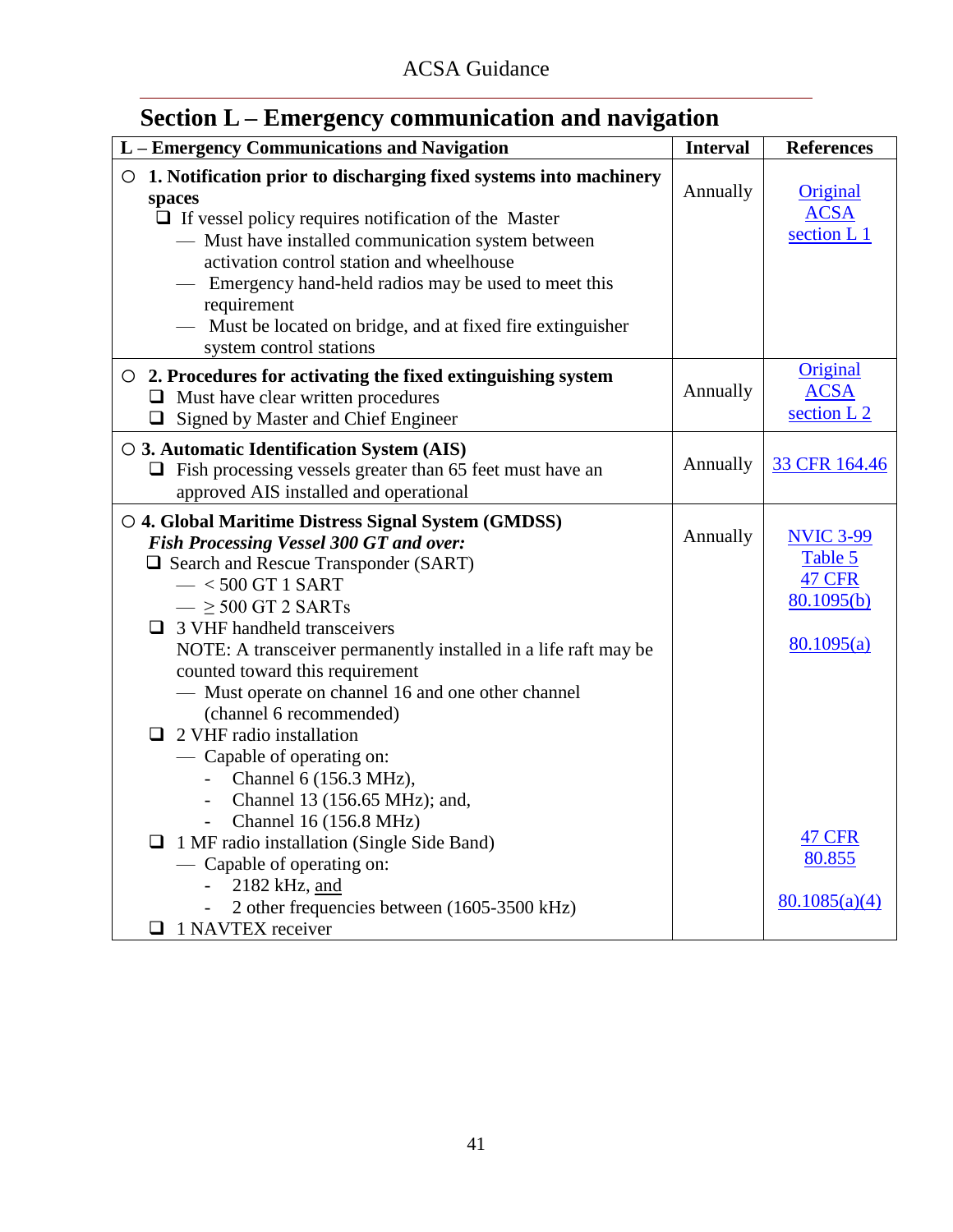<span id="page-42-0"></span>

|  | Section L – Emergency communication and navigation |  |
|--|----------------------------------------------------|--|
|  |                                                    |  |

| L - Emergency Communications and Navigation                                                                                                                                                                                                                                                                                                                                                                                                                                                                                                                                                                                                                                                                                                                                  | <b>Interval</b> | <b>References</b>                                                                                                    |
|------------------------------------------------------------------------------------------------------------------------------------------------------------------------------------------------------------------------------------------------------------------------------------------------------------------------------------------------------------------------------------------------------------------------------------------------------------------------------------------------------------------------------------------------------------------------------------------------------------------------------------------------------------------------------------------------------------------------------------------------------------------------------|-----------------|----------------------------------------------------------------------------------------------------------------------|
| $\circ$ 1. Notification prior to discharging fixed systems into machinery<br>spaces<br>$\Box$ If vessel policy requires notification of the Master<br>- Must have installed communication system between<br>activation control station and wheelhouse<br>Emergency hand-held radios may be used to meet this<br>requirement<br>— Must be located on bridge, and at fixed fire extinguisher<br>system control stations                                                                                                                                                                                                                                                                                                                                                        | Annually        | Original<br><b>ACSA</b><br>section L1                                                                                |
| $\circ$ 2. Procedures for activating the fixed extinguishing system<br>$\Box$ Must have clear written procedures<br>□ Signed by Master and Chief Engineer                                                                                                                                                                                                                                                                                                                                                                                                                                                                                                                                                                                                                    | Annually        | Original<br><b>ACSA</b><br>section L 2                                                                               |
| $\circ$ 3. Automatic Identification System (AIS)<br>$\Box$ Fish processing vessels greater than 65 feet must have an<br>approved AIS installed and operational                                                                                                                                                                                                                                                                                                                                                                                                                                                                                                                                                                                                               | Annually        | 33 CFR 164.46                                                                                                        |
| ○ 4. Global Maritime Distress Signal System (GMDSS)<br><b>Fish Processing Vessel 300 GT and over:</b><br>$\Box$ Search and Rescue Transponder (SART)<br>$-$ < 500 GT 1 SART<br>$ \geq$ 500 GT 2 SARTs<br>$\Box$ 3 VHF handheld transceivers<br>NOTE: A transceiver permanently installed in a life raft may be<br>counted toward this requirement<br>- Must operate on channel 16 and one other channel<br>(channel 6 recommended)<br>2 VHF radio installation<br>— Capable of operating on:<br>Channel 6 (156.3 MHz),<br>Channel 13 (156.65 MHz); and,<br>$\overline{\phantom{a}}$<br>Channel 16 (156.8 MHz)<br>1 MF radio installation (Single Side Band)<br>Capable of operating on:<br>2182 kHz, and<br>2 other frequencies between (1605-3500 kHz)<br>1 NAVTEX receiver | Annually        | <b>NVIC 3-99</b><br>Table 5<br><b>47 CFR</b><br>80.1095(b)<br>80.1095(a)<br><b>47 CFR</b><br>80.855<br>80.1085(a)(4) |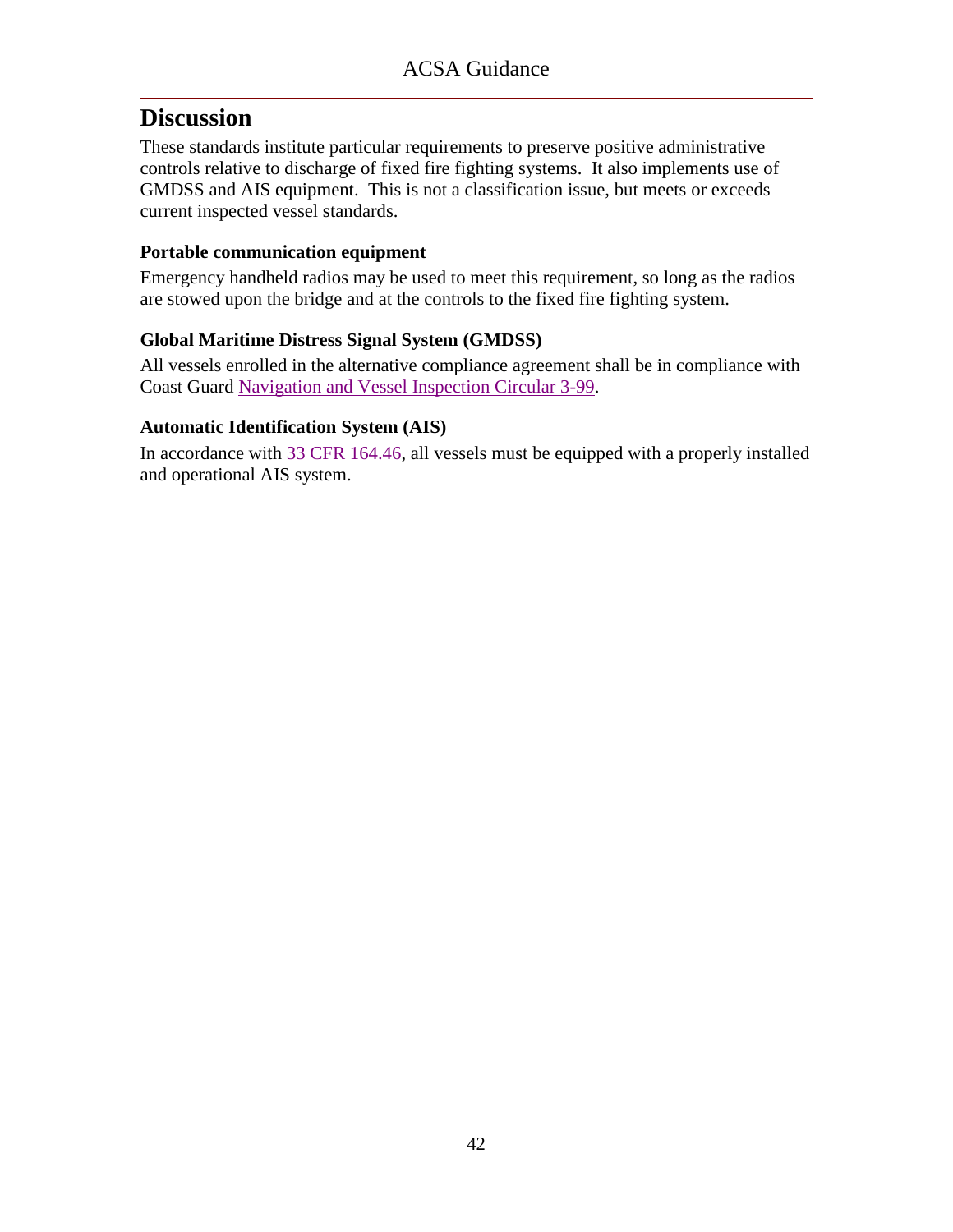These standards institute particular requirements to preserve positive administrative controls relative to discharge of fixed fire fighting systems. It also implements use of GMDSS and AIS equipment. This is not a classification issue, but meets or exceeds current inspected vessel standards.

### **Portable communication equipment**

Emergency handheld radios may be used to meet this requirement, so long as the radios are stowed upon the bridge and at the controls to the fixed fire fighting system.

### **Global Maritime Distress Signal System (GMDSS)**

All vessels enrolled in the alternative compliance agreement shall be in compliance with Coast Guard [Navigation and Vessel Inspection](ACSA_References/NVIC_3-99.pdf) Circular 3-99.

### **Automatic Identification System (AIS)**

In accordance with [33 CFR 164.46,](ACSA_References/33cfr164.46.pdf) all vessels must be equipped with a properly installed and operational AIS system.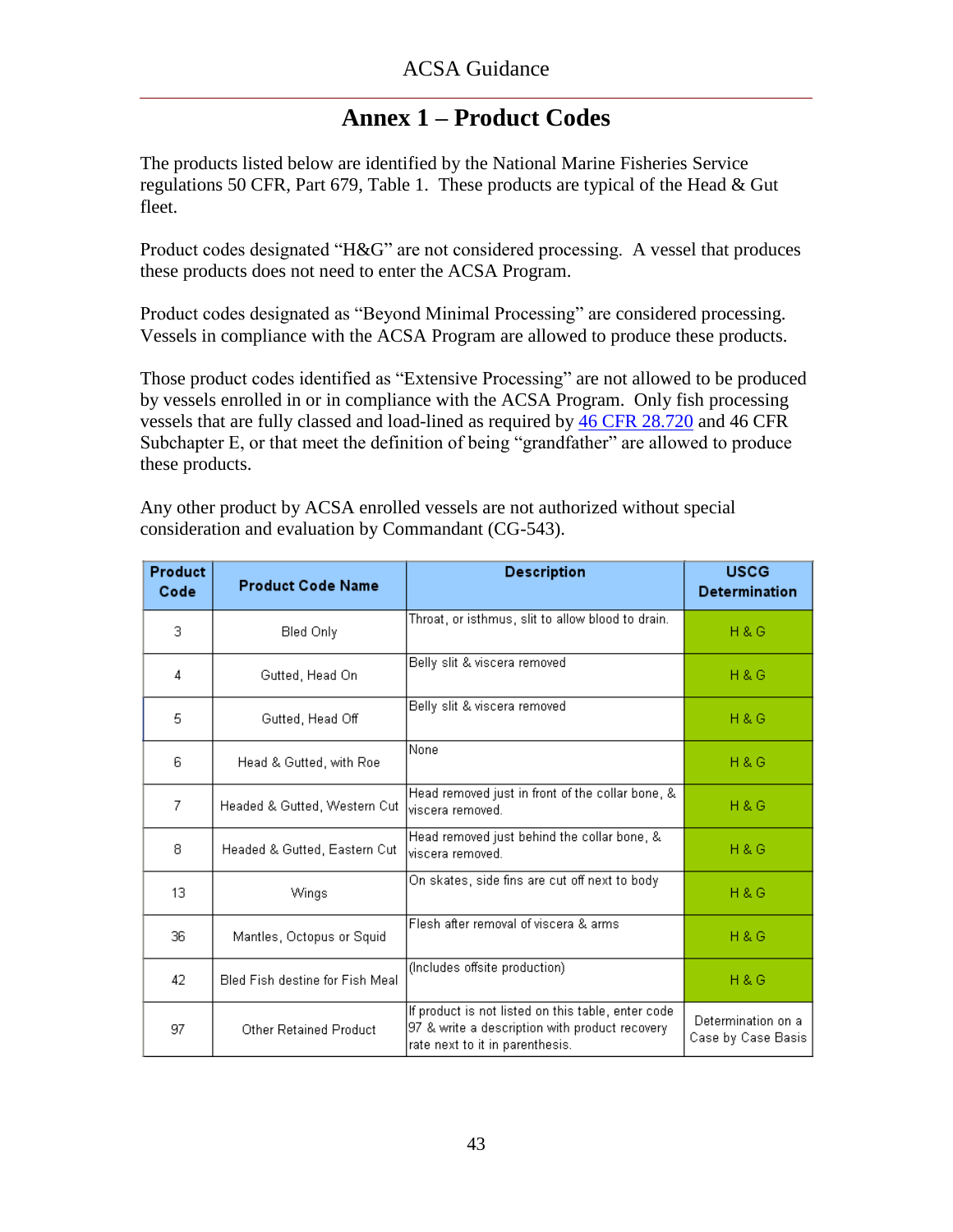### **Annex 1 – Product Codes**

<span id="page-44-0"></span>The products listed below are identified by the National Marine Fisheries Service regulations 50 CFR, Part 679, Table 1. These products are typical of the Head & Gut fleet.

Product codes designated "H&G" are not considered processing. A vessel that produces these products does not need to enter the ACSA Program.

Product codes designated as "Beyond Minimal Processing" are considered processing. Vessels in compliance with the ACSA Program are allowed to produce these products.

Those product codes identified as "Extensive Processing" are not allowed to be produced by vessels enrolled in or in compliance with the ACSA Program. Only fish processing vessels that are fully classed and load-lined as required by [46 CFR 28.720](ACSA_References/46cfr28.720.pdf) and 46 CFR Subchapter E, or that meet the definition of being "grandfather" are allowed to produce these products.

Any other product by ACSA enrolled vessels are not authorized without special consideration and evaluation by Commandant (CG-543).

| Product<br>Code | <b>Product Code Name</b>        | <b>Description</b>                                                                                                                      | <b>USCG</b><br><b>Determination</b>      |
|-----------------|---------------------------------|-----------------------------------------------------------------------------------------------------------------------------------------|------------------------------------------|
| 3               | Bled Only                       | Throat, or isthmus, slit to allow blood to drain.                                                                                       | <b>H&amp;G</b>                           |
| 4               | Gutted, Head On                 | Belly slit & viscera removed                                                                                                            | <b>H&amp;G</b>                           |
| 5               | Gutted, Head Off                | Belly slit & viscera removed                                                                                                            | <b>H&amp;G</b>                           |
| 6               | Head & Gutted, with Roe         | None                                                                                                                                    | <b>H&amp;G</b>                           |
| 7               | Headed & Gutted, Western Cut    | Head removed just in front of the collar bone, &<br>viscera removed.                                                                    | <b>H&amp;G</b>                           |
| 8               | Headed & Gutted, Eastern Cut    | Head removed just behind the collar bone, &<br>viscera removed.                                                                         | <b>H&amp;G</b>                           |
| 13              | Wings                           | On skates, side fins are cut off next to body                                                                                           | H & G                                    |
| 36              | Mantles, Octopus or Squid       | Flesh after removal of viscera & arms                                                                                                   | <b>H&amp;G</b>                           |
| 42              | Bled Fish destine for Fish Meal | (Includes offsite production)                                                                                                           | <b>H&amp;G</b>                           |
| 97              | Other Retained Product          | If product is not listed on this table, enter code<br>97 & write a description with product recovery<br>rate next to it in parenthesis. | Determination on a<br>Case by Case Basis |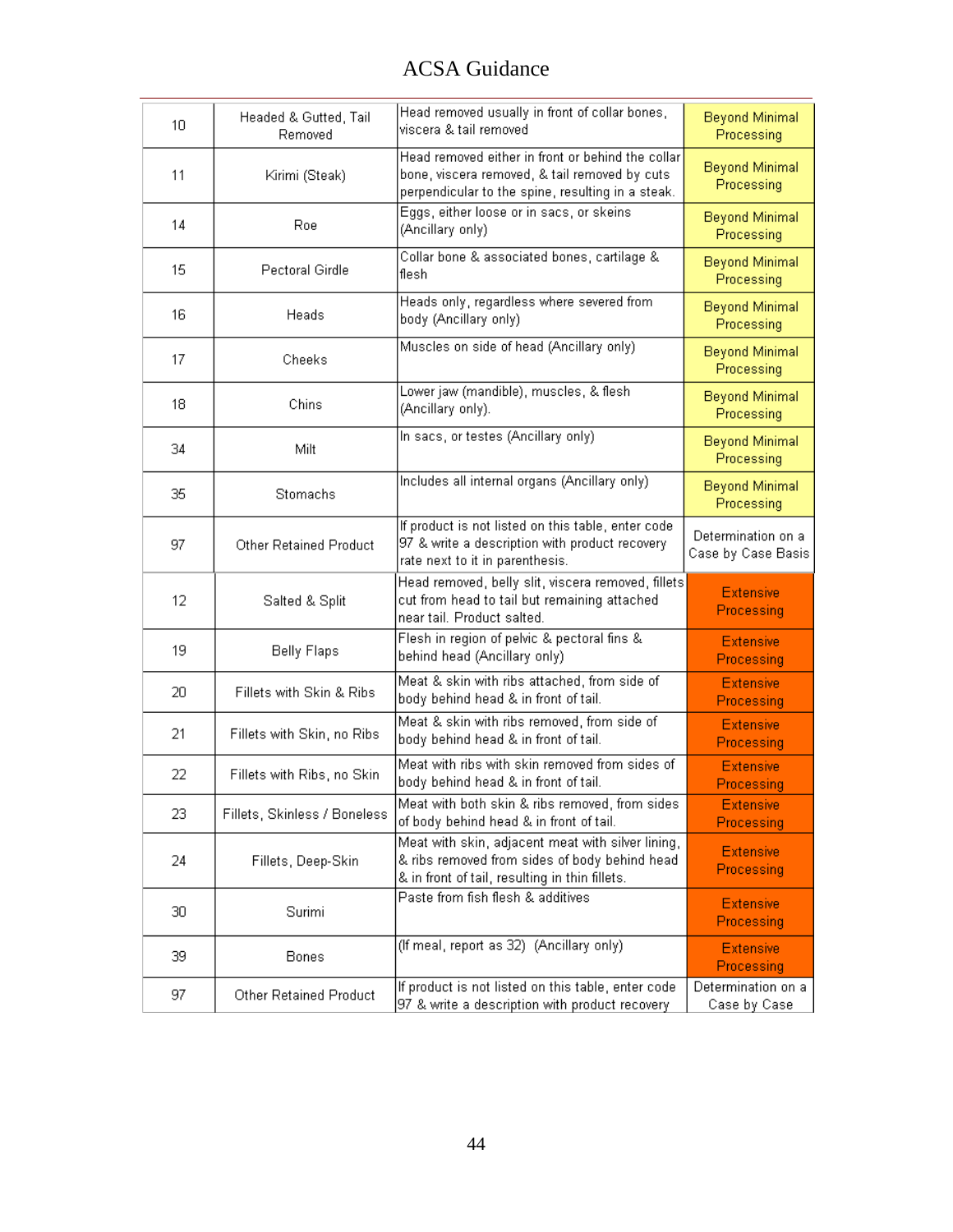<span id="page-45-0"></span>

| 10 | Headed & Gutted, Tail<br>Removed | Head removed usually in front of collar bones,<br>viscera & tail removed                                                                                | <b>Beyond Minimal</b><br>Processing      |
|----|----------------------------------|---------------------------------------------------------------------------------------------------------------------------------------------------------|------------------------------------------|
| 11 | Kirimi (Steak)                   | Head removed either in front or behind the collar<br>bone, viscera removed, & tail removed by cuts<br>perpendicular to the spine, resulting in a steak. | <b>Beyond Minimal</b><br>Processing      |
| 14 | Roe                              | Eggs, either loose or in sacs, or skeins<br>(Ancillary only)                                                                                            | <b>Beyond Minimal</b><br>Processing      |
| 15 | Pectoral Girdle                  | Collar bone & associated bones, cartilage &<br>flesh                                                                                                    | <b>Beyond Minimal</b><br>Processing      |
| 16 | Heads                            | Heads only, regardless where severed from<br>body (Ancillary only)                                                                                      | <b>Beyond Minimal</b><br>Processing      |
| 17 | Cheeks                           | Muscles on side of head (Ancillary only)                                                                                                                | <b>Beyond Minimal</b><br>Processing      |
| 18 | Chins                            | Lower jaw (mandible), muscles, & flesh<br>(Ancillary only).                                                                                             | <b>Beyond Minimal</b><br>Processing      |
| 34 | Milt                             | In sacs, or testes (Ancillary only)                                                                                                                     | <b>Beyond Minimal</b><br>Processing      |
| 35 | Stomachs                         | Includes all internal organs (Ancillary only)                                                                                                           | <b>Beyond Minimal</b><br>Processing      |
| 97 | Other Retained Product           | If product is not listed on this table, enter code<br>97 & write a description with product recovery<br>rate next to it in parenthesis.                 | Determination on a<br>Case by Case Basis |
| 12 | Salted & Split                   | Head removed, belly slit, viscera removed, fillets<br>cut from head to tail but remaining attached<br>near tail. Product salted.                        | <b>Extensive</b><br>Processing           |
| 19 | <b>Belly Flaps</b>               | Flesh in region of pelvic & pectoral fins &<br>behind head (Ancillary only)                                                                             | <b>Extensive</b><br>Processing           |
| 20 | Fillets with Skin & Ribs         | Meat & skin with ribs attached, from side of<br>body behind head & in front of tail.                                                                    | <b>Extensive</b><br>Processing           |
| 21 | Fillets with Skin, no Ribs       | Meat & skin with ribs removed, from side of<br>body behind head & in front of tail.                                                                     | <b>Extensive</b><br>Processing           |
| 22 | Fillets with Ribs, no Skin       | Meat with ribs with skin removed from sides of<br>body behind head & in front of tail.                                                                  | <b>Extensive</b><br>Processing           |
| 23 | Fillets, Skinless / Boneless     | Meat with both skin & ribs removed, from sides<br>of body behind head & in front of tail.                                                               | <b>Extensive</b><br>Processing           |
| 24 | Fillets, Deep-Skin.              | Meat with skin, adjacent meat with silver lining,<br>& ribs removed from sides of body behind head<br>& in front of tail, resulting in thin fillets.    | <b>Extensive</b><br>Processing           |
| 30 | Surimi                           | Paste from fish flesh & additives                                                                                                                       | <b>Extensive</b><br>Processing           |
| 39 | Bones                            | (If meal, report as 32) (Ancillary only)                                                                                                                | <b>Extensive</b><br>Processing           |
| 97 | Other Retained Product           | If product is not listed on this table, enter code<br>97 & write a description with product recovery                                                    | Determination on a<br>Case by Case       |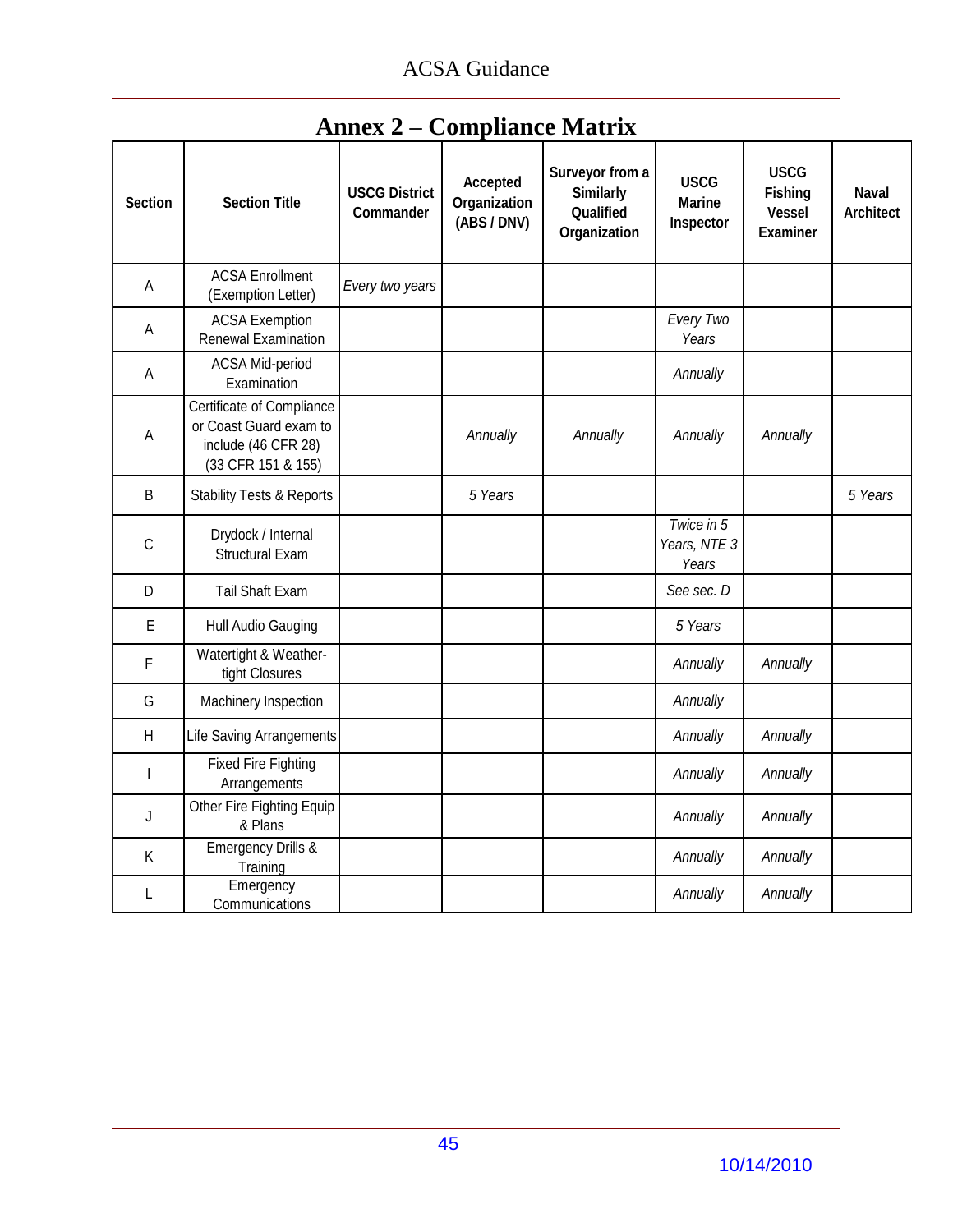<span id="page-46-0"></span>

| <b>Section</b> | <b>Section Title</b>                                                                                    | <b>USCG District</b><br>Commander | Accepted<br>Organization<br>(ABS / DNV) | Surveyor from a<br><b>Similarly</b><br>Qualified<br>Organization | <b>USCG</b><br><b>Marine</b><br>Inspector | <b>USCG</b><br><b>Fishing</b><br><b>Vessel</b><br><b>Examiner</b> | <b>Naval</b><br><b>Architect</b> |
|----------------|---------------------------------------------------------------------------------------------------------|-----------------------------------|-----------------------------------------|------------------------------------------------------------------|-------------------------------------------|-------------------------------------------------------------------|----------------------------------|
| A              | <b>ACSA Enrollment</b><br>(Exemption Letter)                                                            | Every two years                   |                                         |                                                                  |                                           |                                                                   |                                  |
| A              | <b>ACSA Exemption</b><br>Renewal Examination                                                            |                                   |                                         |                                                                  | Every Two<br>Years                        |                                                                   |                                  |
| A              | ACSA Mid-period<br>Examination                                                                          |                                   |                                         |                                                                  | Annually                                  |                                                                   |                                  |
| $\mathsf{A}$   | <b>Certificate of Compliance</b><br>or Coast Guard exam to<br>include (46 CFR 28)<br>(33 CFR 151 & 155) |                                   | Annually                                | Annually                                                         | Annually                                  | Annually                                                          |                                  |
| $\sf B$        | <b>Stability Tests &amp; Reports</b>                                                                    |                                   | 5 Years                                 |                                                                  |                                           |                                                                   | 5 Years                          |
| $\mathsf C$    | Drydock / Internal<br><b>Structural Exam</b>                                                            |                                   |                                         |                                                                  | Twice in 5<br>Years, NTE 3<br>Years       |                                                                   |                                  |
| D              | Tail Shaft Exam                                                                                         |                                   |                                         |                                                                  | See sec. D                                |                                                                   |                                  |
| E              | Hull Audio Gauging                                                                                      |                                   |                                         |                                                                  | 5 Years                                   |                                                                   |                                  |
| F              | Watertight & Weather-<br>tight Closures                                                                 |                                   |                                         |                                                                  | Annually                                  | Annually                                                          |                                  |
| G              | Machinery Inspection                                                                                    |                                   |                                         |                                                                  | Annually                                  |                                                                   |                                  |
| H              | Life Saving Arrangements                                                                                |                                   |                                         |                                                                  | Annually                                  | Annually                                                          |                                  |
|                | <b>Fixed Fire Fighting</b><br>Arrangements                                                              |                                   |                                         |                                                                  | Annually                                  | Annually                                                          |                                  |
| J              | Other Fire Fighting Equip<br>& Plans                                                                    |                                   |                                         |                                                                  | Annually                                  | Annually                                                          |                                  |
| K              | <b>Emergency Drills &amp;</b><br>Training                                                               |                                   |                                         |                                                                  | Annually                                  | Annually                                                          |                                  |
| L              | Emergency<br>Communications                                                                             |                                   |                                         |                                                                  | Annually                                  | Annually                                                          |                                  |

# **Annex 2 – Compliance Matrix**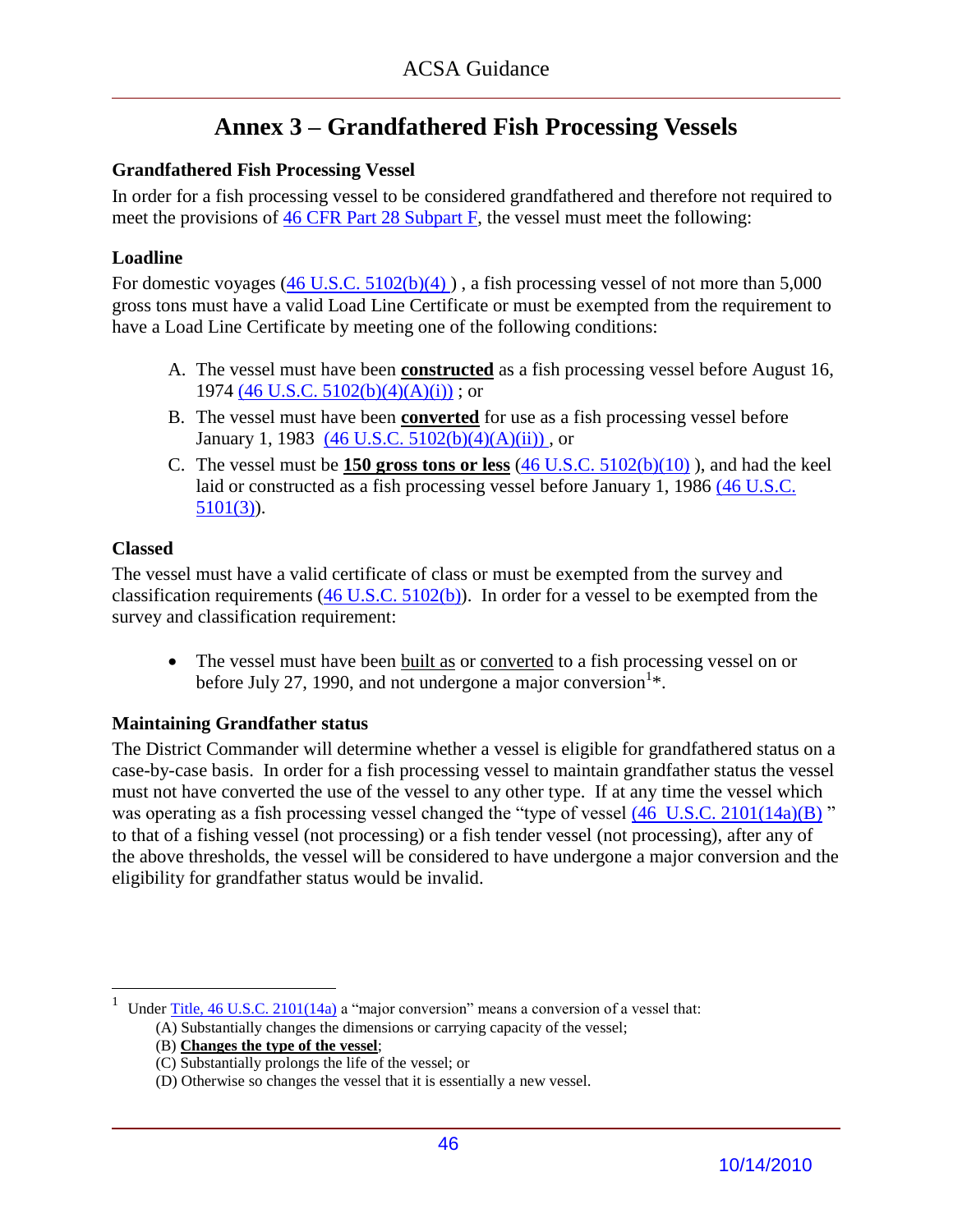# **Annex 3 – Grandfathered Fish Processing Vessels**

### <span id="page-47-0"></span>**Grandfathered Fish Processing Vessel**

In order for a fish processing vessel to be considered grandfathered and therefore not required to meet the provisions of [46 CFR Part 28 Subpart F,](ACSA_References/46cfr28subpartF.pdf) the vessel must meet the following:

### **Loadline**

For domestic voyages  $(46 \text{ U.S.C. } 5102(b)(4))$ , a fish processing vessel of not more than 5,000 gross tons must have a valid Load Line Certificate or must be exempted from the requirement to have a Load Line Certificate by meeting one of the following conditions:

- A. The vessel must have been **constructed** as a fish processing vessel before August 16, 1974 (46 U.S.C.  $5102(b)(4)(A)(i)$ ); or
- B. The vessel must have been **converted** for use as a fish processing vessel before January 1, 1983  $(46 \text{ U.S.C. } 5102(b)(4)(A)(ii))$ , or
- C. The vessel must be **150 gross tons or less** [\(46 U.S.C. 5102\(b\)\(10\)](ACSA_References/5102USCb10.pdf) ), and had the keel laid or constructed as a fish processing vessel before January 1, 1986 [\(46 U.S.C.](ACSA_References/5101USC3.pdf)  [5101\(3\)\)](ACSA_References/5101USC3.pdf).

### **Classed**

 $\overline{a}$ 

The vessel must have a valid certificate of class or must be exempted from the survey and classification requirements  $(46 \text{ U.S.C. } 5102(b))$ . In order for a vessel to be exempted from the survey and classification requirement:

 The vessel must have been built as or converted to a fish processing vessel on or before July 27, 1990, and not undergone a major conversion  $k$ .

### **Maintaining Grandfather status**

The District Commander will determine whether a vessel is eligible for grandfathered status on a case-by-case basis. In order for a fish processing vessel to maintain grandfather status the vessel must not have converted the use of the vessel to any other type. If at any time the vessel which was operating as a fish processing vessel changed the "type of vessel  $(46 \text{ U.S.C. } 2101(14a)(B))$ " to that of a fishing vessel (not processing) or a fish tender vessel (not processing), after any of the above thresholds, the vessel will be considered to have undergone a major conversion and the eligibility for grandfather status would be invalid.

(B) **Changes the type of the vessel**;

<sup>1</sup> Under Title,  $46$  U.S.C.  $2101(14a)$  a "major conversion" means a conversion of a vessel that:

 <sup>(</sup>A) Substantially changes the dimensions or carrying capacity of the vessel;

 <sup>(</sup>C) Substantially prolongs the life of the vessel; or

 <sup>(</sup>D) Otherwise so changes the vessel that it is essentially a new vessel.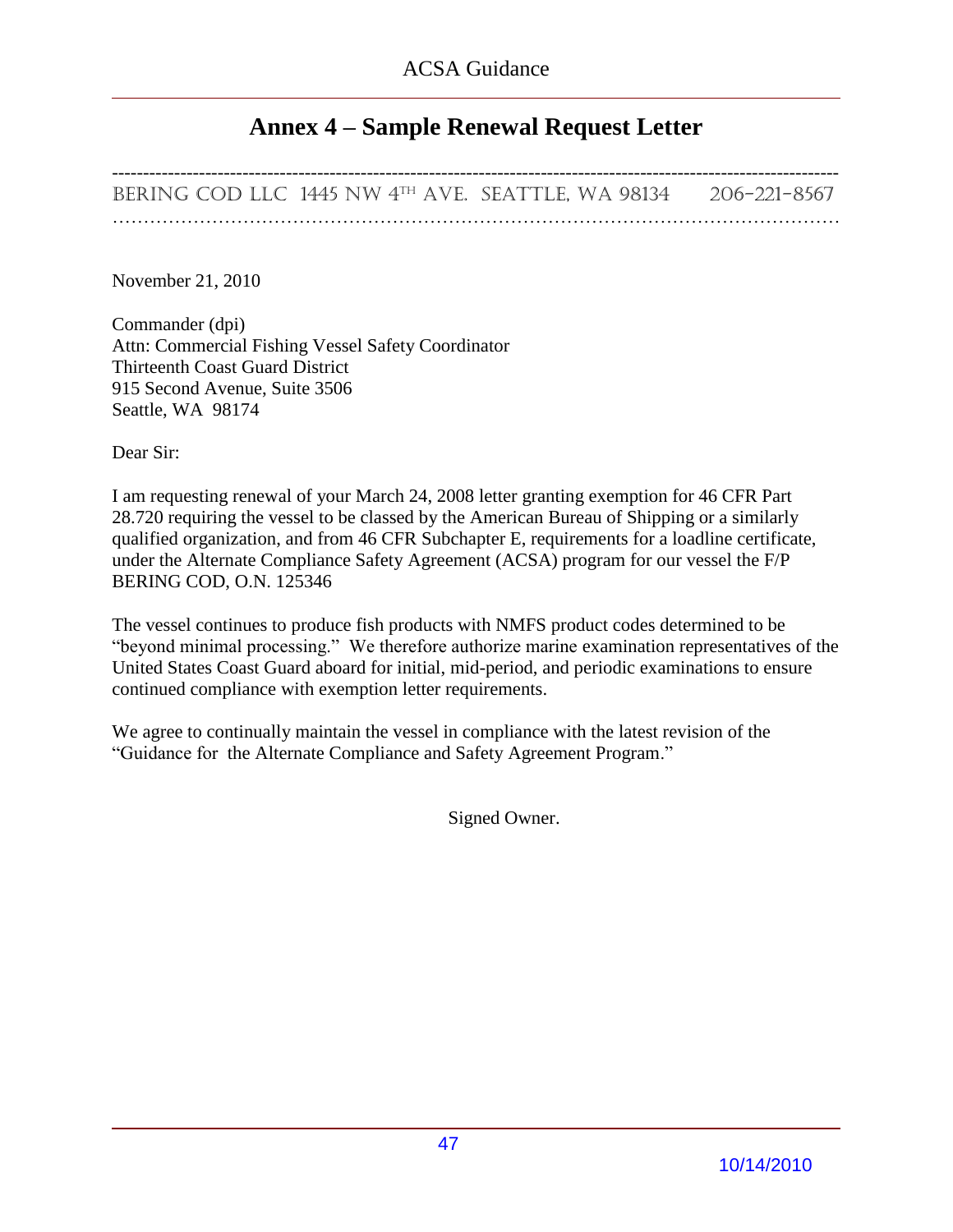### **Annex 4 – Sample Renewal Request Letter**

<span id="page-48-0"></span>--------------------------------------------------------------------------------------------------------------------- BERING COD LLC 1445 NW 4th Ave. Seattle, WA 98134 206-221-8567 ………………………………………………………………………………………………………

November 21, 2010

Commander (dpi) Attn: Commercial Fishing Vessel Safety Coordinator Thirteenth Coast Guard District 915 Second Avenue, Suite 3506 Seattle, WA 98174

Dear Sir:

I am requesting renewal of your March 24, 2008 letter granting exemption for 46 CFR Part 28.720 requiring the vessel to be classed by the American Bureau of Shipping or a similarly qualified organization, and from 46 CFR Subchapter E, requirements for a loadline certificate, under the Alternate Compliance Safety Agreement (ACSA) program for our vessel the F/P BERING COD, O.N. 125346

The vessel continues to produce fish products with NMFS product codes determined to be "beyond minimal processing." We therefore authorize marine examination representatives of the United States Coast Guard aboard for initial, mid-period, and periodic examinations to ensure continued compliance with exemption letter requirements.

We agree to continually maintain the vessel in compliance with the latest revision of the "Guidance for the Alternate Compliance and Safety Agreement Program."

Signed Owner.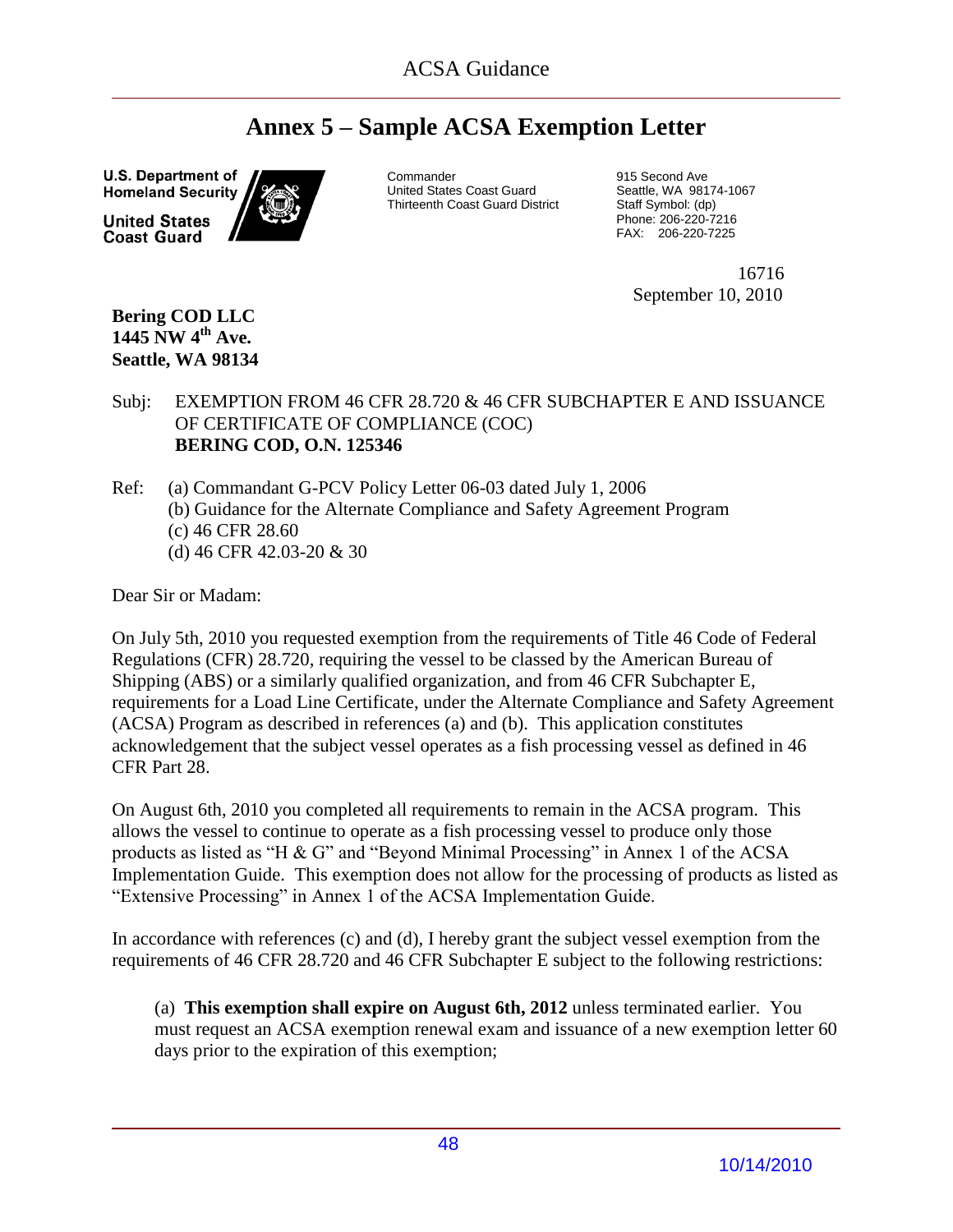# **Annex 5 – Sample ACSA Exemption Letter**

<span id="page-49-0"></span>**U.S. Department of Homeland Security** 

**United States Coast Guard** 



**Commander** United States Coast Guard Thirteenth Coast Guard District 915 Second Ave Seattle, WA 98174-1067 Staff Symbol: (dp) Phone: 206-220-7216 FAX: 206-220-7225

 16716 September 10, 2010

**Bering COD LLC 1445 NW 4th Ave. Seattle, WA 98134**

### Subj: EXEMPTION FROM 46 CFR 28.720 & 46 CFR SUBCHAPTER E AND ISSUANCE OF CERTIFICATE OF COMPLIANCE (COC) **BERING COD, O.N. 125346**

Ref: (a) Commandant G-PCV Policy Letter 06-03 dated July 1, 2006 (b) Guidance for the Alternate Compliance and Safety Agreement Program (c) 46 CFR 28.60 (d) 46 CFR 42.03-20 & 30

Dear Sir or Madam:

On July 5th, 2010 you requested exemption from the requirements of Title 46 Code of Federal Regulations (CFR) 28.720, requiring the vessel to be classed by the American Bureau of Shipping (ABS) or a similarly qualified organization, and from 46 CFR Subchapter E, requirements for a Load Line Certificate, under the Alternate Compliance and Safety Agreement (ACSA) Program as described in references (a) and (b). This application constitutes acknowledgement that the subject vessel operates as a fish processing vessel as defined in 46 CFR Part 28.

On August 6th, 2010 you completed all requirements to remain in the ACSA program. This allows the vessel to continue to operate as a fish processing vessel to produce only those products as listed as "H  $\&$  G" and "Beyond Minimal Processing" in Annex 1 of the ACSA Implementation Guide. This exemption does not allow for the processing of products as listed as "Extensive Processing" in Annex 1 of the ACSA Implementation Guide.

In accordance with references (c) and (d), I hereby grant the subject vessel exemption from the requirements of 46 CFR 28.720 and 46 CFR Subchapter E subject to the following restrictions:

(a) **This exemption shall expire on August 6th, 2012** unless terminated earlier. You must request an ACSA exemption renewal exam and issuance of a new exemption letter 60 days prior to the expiration of this exemption;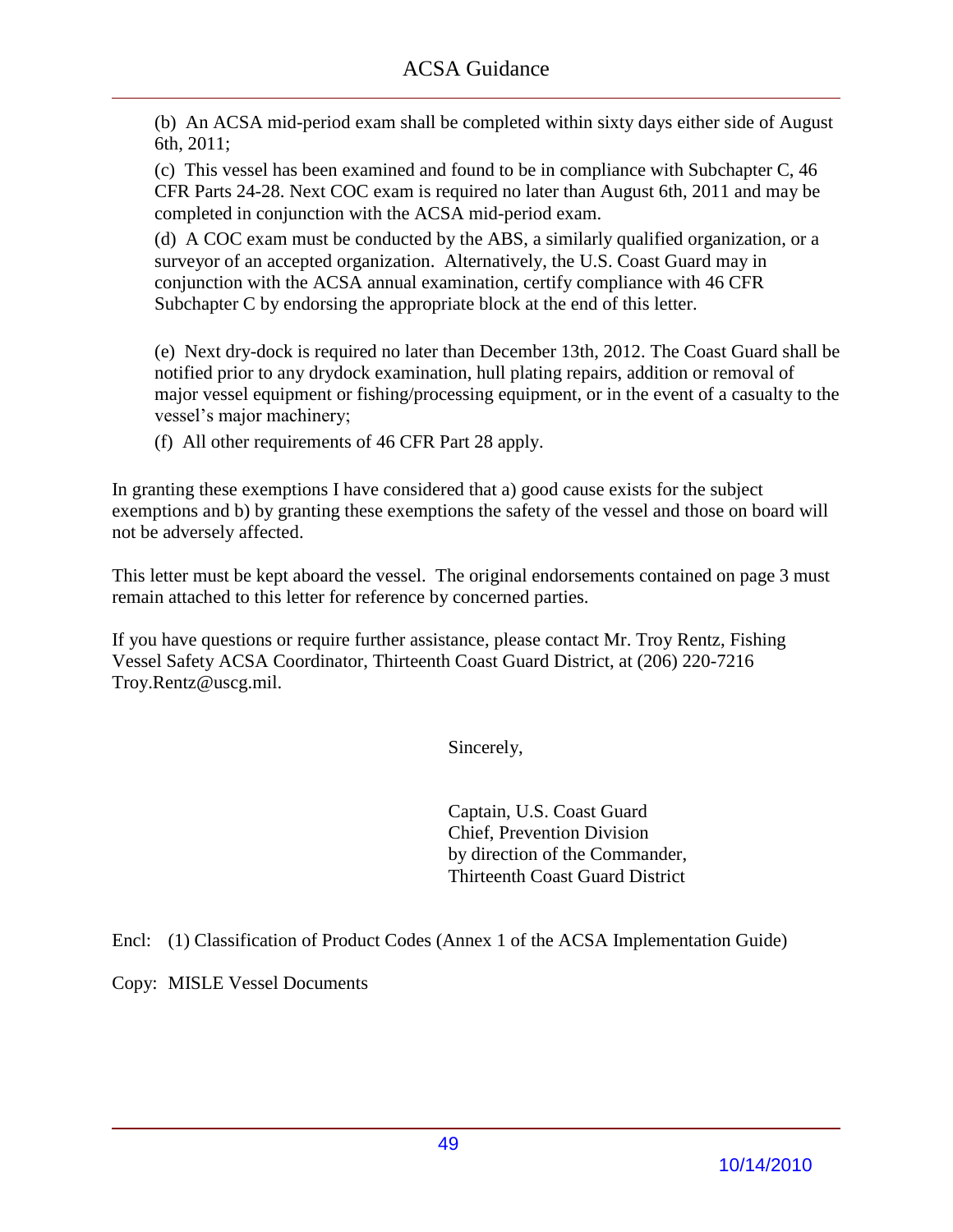(b) An ACSA mid-period exam shall be completed within sixty days either side of August 6th, 2011;

(c) This vessel has been examined and found to be in compliance with Subchapter C, 46 CFR Parts 24-28. Next COC exam is required no later than August 6th, 2011 and may be completed in conjunction with the ACSA mid-period exam.

(d) A COC exam must be conducted by the ABS, a similarly qualified organization, or a surveyor of an accepted organization. Alternatively, the U.S. Coast Guard may in conjunction with the ACSA annual examination, certify compliance with 46 CFR Subchapter C by endorsing the appropriate block at the end of this letter.

(e) Next dry-dock is required no later than December 13th, 2012. The Coast Guard shall be notified prior to any drydock examination, hull plating repairs, addition or removal of major vessel equipment or fishing/processing equipment, or in the event of a casualty to the vessel's major machinery;

(f) All other requirements of 46 CFR Part 28 apply.

In granting these exemptions I have considered that a) good cause exists for the subject exemptions and b) by granting these exemptions the safety of the vessel and those on board will not be adversely affected.

This letter must be kept aboard the vessel. The original endorsements contained on page 3 must remain attached to this letter for reference by concerned parties.

If you have questions or require further assistance, please contact Mr. Troy Rentz, Fishing Vessel Safety ACSA Coordinator, Thirteenth Coast Guard District, at (206) 220-7216 Troy.Rentz@uscg.mil.

Sincerely,

Captain, U.S. Coast Guard Chief, Prevention Division by direction of the Commander, Thirteenth Coast Guard District

Encl: (1) Classification of Product Codes (Annex 1 of the ACSA Implementation Guide)

Copy: MISLE Vessel Documents